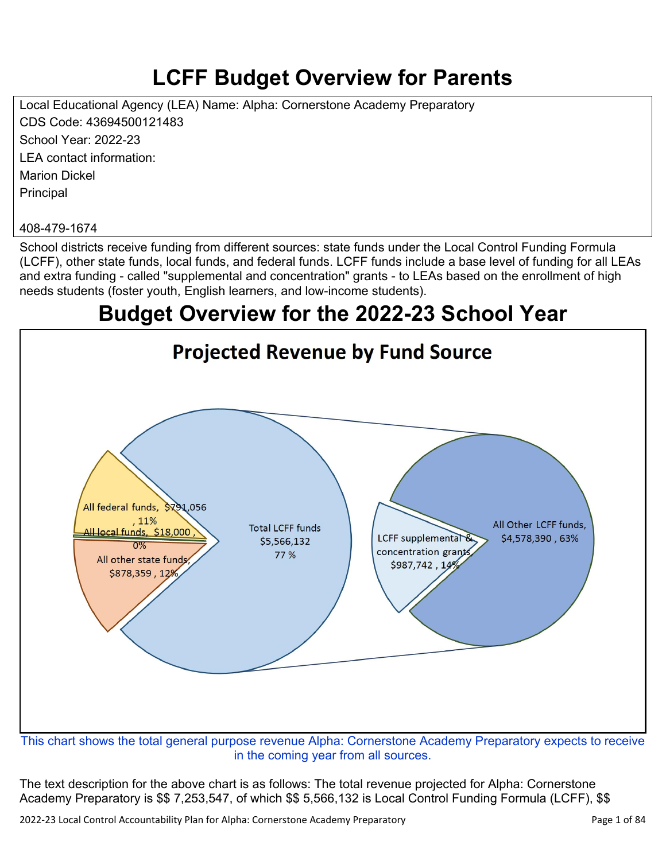# **LCFF Budget Overview for Parents**

Local Educational Agency (LEA) Name: Alpha: Cornerstone Academy Preparatory CDS Code: 43694500121483 School Year: 2022-23 LEA contact information: Marion Dickel **Principal** 

#### 408-479-1674

School districts receive funding from different sources: state funds under the Local Control Funding Formula (LCFF), other state funds, local funds, and federal funds. LCFF funds include a base level of funding for all LEAs and extra funding - called "supplemental and concentration" grants - to LEAs based on the enrollment of high needs students (foster youth, English learners, and low-income students).

## **Budget Overview for the 2022-23 School Year**



in the coming year from all sources.

The text description for the above chart is as follows: The total revenue projected for Alpha: Cornerstone Academy Preparatory is \$\$ 7,253,547, of which \$\$ 5,566,132 is Local Control Funding Formula (LCFF), \$\$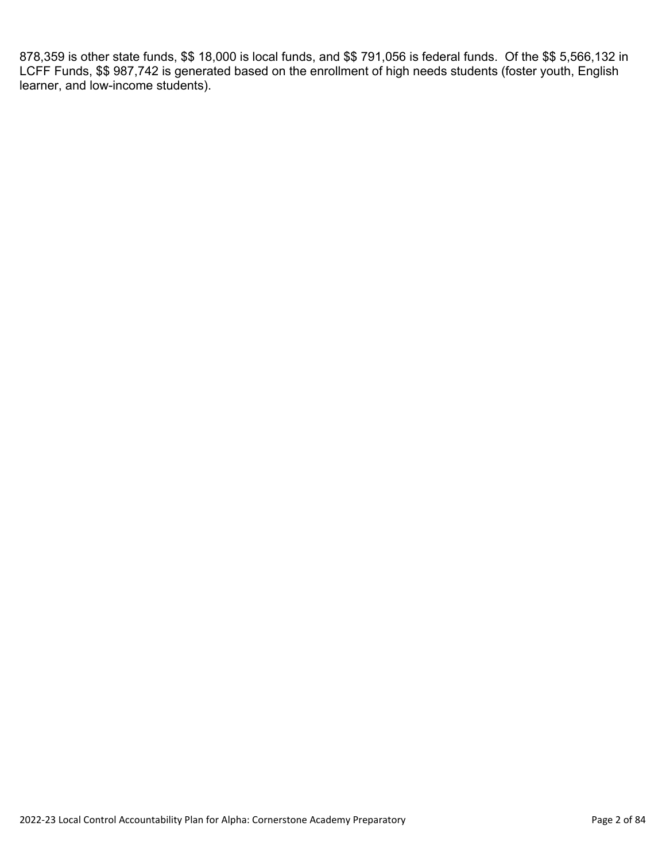878,359 is other state funds, \$\$ 18,000 is local funds, and \$\$ 791,056 is federal funds. Of the \$\$ 5,566,132 in LCFF Funds, \$\$ 987,742 is generated based on the enrollment of high needs students (foster youth, English learner, and low-income students).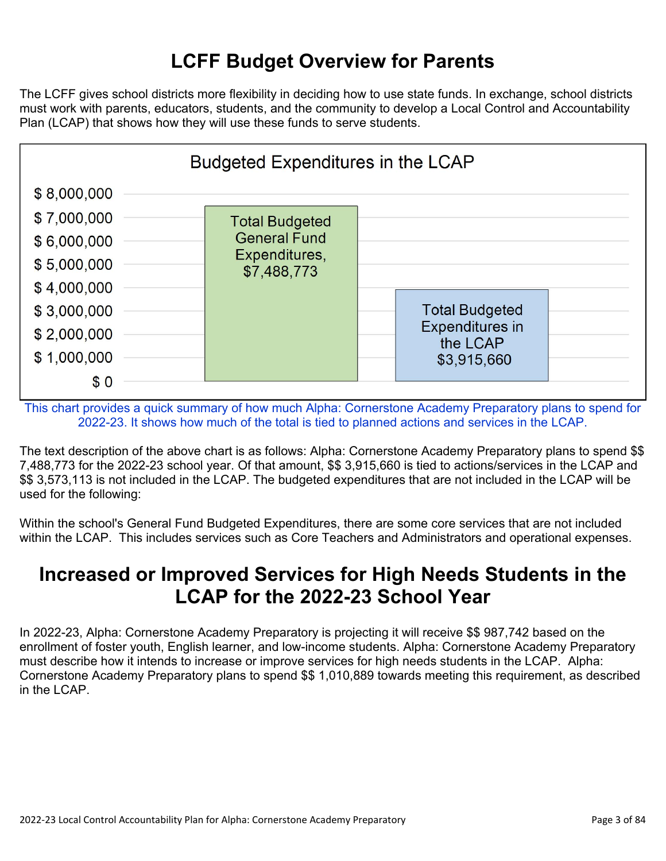## **LCFF Budget Overview for Parents**

The LCFF gives school districts more flexibility in deciding how to use state funds. In exchange, school districts must work with parents, educators, students, and the community to develop a Local Control and Accountability Plan (LCAP) that shows how they will use these funds to serve students.



This chart provides a quick summary of how much Alpha: Cornerstone Academy Preparatory plans to spend for 2022-23. It shows how much of the total is tied to planned actions and services in the LCAP.

The text description of the above chart is as follows: Alpha: Cornerstone Academy Preparatory plans to spend \$\$ 7,488,773 for the 2022-23 school year. Of that amount, \$\$ 3,915,660 is tied to actions/services in the LCAP and \$\$ 3,573,113 is not included in the LCAP. The budgeted expenditures that are not included in the LCAP will be used for the following:

Within the school's General Fund Budgeted Expenditures, there are some core services that are not included within the LCAP. This includes services such as Core Teachers and Administrators and operational expenses.

## **Increased or Improved Services for High Needs Students in the LCAP for the 2022-23 School Year**

In 2022-23, Alpha: Cornerstone Academy Preparatory is projecting it will receive \$\$ 987,742 based on the enrollment of foster youth, English learner, and low-income students. Alpha: Cornerstone Academy Preparatory must describe how it intends to increase or improve services for high needs students in the LCAP. Alpha: Cornerstone Academy Preparatory plans to spend \$\$ 1,010,889 towards meeting this requirement, as described in the LCAP.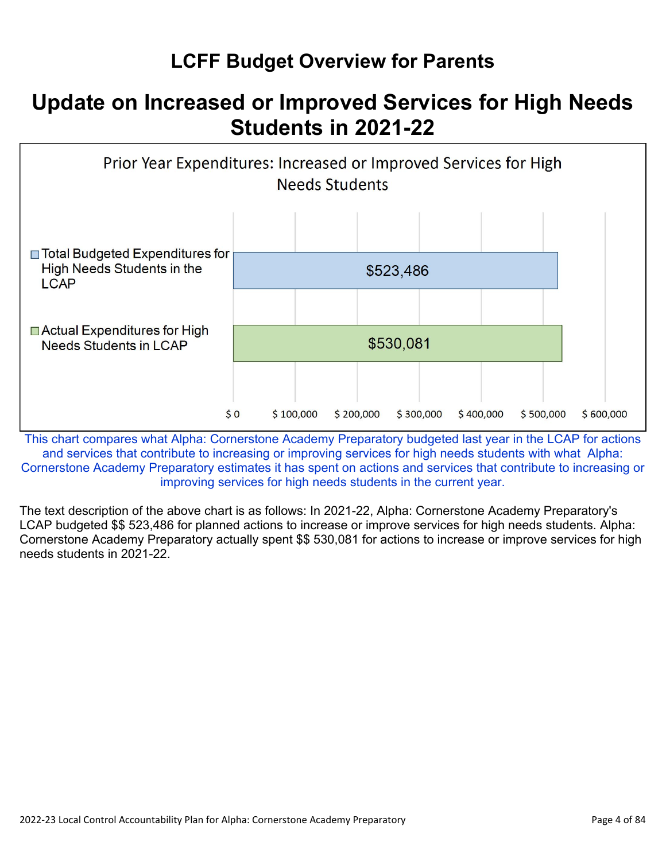## **LCFF Budget Overview for Parents**

## **Update on Increased or Improved Services for High Needs Students in 2021-22**



This chart compares what Alpha: Cornerstone Academy Preparatory budgeted last year in the LCAP for actions and services that contribute to increasing or improving services for high needs students with what Alpha: Cornerstone Academy Preparatory estimates it has spent on actions and services that contribute to increasing or improving services for high needs students in the current year.

The text description of the above chart is as follows: In 2021-22, Alpha: Cornerstone Academy Preparatory's LCAP budgeted \$\$ 523,486 for planned actions to increase or improve services for high needs students. Alpha: Cornerstone Academy Preparatory actually spent \$\$ 530,081 for actions to increase or improve services for high needs students in 2021-22.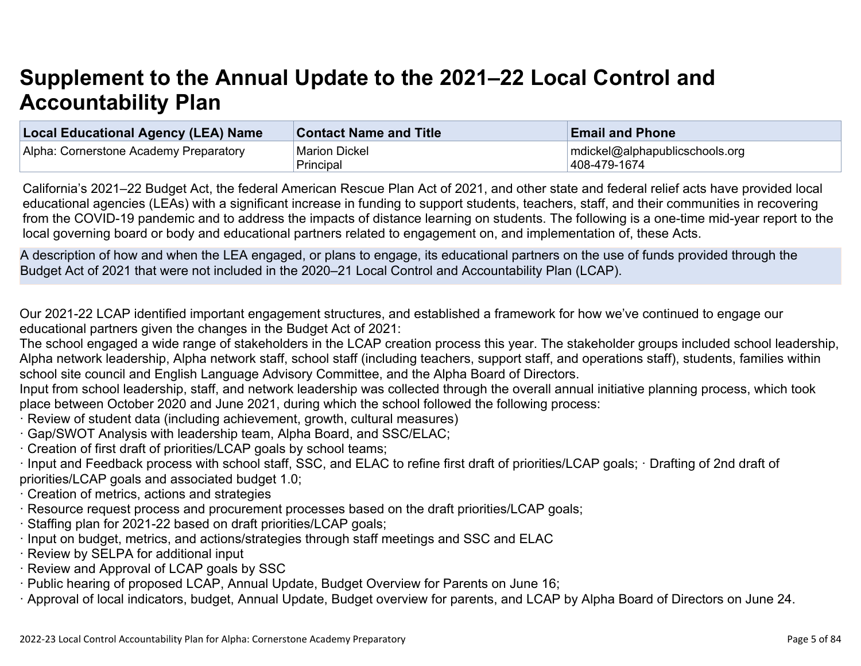# **Supplement to the Annual Update to the 2021–22 Local Control and Accountability Plan**

| Local Educational Agency (LEA) Name    | <b>Contact Name and Title</b> | <b>Email and Phone</b>         |
|----------------------------------------|-------------------------------|--------------------------------|
| Alpha: Cornerstone Academy Preparatory | <b>Marion Dickel</b>          | mdickel@alphapublicschools.org |
|                                        | Principal                     | 408-479-1674                   |

California's 2021–22 Budget Act, the federal American Rescue Plan Act of 2021, and other state and federal relief acts have provided local educational agencies (LEAs) with a significant increase in funding to support students, teachers, staff, and their communities in recovering from the COVID-19 pandemic and to address the impacts of distance learning on students. The following is a one-time mid-year report to the local governing board or body and educational partners related to engagement on, and implementation of, these Acts.

A description of how and when the LEA engaged, or plans to engage, its educational partners on the use of funds provided through the Budget Act of 2021 that were not included in the 2020–21 Local Control and Accountability Plan (LCAP).

Our 2021-22 LCAP identified important engagement structures, and established a framework for how we've continued to engage our educational partners given the changes in the Budget Act of 2021:

The school engaged a wide range of stakeholders in the LCAP creation process this year. The stakeholder groups included school leadership, Alpha network leadership, Alpha network staff, school staff (including teachers, support staff, and operations staff), students, families within school site council and English Language Advisory Committee, and the Alpha Board of Directors.

Input from school leadership, staff, and network leadership was collected through the overall annual initiative planning process, which took place between October 2020 and June 2021, during which the school followed the following process:

- · Review of student data (including achievement, growth, cultural measures)
- · Gap/SWOT Analysis with leadership team, Alpha Board, and SSC/ELAC;
- · Creation of first draft of priorities/LCAP goals by school teams;

· Input and Feedback process with school staff, SSC, and ELAC to refine first draft of priorities/LCAP goals; · Drafting of 2nd draft of priorities/LCAP goals and associated budget 1.0;

- · Creation of metrics, actions and strategies
- · Resource request process and procurement processes based on the draft priorities/LCAP goals;
- · Staffing plan for 2021-22 based on draft priorities/LCAP goals;
- · Input on budget, metrics, and actions/strategies through staff meetings and SSC and ELAC
- · Review by SELPA for additional input
- · Review and Approval of LCAP goals by SSC
- · Public hearing of proposed LCAP, Annual Update, Budget Overview for Parents on June 16;
- · Approval of local indicators, budget, Annual Update, Budget overview for parents, and LCAP by Alpha Board of Directors on June 24.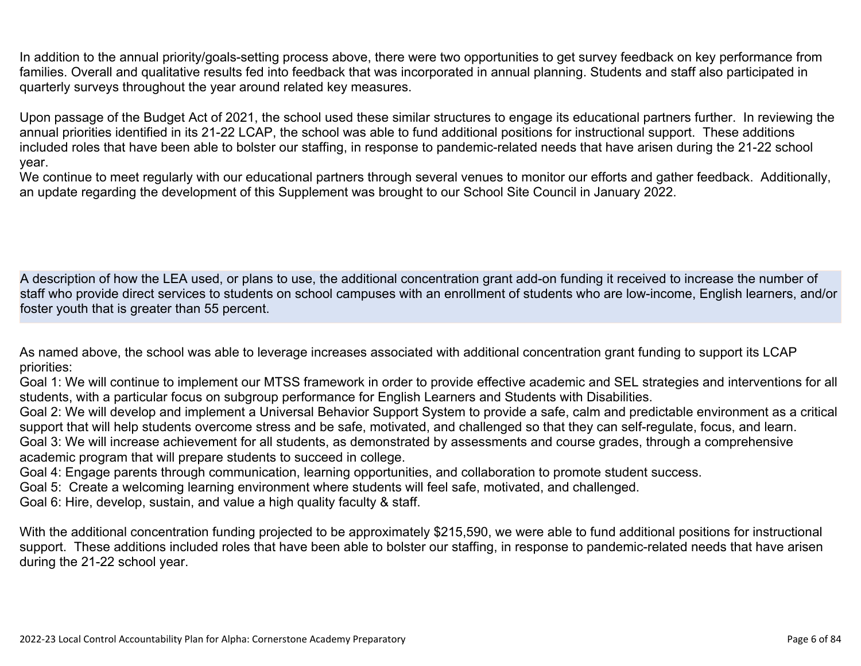In addition to the annual priority/goals-setting process above, there were two opportunities to get survey feedback on key performance from families. Overall and qualitative results fed into feedback that was incorporated in annual planning. Students and staff also participated in quarterly surveys throughout the year around related key measures.

Upon passage of the Budget Act of 2021, the school used these similar structures to engage its educational partners further. In reviewing the annual priorities identified in its 21-22 LCAP, the school was able to fund additional positions for instructional support. These additions included roles that have been able to bolster our staffing, in response to pandemic-related needs that have arisen during the 21-22 school year.

We continue to meet regularly with our educational partners through several venues to monitor our efforts and gather feedback. Additionally, an update regarding the development of this Supplement was brought to our School Site Council in January 2022.

A description of how the LEA used, or plans to use, the additional concentration grant add-on funding it received to increase the number of staff who provide direct services to students on school campuses with an enrollment of students who are low-income, English learners, and/or foster youth that is greater than 55 percent.

As named above, the school was able to leverage increases associated with additional concentration grant funding to support its LCAP priorities:

Goal 1: We will continue to implement our MTSS framework in order to provide effective academic and SEL strategies and interventions for all students, with a particular focus on subgroup performance for English Learners and Students with Disabilities.

Goal 2: We will develop and implement a Universal Behavior Support System to provide a safe, calm and predictable environment as a critical support that will help students overcome stress and be safe, motivated, and challenged so that they can self-regulate, focus, and learn. Goal 3: We will increase achievement for all students, as demonstrated by assessments and course grades, through a comprehensive academic program that will prepare students to succeed in college.

Goal 4: Engage parents through communication, learning opportunities, and collaboration to promote student success.

Goal 5: Create a welcoming learning environment where students will feel safe, motivated, and challenged.

Goal 6: Hire, develop, sustain, and value a high quality faculty & staff.

With the additional concentration funding projected to be approximately \$215,590, we were able to fund additional positions for instructional support. These additions included roles that have been able to bolster our staffing, in response to pandemic-related needs that have arisen during the 21-22 school year.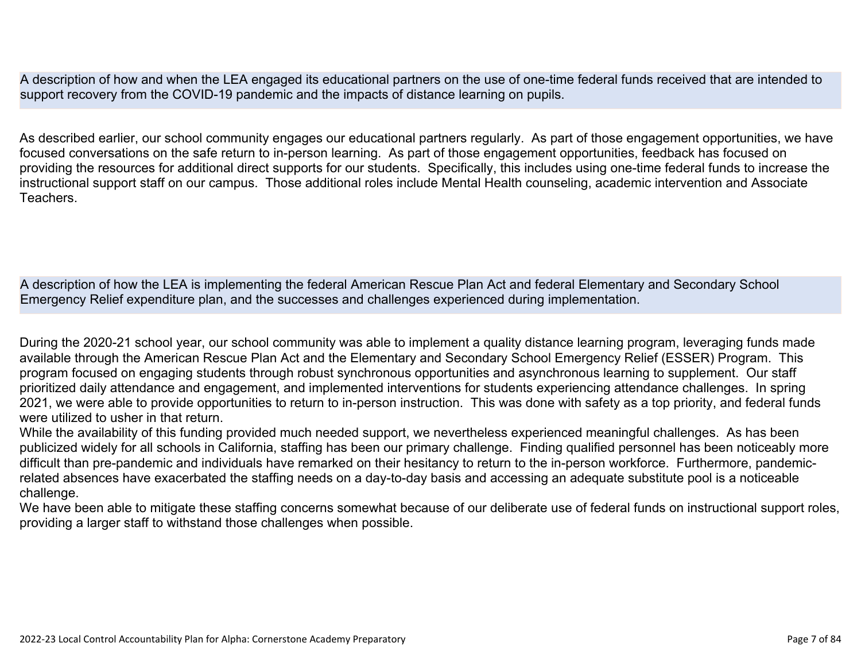A description of how and when the LEA engaged its educational partners on the use of one-time federal funds received that are intended to support recovery from the COVID-19 pandemic and the impacts of distance learning on pupils.

As described earlier, our school community engages our educational partners regularly. As part of those engagement opportunities, we have focused conversations on the safe return to in-person learning. As part of those engagement opportunities, feedback has focused on providing the resources for additional direct supports for our students. Specifically, this includes using one-time federal funds to increase the instructional support staff on our campus. Those additional roles include Mental Health counseling, academic intervention and Associate **Teachers** 

A description of how the LEA is implementing the federal American Rescue Plan Act and federal Elementary and Secondary School Emergency Relief expenditure plan, and the successes and challenges experienced during implementation.

During the 2020-21 school year, our school community was able to implement a quality distance learning program, leveraging funds made available through the American Rescue Plan Act and the Elementary and Secondary School Emergency Relief (ESSER) Program. This program focused on engaging students through robust synchronous opportunities and asynchronous learning to supplement. Our staff prioritized daily attendance and engagement, and implemented interventions for students experiencing attendance challenges. In spring 2021, we were able to provide opportunities to return to in-person instruction. This was done with safety as a top priority, and federal funds were utilized to usher in that return.

While the availability of this funding provided much needed support, we nevertheless experienced meaningful challenges. As has been publicized widely for all schools in California, staffing has been our primary challenge. Finding qualified personnel has been noticeably more difficult than pre-pandemic and individuals have remarked on their hesitancy to return to the in-person workforce. Furthermore, pandemicrelated absences have exacerbated the staffing needs on a day-to-day basis and accessing an adequate substitute pool is a noticeable challenge.

We have been able to mitigate these staffing concerns somewhat because of our deliberate use of federal funds on instructional support roles, providing a larger staff to withstand those challenges when possible.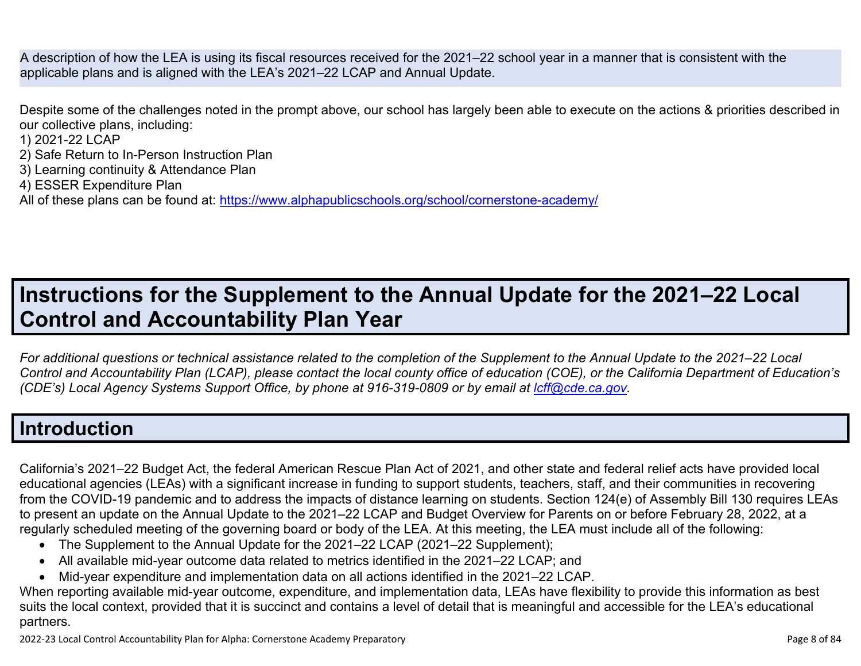A description of how the LEA is using its fiscal resources received for the 2021–22 school year in a manner that is consistent with the applicable plans and is aligned with the LEA's 2021–22 LCAP and Annual Update.

Despite some of the challenges noted in the prompt above, our school has largely been able to execute on the actions & priorities described in our collective plans, including:

1) 2021-22 LCAP

- 2) Safe Return to In-Person Instruction Plan
- 3) Learning continuity & Attendance Plan
- 4) ESSER Expenditure Plan

All of these plans can be found at:<https://www.alphapublicschools.org/school/cornerstone-academy/>

# **Instructions for the Supplement to the Annual Update for the 2021–22 Local Control and Accountability Plan Year**

*For additional questions or technical assistance related to the completion of the Supplement to the Annual Update to the 2021–22 Local Control and Accountability Plan (LCAP), please contact the local county office of education (COE), or the California Department of Education's (CDE's)* Local Agency Systems Support Office, by phone at 916-319-0809 or by email at *[lcff@cde.ca.gov](mailto:lcff@cde.ca.gov)*.

#### **Introduction**

California's 2021–22 Budget Act, the federal American Rescue Plan Act of 2021, and other state and federal relief acts have provided local educational agencies (LEAs) with a significant increase in funding to support students, teachers, staff, and their communities in recovering from the COVID-19 pandemic and to address the impacts of distance learning on students. Section 124(e) of Assembly Bill 130 requires LEAs to present an update on the Annual Update to the 2021–22 LCAP and Budget Overview for Parents on or before February 28, 2022, at a regularly scheduled meeting of the governing board or body of the LEA. At this meeting, the LEA must include all of the following:

- The Supplement to the Annual Update for the 2021–22 LCAP (2021–22 Supplement);
- All available mid-year outcome data related to metrics identified in the 2021–22 LCAP; and
- Mid-year expenditure and implementation data on all actions identified in the 2021–22 LCAP.

When reporting available mid-year outcome, expenditure, and implementation data, LEAs have flexibility to provide this information as best suits the local context, provided that it is succinct and contains a level of detail that is meaningful and accessible for the LEA's educational partners.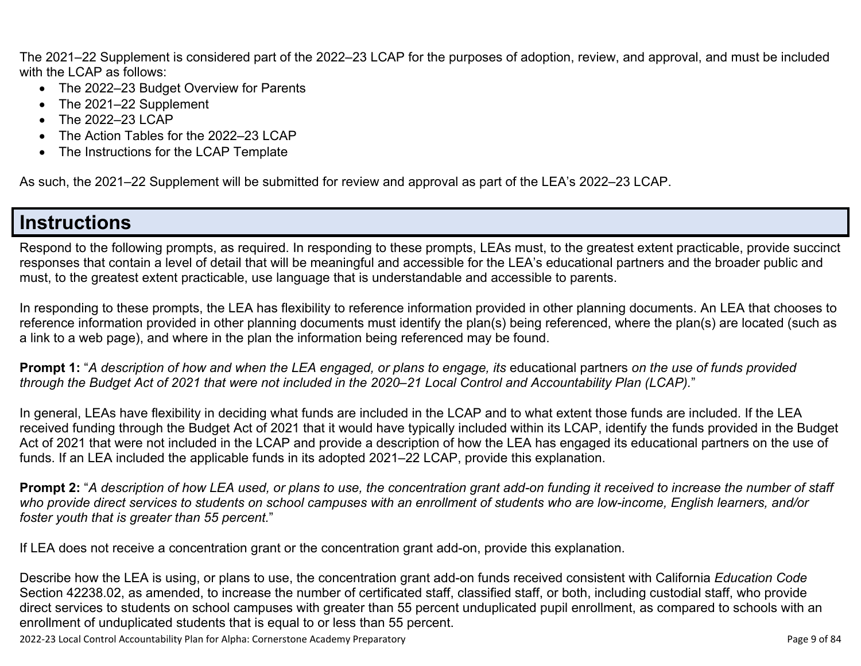The 2021–22 Supplement is considered part of the 2022–23 LCAP for the purposes of adoption, review, and approval, and must be included with the LCAP as follows:

- The 2022–23 Budget Overview for Parents
- The 2021–22 Supplement
- The 2022–23 LCAP
- The Action Tables for the 2022–23 LCAP
- The Instructions for the LCAP Template

As such, the 2021–22 Supplement will be submitted for review and approval as part of the LEA's 2022–23 LCAP.

#### **Instructions**

Respond to the following prompts, as required. In responding to these prompts, LEAs must, to the greatest extent practicable, provide succinct responses that contain a level of detail that will be meaningful and accessible for the LEA's educational partners and the broader public and must, to the greatest extent practicable, use language that is understandable and accessible to parents.

In responding to these prompts, the LEA has flexibility to reference information provided in other planning documents. An LEA that chooses to reference information provided in other planning documents must identify the plan(s) being referenced, where the plan(s) are located (such as a link to a web page), and where in the plan the information being referenced may be found.

**Prompt 1:** "*A description of how and when the LEA engaged, or plans to engage, its* educational partners *on the use of funds provided through the Budget Act of 2021 that were not included in the 2020–21 Local Control and Accountability Plan (LCAP).*"

In general, LEAs have flexibility in deciding what funds are included in the LCAP and to what extent those funds are included. If the LEA received funding through the Budget Act of 2021 that it would have typically included within its LCAP, identify the funds provided in the Budget Act of 2021 that were not included in the LCAP and provide a description of how the LEA has engaged its educational partners on the use of funds. If an LEA included the applicable funds in its adopted 2021–22 LCAP, provide this explanation.

**Prompt 2:** "*A description of how LEA used, or plans to use, the concentration grant add-on funding it received to increase the number of staff who provide direct services to students on school campuses with an enrollment of students who are low-income, English learners, and/or foster youth that is greater than 55 percent.*"

If LEA does not receive a concentration grant or the concentration grant add-on, provide this explanation.

Describe how the LEA is using, or plans to use, the concentration grant add-on funds received consistent with California *Education Code* Section 42238.02, as amended, to increase the number of certificated staff, classified staff, or both, including custodial staff, who provide direct services to students on school campuses with greater than 55 percent unduplicated pupil enrollment, as compared to schools with an enrollment of unduplicated students that is equal to or less than 55 percent.

2022-23 Local Control Accountability Plan for Alpha: Cornerstone Academy Preparatory Page 9 of 84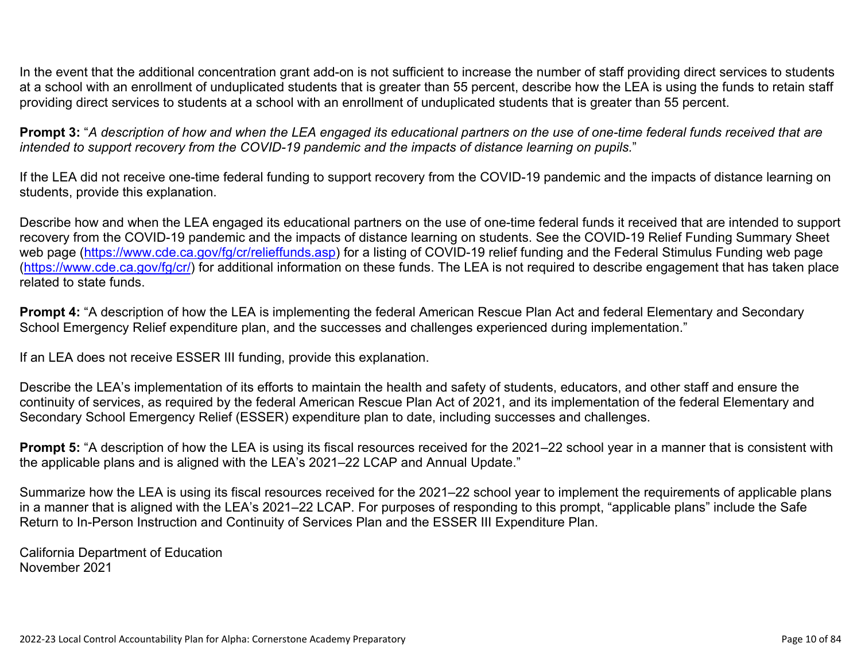In the event that the additional concentration grant add-on is not sufficient to increase the number of staff providing direct services to students at a school with an enrollment of unduplicated students that is greater than 55 percent, describe how the LEA is using the funds to retain staff providing direct services to students at a school with an enrollment of unduplicated students that is greater than 55 percent.

**Prompt 3:** "*A description of how and when the LEA engaged its educational partners on the use of one-time federal funds received that are intended to support recovery from the COVID-19 pandemic and the impacts of distance learning on pupils.*"

If the LEA did not receive one-time federal funding to support recovery from the COVID-19 pandemic and the impacts of distance learning on students, provide this explanation.

Describe how and when the LEA engaged its educational partners on the use of one-time federal funds it received that are intended to support recovery from the COVID-19 pandemic and the impacts of distance learning on students. See the COVID-19 Relief Funding Summary Sheet web page [\(https://www.cde.ca.gov/fg/cr/relieffunds.asp\)](https://www.cde.ca.gov/fg/cr/relieffunds.asp) for a listing of COVID-19 relief funding and the Federal Stimulus Funding web page (<https://www.cde.ca.gov/fg/cr/>) for additional information on these funds. The LEA is not required to describe engagement that has taken place related to state funds.

**Prompt 4:** "A description of how the LEA is implementing the federal American Rescue Plan Act and federal Elementary and Secondary School Emergency Relief expenditure plan, and the successes and challenges experienced during implementation."

If an LEA does not receive ESSER III funding, provide this explanation.

Describe the LEA's implementation of its efforts to maintain the health and safety of students, educators, and other staff and ensure the continuity of services, as required by the federal American Rescue Plan Act of 2021, and its implementation of the federal Elementary and Secondary School Emergency Relief (ESSER) expenditure plan to date, including successes and challenges.

**Prompt 5:** "A description of how the LEA is using its fiscal resources received for the 2021–22 school year in a manner that is consistent with the applicable plans and is aligned with the LEA's 2021–22 LCAP and Annual Update."

Summarize how the LEA is using its fiscal resources received for the 2021–22 school year to implement the requirements of applicable plans in a manner that is aligned with the LEA's 2021–22 LCAP. For purposes of responding to this prompt, "applicable plans" include the Safe Return to In-Person Instruction and Continuity of Services Plan and the ESSER III Expenditure Plan.

California Department of Education November 2021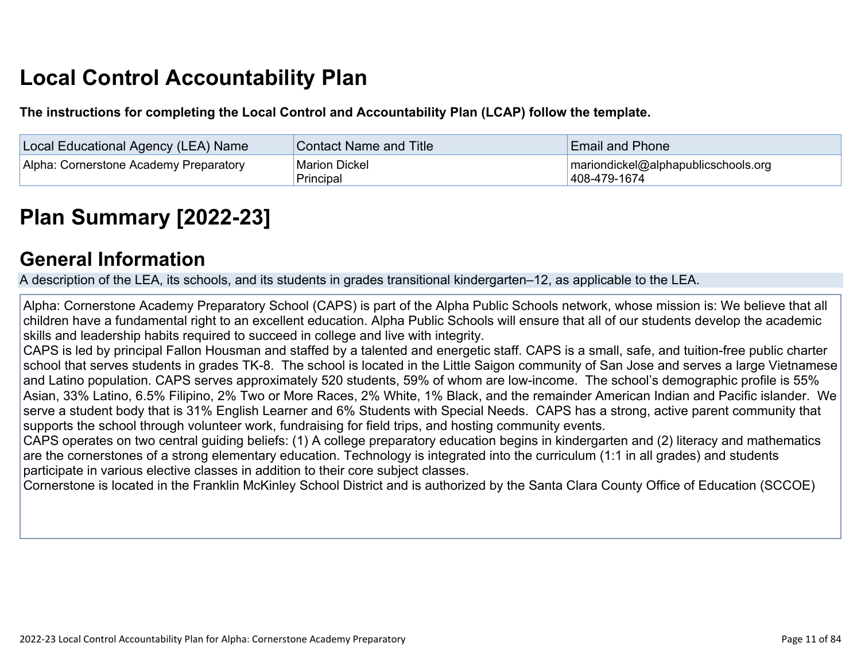# **Local Control Accountability Plan**

**The instructions for completing the Local Control and Accountability Plan (LCAP) follow the template.**

| <b>Local Educational Agency (LEA) Name</b> | <b>Contact Name and Title</b>     | <b>Email and Phone</b>                              |
|--------------------------------------------|-----------------------------------|-----------------------------------------------------|
| Alpha: Cornerstone Academy Preparatory     | <b>Marion Dickel</b><br>Principal | mariondickel@alphapublicschools.org<br>408-479-1674 |

# **[Plan Summary \[2022-23\]](http://www.doc-tracking.com/screenshots/22LCAP/Instructions/22LCAPInstructions.htm#PlanSummary)**

#### **[General Information](http://www.doc-tracking.com/screenshots/22LCAP/Instructions/22LCAPInstructions.htm#generalinformation)**

A description of the LEA, its schools, and its students in grades transitional kindergarten–12, as applicable to the LEA.

Alpha: Cornerstone Academy Preparatory School (CAPS) is part of the Alpha Public Schools network, whose mission is: We believe that all children have a fundamental right to an excellent education. Alpha Public Schools will ensure that all of our students develop the academic skills and leadership habits required to succeed in college and live with integrity.

CAPS is led by principal Fallon Housman and staffed by a talented and energetic staff. CAPS is a small, safe, and tuition-free public charter school that serves students in grades TK-8. The school is located in the Little Saigon community of San Jose and serves a large Vietnamese and Latino population. CAPS serves approximately 520 students, 59% of whom are low-income. The school's demographic profile is 55% Asian, 33% Latino, 6.5% Filipino, 2% Two or More Races, 2% White, 1% Black, and the remainder American Indian and Pacific islander. We serve a student body that is 31% English Learner and 6% Students with Special Needs. CAPS has a strong, active parent community that supports the school through volunteer work, fundraising for field trips, and hosting community events.

CAPS operates on two central guiding beliefs: (1) A college preparatory education begins in kindergarten and (2) literacy and mathematics are the cornerstones of a strong elementary education. Technology is integrated into the curriculum (1:1 in all grades) and students participate in various elective classes in addition to their core subject classes.

Cornerstone is located in the Franklin McKinley School District and is authorized by the Santa Clara County Office of Education (SCCOE)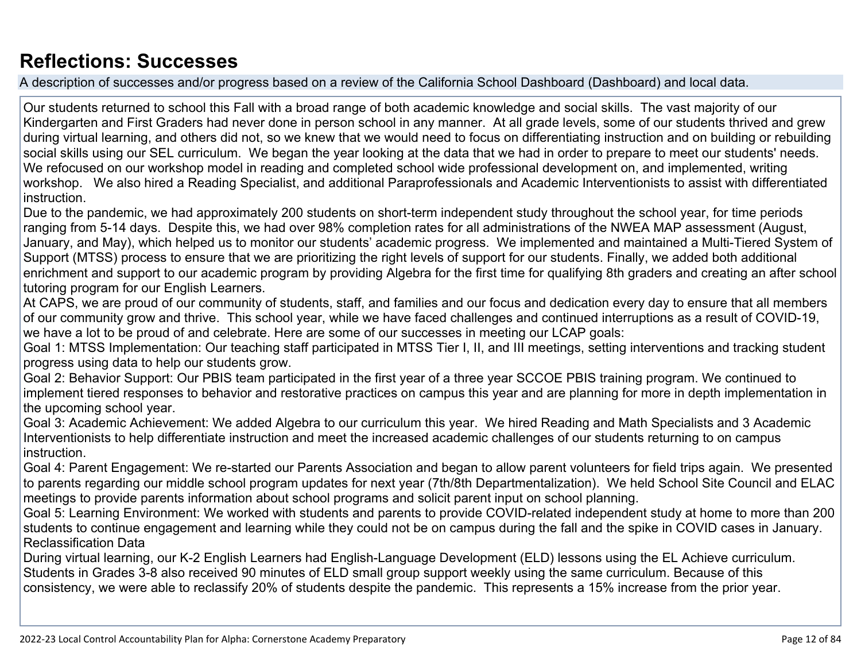## **[Reflections: Successes](http://www.doc-tracking.com/screenshots/22LCAP/Instructions/22LCAPInstructions.htm#ReflectionsSuccesses)**

A description of successes and/or progress based on a review of the California School Dashboard (Dashboard) and local data.

Our students returned to school this Fall with a broad range of both academic knowledge and social skills. The vast majority of our Kindergarten and First Graders had never done in person school in any manner. At all grade levels, some of our students thrived and grew during virtual learning, and others did not, so we knew that we would need to focus on differentiating instruction and on building or rebuilding social skills using our SEL curriculum. We began the year looking at the data that we had in order to prepare to meet our students' needs. We refocused on our workshop model in reading and completed school wide professional development on, and implemented, writing workshop. We also hired a Reading Specialist, and additional Paraprofessionals and Academic Interventionists to assist with differentiated instruction.

Due to the pandemic, we had approximately 200 students on short-term independent study throughout the school year, for time periods ranging from 5-14 days. Despite this, we had over 98% completion rates for all administrations of the NWEA MAP assessment (August, January, and May), which helped us to monitor our students' academic progress. We implemented and maintained a Multi-Tiered System of Support (MTSS) process to ensure that we are prioritizing the right levels of support for our students. Finally, we added both additional enrichment and support to our academic program by providing Algebra for the first time for qualifying 8th graders and creating an after school tutoring program for our English Learners.

At CAPS, we are proud of our community of students, staff, and families and our focus and dedication every day to ensure that all members of our community grow and thrive. This school year, while we have faced challenges and continued interruptions as a result of COVID-19, we have a lot to be proud of and celebrate. Here are some of our successes in meeting our LCAP goals:

Goal 1: MTSS Implementation: Our teaching staff participated in MTSS Tier I, II, and III meetings, setting interventions and tracking student progress using data to help our students grow.

Goal 2: Behavior Support: Our PBIS team participated in the first year of a three year SCCOE PBIS training program. We continued to implement tiered responses to behavior and restorative practices on campus this year and are planning for more in depth implementation in the upcoming school year.

Goal 3: Academic Achievement: We added Algebra to our curriculum this year. We hired Reading and Math Specialists and 3 Academic Interventionists to help differentiate instruction and meet the increased academic challenges of our students returning to on campus instruction.

Goal 4: Parent Engagement: We re-started our Parents Association and began to allow parent volunteers for field trips again. We presented to parents regarding our middle school program updates for next year (7th/8th Departmentalization). We held School Site Council and ELAC meetings to provide parents information about school programs and solicit parent input on school planning.

Goal 5: Learning Environment: We worked with students and parents to provide COVID-related independent study at home to more than 200 students to continue engagement and learning while they could not be on campus during the fall and the spike in COVID cases in January. Reclassification Data

During virtual learning, our K-2 English Learners had English-Language Development (ELD) lessons using the EL Achieve curriculum. Students in Grades 3-8 also received 90 minutes of ELD small group support weekly using the same curriculum. Because of this consistency, we were able to reclassify 20% of students despite the pandemic. This represents a 15% increase from the prior year.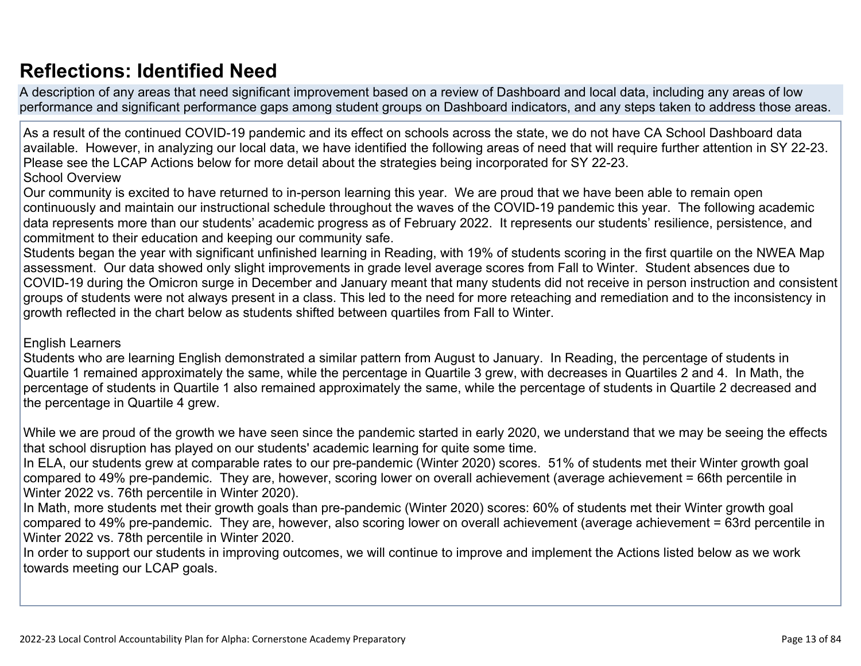## **[Reflections: Identified Need](http://www.doc-tracking.com/screenshots/22LCAP/Instructions/22LCAPInstructions.htm#ReflectionsIdentifiedNeed)**

A description of any areas that need significant improvement based on a review of Dashboard and local data, including any areas of low performance and significant performance gaps among student groups on Dashboard indicators, and any steps taken to address those areas.

As a result of the continued COVID-19 pandemic and its effect on schools across the state, we do not have CA School Dashboard data available. However, in analyzing our local data, we have identified the following areas of need that will require further attention in SY 22-23. Please see the LCAP Actions below for more detail about the strategies being incorporated for SY 22-23. School Overview

Our community is excited to have returned to in-person learning this year. We are proud that we have been able to remain open continuously and maintain our instructional schedule throughout the waves of the COVID-19 pandemic this year. The following academic data represents more than our students' academic progress as of February 2022. It represents our students' resilience, persistence, and commitment to their education and keeping our community safe.

Students began the year with significant unfinished learning in Reading, with 19% of students scoring in the first quartile on the NWEA Map assessment. Our data showed only slight improvements in grade level average scores from Fall to Winter. Student absences due to COVID-19 during the Omicron surge in December and January meant that many students did not receive in person instruction and consistent groups of students were not always present in a class. This led to the need for more reteaching and remediation and to the inconsistency in growth reflected in the chart below as students shifted between quartiles from Fall to Winter.

#### English Learners

Students who are learning English demonstrated a similar pattern from August to January. In Reading, the percentage of students in Quartile 1 remained approximately the same, while the percentage in Quartile 3 grew, with decreases in Quartiles 2 and 4. In Math, the percentage of students in Quartile 1 also remained approximately the same, while the percentage of students in Quartile 2 decreased and the percentage in Quartile 4 grew.

While we are proud of the growth we have seen since the pandemic started in early 2020, we understand that we may be seeing the effects that school disruption has played on our students' academic learning for quite some time.

In ELA, our students grew at comparable rates to our pre-pandemic (Winter 2020) scores. 51% of students met their Winter growth goal compared to 49% pre-pandemic. They are, however, scoring lower on overall achievement (average achievement = 66th percentile in Winter 2022 vs. 76th percentile in Winter 2020).

In Math, more students met their growth goals than pre-pandemic (Winter 2020) scores: 60% of students met their Winter growth goal compared to 49% pre-pandemic. They are, however, also scoring lower on overall achievement (average achievement = 63rd percentile in Winter 2022 vs. 78th percentile in Winter 2020.

In order to support our students in improving outcomes, we will continue to improve and implement the Actions listed below as we work towards meeting our LCAP goals.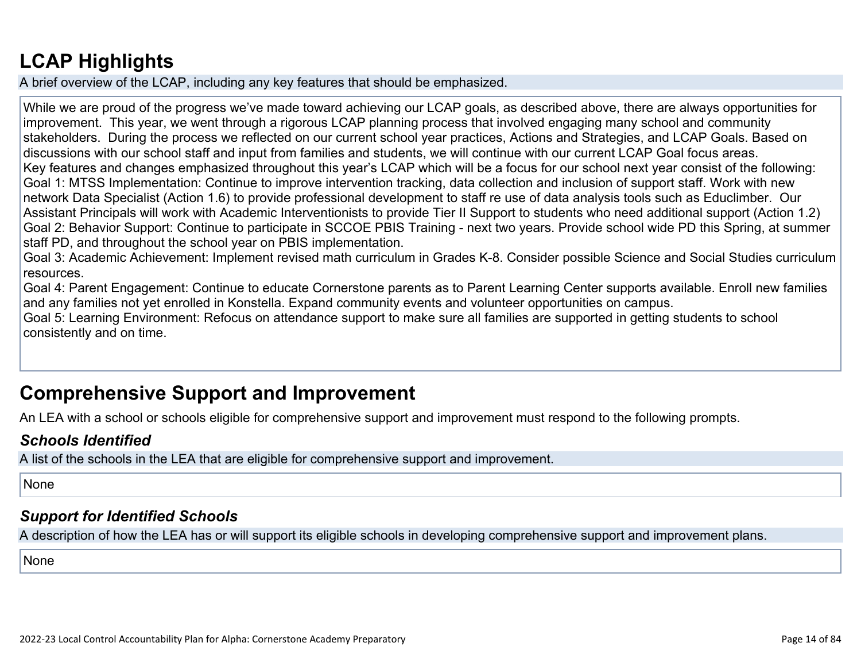## **[LCAP Highlights](http://www.doc-tracking.com/screenshots/22LCAP/Instructions/22LCAPInstructions.htm#LCAPHighlights)**

A brief overview of the LCAP, including any key features that should be emphasized.

While we are proud of the progress we've made toward achieving our LCAP goals, as described above, there are always opportunities for improvement. This year, we went through a rigorous LCAP planning process that involved engaging many school and community stakeholders. During the process we reflected on our current school year practices, Actions and Strategies, and LCAP Goals. Based on discussions with our school staff and input from families and students, we will continue with our current LCAP Goal focus areas. Key features and changes emphasized throughout this year's LCAP which will be a focus for our school next year consist of the following: Goal 1: MTSS Implementation: Continue to improve intervention tracking, data collection and inclusion of support staff. Work with new network Data Specialist (Action 1.6) to provide professional development to staff re use of data analysis tools such as Educlimber. Our Assistant Principals will work with Academic Interventionists to provide Tier II Support to students who need additional support (Action 1.2) Goal 2: Behavior Support: Continue to participate in SCCOE PBIS Training - next two years. Provide school wide PD this Spring, at summer staff PD, and throughout the school year on PBIS implementation.

Goal 3: Academic Achievement: Implement revised math curriculum in Grades K-8. Consider possible Science and Social Studies curriculum resources.

Goal 4: Parent Engagement: Continue to educate Cornerstone parents as to Parent Learning Center supports available. Enroll new families and any families not yet enrolled in Konstella. Expand community events and volunteer opportunities on campus.

Goal 5: Learning Environment: Refocus on attendance support to make sure all families are supported in getting students to school consistently and on time.

## **Comprehensive Support and Improvement**

An LEA with a school or schools eligible for comprehensive support and improvement must respond to the following prompts.

#### *[Schools Identified](http://www.doc-tracking.com/screenshots/22LCAP/Instructions/22LCAPInstructions.htm#SchoolsIdentified)*

A list of the schools in the LEA that are eligible for comprehensive support and improvement.

None

#### *[Support for Identified Schools](http://www.doc-tracking.com/screenshots/22LCAP/Instructions/22LCAPInstructions.htm#SupportforIdentifiedSchools)*

A description of how the LEA has or will support its eligible schools in developing comprehensive support and improvement plans.

None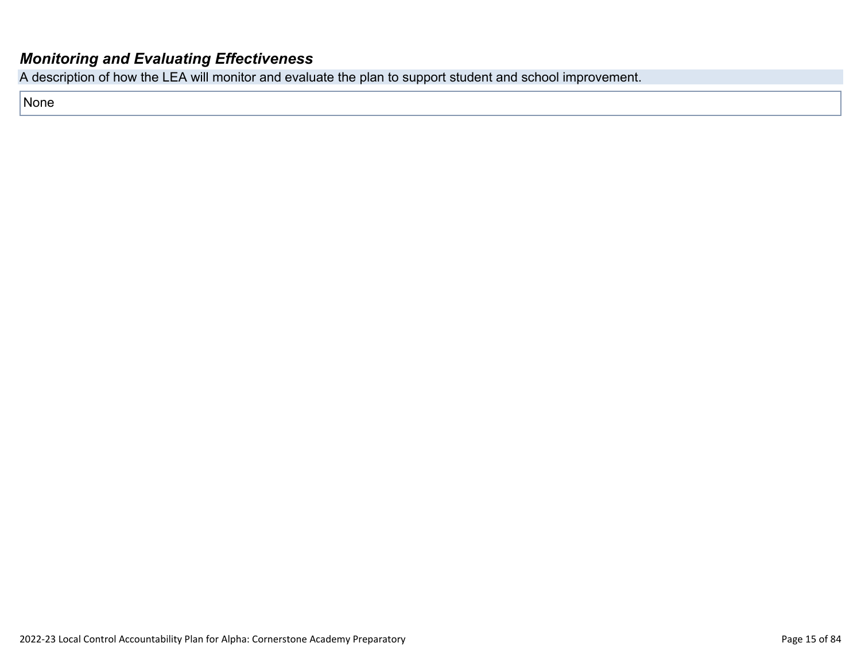#### *[Monitoring and Evaluating Effectiveness](http://www.doc-tracking.com/screenshots/22LCAP/Instructions/22LCAPInstructions.htm#MonitoringandEvaluatingEffectiveness)*

A description of how the LEA will monitor and evaluate the plan to support student and school improvement.

None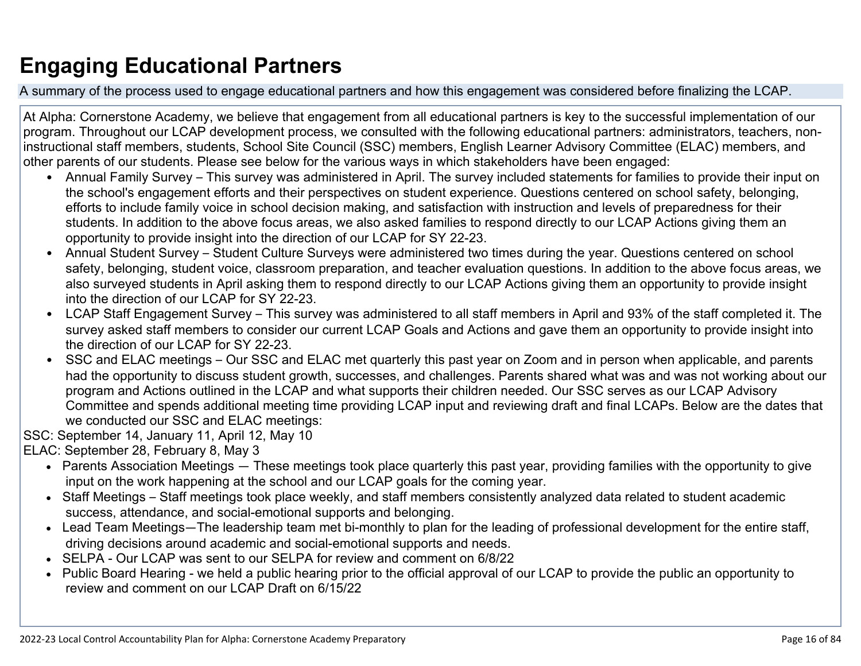# **Engaging Educational Partners**

A summary of the process used to engage educational partners and how this engagement was considered before finalizing the LCAP.

At Alpha: Cornerstone Academy, we believe that engagement from all educational partners is key to the successful implementation of our program. Throughout our LCAP development process, we consulted with the following educational partners: administrators, teachers, noninstructional staff members, students, School Site Council (SSC) members, English Learner Advisory Committee (ELAC) members, and other parents of our students. Please see below for the various ways in which stakeholders have been engaged:

- Annual Family Survey This survey was administered in April. The survey included statements for families to provide their input on the school's engagement efforts and their perspectives on student experience. Questions centered on school safety, belonging, efforts to include family voice in school decision making, and satisfaction with instruction and levels of preparedness for their students. In addition to the above focus areas, we also asked families to respond directly to our LCAP Actions giving them an opportunity to provide insight into the direction of our LCAP for SY 22-23.
- Annual Student Survey Student Culture Surveys were administered two times during the year. Questions centered on school safety, belonging, student voice, classroom preparation, and teacher evaluation questions. In addition to the above focus areas, we also surveyed students in April asking them to respond directly to our LCAP Actions giving them an opportunity to provide insight into the direction of our LCAP for SY 22-23.
- LCAP Staff Engagement Survey This survey was administered to all staff members in April and 93% of the staff completed it. The survey asked staff members to consider our current LCAP Goals and Actions and gave them an opportunity to provide insight into the direction of our LCAP for SY 22-23.
- SSC and ELAC meetings Our SSC and ELAC met quarterly this past year on Zoom and in person when applicable, and parents had the opportunity to discuss student growth, successes, and challenges. Parents shared what was and was not working about our program and Actions outlined in the LCAP and what supports their children needed. Our SSC serves as our LCAP Advisory Committee and spends additional meeting time providing LCAP input and reviewing draft and final LCAPs. Below are the dates that we conducted our SSC and ELAC meetings:

SSC: September 14, January 11, April 12, May 10

ELAC: September 28, February 8, May 3

- Parents Association Meetings These meetings took place quarterly this past year, providing families with the opportunity to give input on the work happening at the school and our LCAP goals for the coming year.
- Staff Meetings Staff meetings took place weekly, and staff members consistently analyzed data related to student academic success, attendance, and social-emotional supports and belonging.
- Lead Team Meetings—The leadership team met bi-monthly to plan for the leading of professional development for the entire staff, driving decisions around academic and social-emotional supports and needs.
- SELPA Our LCAP was sent to our SELPA for review and comment on 6/8/22
- Public Board Hearing we held a public hearing prior to the official approval of our LCAP to provide the public an opportunity to review and comment on our LCAP Draft on 6/15/22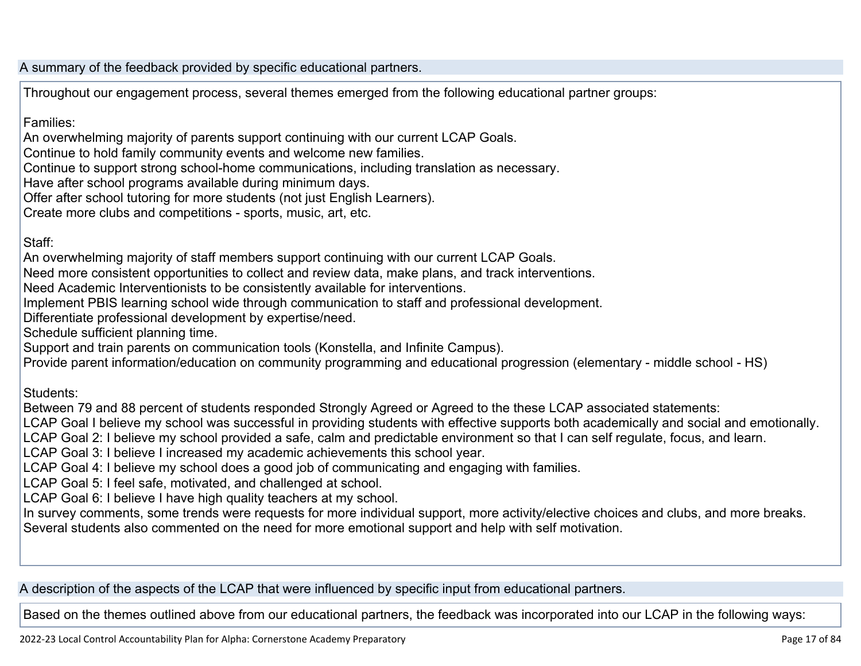A summary of the feedback provided by specific educational partners.

Throughout our engagement process, several themes emerged from the following educational partner groups:

Families:

An overwhelming majority of parents support continuing with our current LCAP Goals.

Continue to hold family community events and welcome new families.

Continue to support strong school-home communications, including translation as necessary.

Have after school programs available during minimum days.

Offer after school tutoring for more students (not just English Learners).

Create more clubs and competitions - sports, music, art, etc.

Staff:

An overwhelming majority of staff members support continuing with our current LCAP Goals.

Need more consistent opportunities to collect and review data, make plans, and track interventions.

Need Academic Interventionists to be consistently available for interventions.

Implement PBIS learning school wide through communication to staff and professional development.

Differentiate professional development by expertise/need.

Schedule sufficient planning time.

Support and train parents on communication tools (Konstella, and Infinite Campus).

Provide parent information/education on community programming and educational progression (elementary - middle school - HS)

Students:

Between 79 and 88 percent of students responded Strongly Agreed or Agreed to the these LCAP associated statements:

LCAP Goal I believe my school was successful in providing students with effective supports both academically and social and emotionally.

LCAP Goal 2: I believe my school provided a safe, calm and predictable environment so that I can self regulate, focus, and learn.

LCAP Goal 3: I believe I increased my academic achievements this school year.

LCAP Goal 4: I believe my school does a good job of communicating and engaging with families.

LCAP Goal 5: I feel safe, motivated, and challenged at school.

LCAP Goal 6: I believe I have high quality teachers at my school.

In survey comments, some trends were requests for more individual support, more activity/elective choices and clubs, and more breaks. Several students also commented on the need for more emotional support and help with self motivation.

A description of the aspects of the LCAP that were influenced by specific input from educational partners.

Based on the themes outlined above from our educational partners, the feedback was incorporated into our LCAP in the following ways: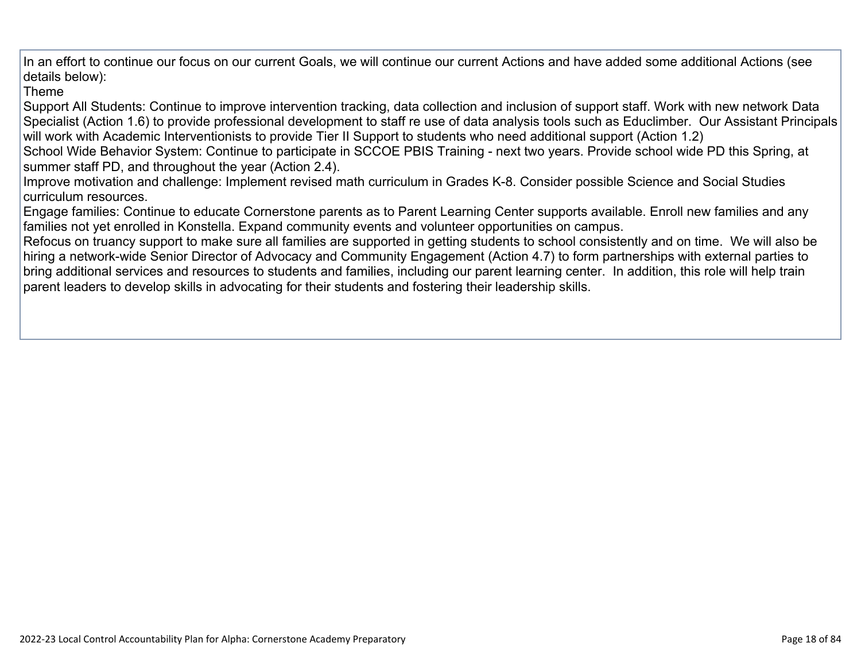In an effort to continue our focus on our current Goals, we will continue our current Actions and have added some additional Actions (see details below):

#### Theme

Support All Students: Continue to improve intervention tracking, data collection and inclusion of support staff. Work with new network Data Specialist (Action 1.6) to provide professional development to staff re use of data analysis tools such as Educlimber. Our Assistant Principals will work with Academic Interventionists to provide Tier II Support to students who need additional support (Action 1.2)

School Wide Behavior System: Continue to participate in SCCOE PBIS Training - next two years. Provide school wide PD this Spring, at summer staff PD, and throughout the year (Action 2.4).

Improve motivation and challenge: Implement revised math curriculum in Grades K-8. Consider possible Science and Social Studies curriculum resources.

Engage families: Continue to educate Cornerstone parents as to Parent Learning Center supports available. Enroll new families and any families not yet enrolled in Konstella. Expand community events and volunteer opportunities on campus.

Refocus on truancy support to make sure all families are supported in getting students to school consistently and on time. We will also be hiring a network-wide Senior Director of Advocacy and Community Engagement (Action 4.7) to form partnerships with external parties to bring additional services and resources to students and families, including our parent learning center. In addition, this role will help train parent leaders to develop skills in advocating for their students and fostering their leadership skills.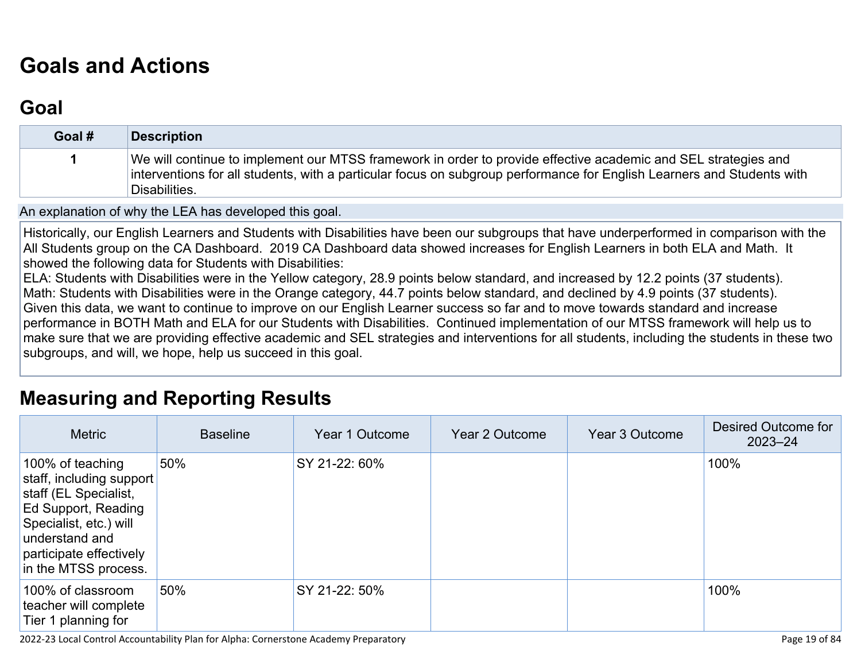# **[Goals and Actions](http://www.doc-tracking.com/screenshots/22LCAP/Instructions/22LCAPInstructions.htm#GoalsandActions)**

## **[Goal](http://www.doc-tracking.com/screenshots/22LCAP/Instructions/22LCAPInstructions.htm#goalDescription)**

| Goal # | <b>Description</b>                                                                                                                                                                                                                                        |
|--------|-----------------------------------------------------------------------------------------------------------------------------------------------------------------------------------------------------------------------------------------------------------|
|        | We will continue to implement our MTSS framework in order to provide effective academic and SEL strategies and<br>interventions for all students, with a particular focus on subgroup performance for English Learners and Students with<br>Disabilities. |

An explanation of why the LEA has developed this goal.

Historically, our English Learners and Students with Disabilities have been our subgroups that have underperformed in comparison with the All Students group on the CA Dashboard. 2019 CA Dashboard data showed increases for English Learners in both ELA and Math. It showed the following data for Students with Disabilities:

ELA: Students with Disabilities were in the Yellow category, 28.9 points below standard, and increased by 12.2 points (37 students). Math: Students with Disabilities were in the Orange category, 44.7 points below standard, and declined by 4.9 points (37 students). Given this data, we want to continue to improve on our English Learner success so far and to move towards standard and increase performance in BOTH Math and ELA for our Students with Disabilities. Continued implementation of our MTSS framework will help us to make sure that we are providing effective academic and SEL strategies and interventions for all students, including the students in these two subgroups, and will, we hope, help us succeed in this goal.

#### **[Measuring and Reporting Results](http://www.doc-tracking.com/screenshots/22LCAP/Instructions/22LCAPInstructions.htm#MeasuringandReportingResults)**

| <b>Metric</b>                                                                                                                                                                               | <b>Baseline</b> | Year 1 Outcome | Year 2 Outcome | Year 3 Outcome | Desired Outcome for<br>$2023 - 24$ |
|---------------------------------------------------------------------------------------------------------------------------------------------------------------------------------------------|-----------------|----------------|----------------|----------------|------------------------------------|
| 100% of teaching<br>staff, including support<br>staff (EL Specialist,<br>Ed Support, Reading<br>Specialist, etc.) will<br>understand and<br>participate effectively<br>in the MTSS process. | 50%             | SY 21-22: 60%  |                |                | 100%                               |
| 100% of classroom<br>teacher will complete<br>Tier 1 planning for                                                                                                                           | 50%             | SY 21-22: 50%  |                |                | 100%                               |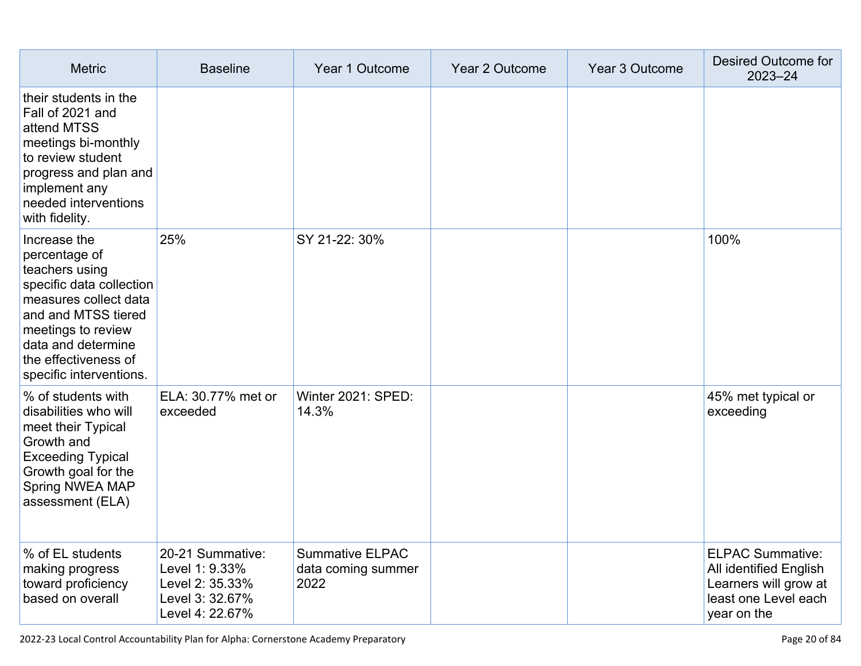| <b>Metric</b>                                                                                                                                                                                                              | <b>Baseline</b>                                                                             | Year 1 Outcome                                       | Year 2 Outcome | Year 3 Outcome | Desired Outcome for<br>$2023 - 24$                                                                                |
|----------------------------------------------------------------------------------------------------------------------------------------------------------------------------------------------------------------------------|---------------------------------------------------------------------------------------------|------------------------------------------------------|----------------|----------------|-------------------------------------------------------------------------------------------------------------------|
| their students in the<br>Fall of 2021 and<br>attend MTSS<br>meetings bi-monthly<br>to review student<br>progress and plan and<br>implement any<br>needed interventions<br>with fidelity.                                   |                                                                                             |                                                      |                |                |                                                                                                                   |
| Increase the<br>percentage of<br>teachers using<br>specific data collection<br>measures collect data<br>and and MTSS tiered<br>meetings to review<br>data and determine<br>the effectiveness of<br>specific interventions. | 25%                                                                                         | SY 21-22: 30%                                        |                |                | 100%                                                                                                              |
| % of students with<br>disabilities who will<br>meet their Typical<br>Growth and<br><b>Exceeding Typical</b><br>Growth goal for the<br>Spring NWEA MAP<br>assessment (ELA)                                                  | ELA: 30.77% met or<br>exceeded                                                              | Winter 2021: SPED:<br>14.3%                          |                |                | 45% met typical or<br>exceeding                                                                                   |
| % of EL students<br>making progress<br>toward proficiency<br>based on overall                                                                                                                                              | 20-21 Summative:<br>Level 1: 9.33%<br>Level 2: 35.33%<br>Level 3: 32.67%<br>Level 4: 22.67% | <b>Summative ELPAC</b><br>data coming summer<br>2022 |                |                | <b>ELPAC Summative:</b><br>All identified English<br>Learners will grow at<br>least one Level each<br>year on the |

2022-23 Local Control Accountability Plan for Alpha: Cornerstone Academy Preparatory **Page 20** of 84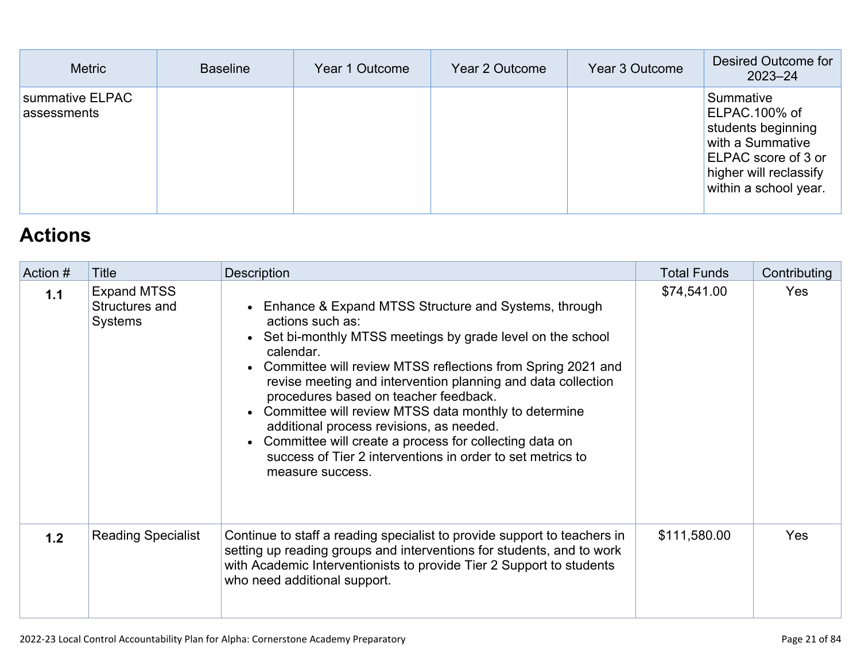| <b>Metric</b>                  | <b>Baseline</b> | Year 1 Outcome | Year 2 Outcome | Year 3 Outcome | Desired Outcome for<br>$2023 - 24$                                                                                                             |
|--------------------------------|-----------------|----------------|----------------|----------------|------------------------------------------------------------------------------------------------------------------------------------------------|
| summative ELPAC<br>assessments |                 |                |                |                | Summative<br>ELPAC.100% of<br>students beginning<br>with a Summative<br>ELPAC score of 3 or<br>higher will reclassify<br>within a school year. |

## **[Actions](http://www.doc-tracking.com/screenshots/22LCAP/Instructions/22LCAPInstructions.htm#actions)**

| Action # | <b>Title</b>                                           | <b>Description</b>                                                                                                                                                                                                                                                                                                                                                                                                                                                                                                                                                                                                | <b>Total Funds</b> | Contributing |
|----------|--------------------------------------------------------|-------------------------------------------------------------------------------------------------------------------------------------------------------------------------------------------------------------------------------------------------------------------------------------------------------------------------------------------------------------------------------------------------------------------------------------------------------------------------------------------------------------------------------------------------------------------------------------------------------------------|--------------------|--------------|
| 1.1      | <b>Expand MTSS</b><br>Structures and<br><b>Systems</b> | Enhance & Expand MTSS Structure and Systems, through<br>$\bullet$<br>actions such as:<br>Set bi-monthly MTSS meetings by grade level on the school<br>$\bullet$<br>calendar.<br>Committee will review MTSS reflections from Spring 2021 and<br>$\bullet$<br>revise meeting and intervention planning and data collection<br>procedures based on teacher feedback.<br>Committee will review MTSS data monthly to determine<br>additional process revisions, as needed.<br>Committee will create a process for collecting data on<br>success of Tier 2 interventions in order to set metrics to<br>measure success. | \$74,541.00        | Yes          |
| 1.2      | <b>Reading Specialist</b>                              | Continue to staff a reading specialist to provide support to teachers in<br>setting up reading groups and interventions for students, and to work<br>with Academic Interventionists to provide Tier 2 Support to students<br>who need additional support.                                                                                                                                                                                                                                                                                                                                                         | \$111,580.00       | <b>Yes</b>   |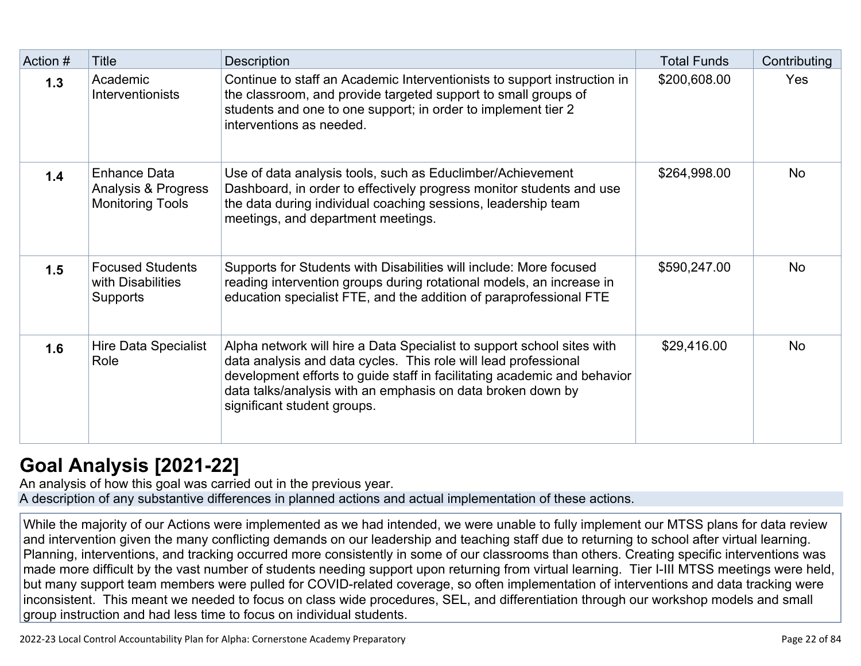| Action # | Title                                                          | Description                                                                                                                                                                                                                                                                                                         | <b>Total Funds</b> | Contributing |
|----------|----------------------------------------------------------------|---------------------------------------------------------------------------------------------------------------------------------------------------------------------------------------------------------------------------------------------------------------------------------------------------------------------|--------------------|--------------|
| 1.3      | Academic<br><b>Interventionists</b>                            | Continue to staff an Academic Interventionists to support instruction in<br>the classroom, and provide targeted support to small groups of<br>students and one to one support; in order to implement tier 2<br>interventions as needed.                                                                             | \$200,608.00       | Yes          |
| 1.4      | Enhance Data<br>Analysis & Progress<br><b>Monitoring Tools</b> | Use of data analysis tools, such as Educlimber/Achievement<br>Dashboard, in order to effectively progress monitor students and use<br>the data during individual coaching sessions, leadership team<br>meetings, and department meetings.                                                                           | \$264,998.00       | <b>No</b>    |
| 1.5      | <b>Focused Students</b><br>with Disabilities<br>Supports       | Supports for Students with Disabilities will include: More focused<br>reading intervention groups during rotational models, an increase in<br>education specialist FTE, and the addition of paraprofessional FTE                                                                                                    | \$590,247.00       | <b>No</b>    |
| 1.6      | Hire Data Specialist<br>Role                                   | Alpha network will hire a Data Specialist to support school sites with<br>data analysis and data cycles. This role will lead professional<br>development efforts to guide staff in facilitating academic and behavior<br>data talks/analysis with an emphasis on data broken down by<br>significant student groups. | \$29,416.00        | <b>No</b>    |

## **[Goal Analysis \[2021-22\]](http://www.doc-tracking.com/screenshots/22LCAP/Instructions/22LCAPInstructions.htm#GoalAnalysis)**

An analysis of how this goal was carried out in the previous year. A description of any substantive differences in planned actions and actual implementation of these actions.

While the majority of our Actions were implemented as we had intended, we were unable to fully implement our MTSS plans for data review and intervention given the many conflicting demands on our leadership and teaching staff due to returning to school after virtual learning. Planning, interventions, and tracking occurred more consistently in some of our classrooms than others. Creating specific interventions was made more difficult by the vast number of students needing support upon returning from virtual learning. Tier I-III MTSS meetings were held, but many support team members were pulled for COVID-related coverage, so often implementation of interventions and data tracking were inconsistent. This meant we needed to focus on class wide procedures, SEL, and differentiation through our workshop models and small group instruction and had less time to focus on individual students.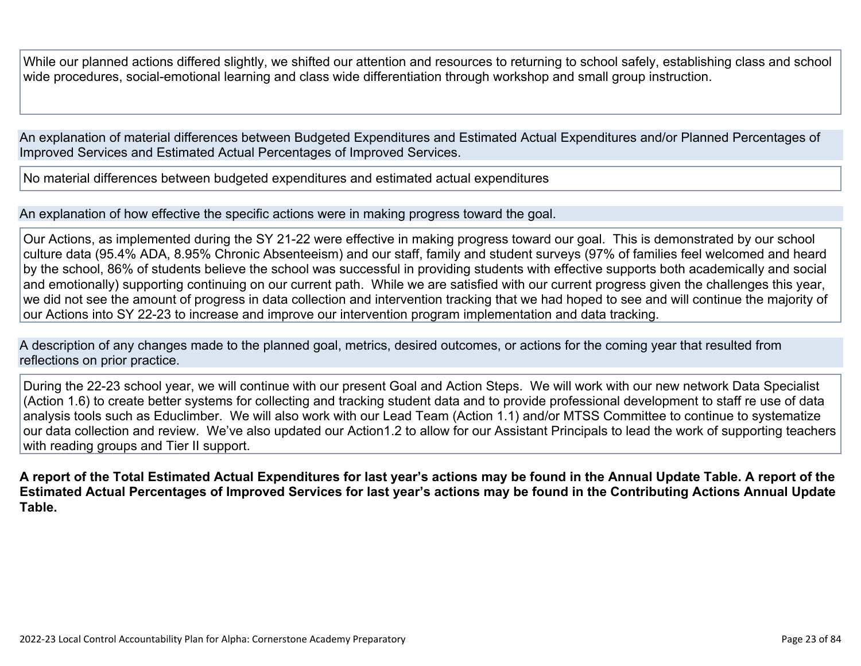While our planned actions differed slightly, we shifted our attention and resources to returning to school safely, establishing class and school wide procedures, social-emotional learning and class wide differentiation through workshop and small group instruction.

An explanation of material differences between Budgeted Expenditures and Estimated Actual Expenditures and/or Planned Percentages of Improved Services and Estimated Actual Percentages of Improved Services.

No material differences between budgeted expenditures and estimated actual expenditures

An explanation of how effective the specific actions were in making progress toward the goal.

Our Actions, as implemented during the SY 21-22 were effective in making progress toward our goal. This is demonstrated by our school culture data (95.4% ADA, 8.95% Chronic Absenteeism) and our staff, family and student surveys (97% of families feel welcomed and heard by the school, 86% of students believe the school was successful in providing students with effective supports both academically and social and emotionally) supporting continuing on our current path. While we are satisfied with our current progress given the challenges this year, we did not see the amount of progress in data collection and intervention tracking that we had hoped to see and will continue the majority of our Actions into SY 22-23 to increase and improve our intervention program implementation and data tracking.

A description of any changes made to the planned goal, metrics, desired outcomes, or actions for the coming year that resulted from reflections on prior practice.

During the 22-23 school year, we will continue with our present Goal and Action Steps. We will work with our new network Data Specialist (Action 1.6) to create better systems for collecting and tracking student data and to provide professional development to staff re use of data analysis tools such as Educlimber. We will also work with our Lead Team (Action 1.1) and/or MTSS Committee to continue to systematize our data collection and review. We've also updated our Action1.2 to allow for our Assistant Principals to lead the work of supporting teachers with reading groups and Tier II support.

**A report of the Total Estimated Actual Expenditures for last year's actions may be found in the Annual Update Table. A report of the Estimated Actual Percentages of Improved Services for last year's actions may be found in the Contributing Actions Annual Update Table.**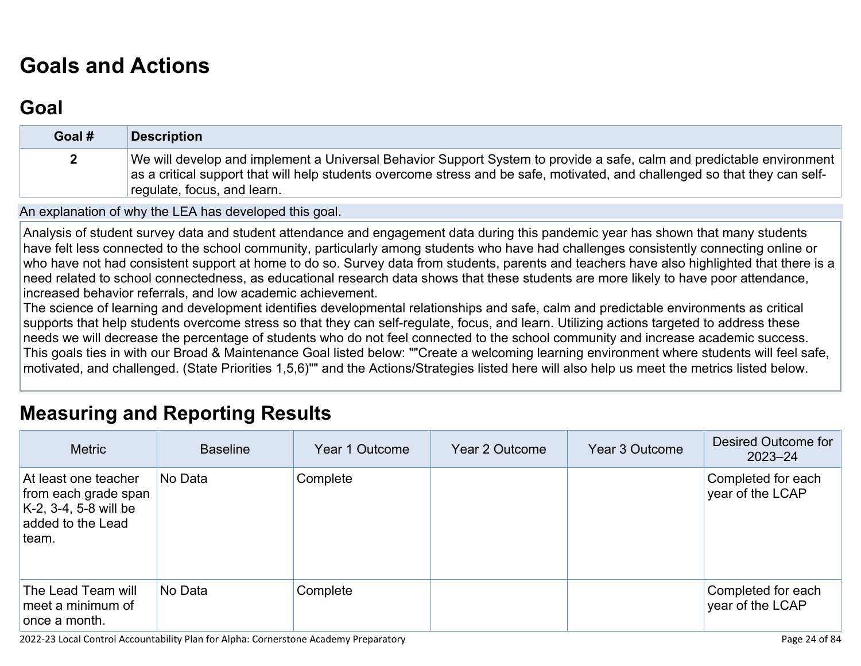# **[Goals and Actions](http://www.doc-tracking.com/screenshots/22LCAP/Instructions/22LCAPInstructions.htm#GoalsandActions)**

## **[Goal](http://www.doc-tracking.com/screenshots/22LCAP/Instructions/22LCAPInstructions.htm#goalDescription)**

| Goal # | <b>Description</b>                                                                                                                                                                                                                                                                  |
|--------|-------------------------------------------------------------------------------------------------------------------------------------------------------------------------------------------------------------------------------------------------------------------------------------|
|        | We will develop and implement a Universal Behavior Support System to provide a safe, calm and predictable environment<br>as a critical support that will help students overcome stress and be safe, motivated, and challenged so that they can self-<br>regulate, focus, and learn. |

An explanation of why the LEA has developed this goal.

Analysis of student survey data and student attendance and engagement data during this pandemic year has shown that many students have felt less connected to the school community, particularly among students who have had challenges consistently connecting online or who have not had consistent support at home to do so. Survey data from students, parents and teachers have also highlighted that there is a need related to school connectedness, as educational research data shows that these students are more likely to have poor attendance, increased behavior referrals, and low academic achievement.

The science of learning and development identifies developmental relationships and safe, calm and predictable environments as critical supports that help students overcome stress so that they can self-regulate, focus, and learn. Utilizing actions targeted to address these needs we will decrease the percentage of students who do not feel connected to the school community and increase academic success. This goals ties in with our Broad & Maintenance Goal listed below: ""Create a welcoming learning environment where students will feel safe, motivated, and challenged. (State Priorities 1,5,6)"" and the Actions/Strategies listed here will also help us meet the metrics listed below.

## **[Measuring and Reporting Results](http://www.doc-tracking.com/screenshots/22LCAP/Instructions/22LCAPInstructions.htm#MeasuringandReportingResults)**

| <b>Metric</b>                                                                                          | <b>Baseline</b> | Year 1 Outcome | Year 2 Outcome | Year 3 Outcome | Desired Outcome for<br>$2023 - 24$     |
|--------------------------------------------------------------------------------------------------------|-----------------|----------------|----------------|----------------|----------------------------------------|
| At least one teacher<br>from each grade span<br>$K-2$ , 3-4, 5-8 will be<br>added to the Lead<br>team. | No Data         | Complete       |                |                | Completed for each<br>year of the LCAP |
| The Lead Team will<br>meet a minimum of<br>once a month.                                               | No Data         | Complete       |                |                | Completed for each<br>year of the LCAP |

2022-23 Local Control Accountability Plan for Alpha: Cornerstone Academy Preparatory Page 24 of 84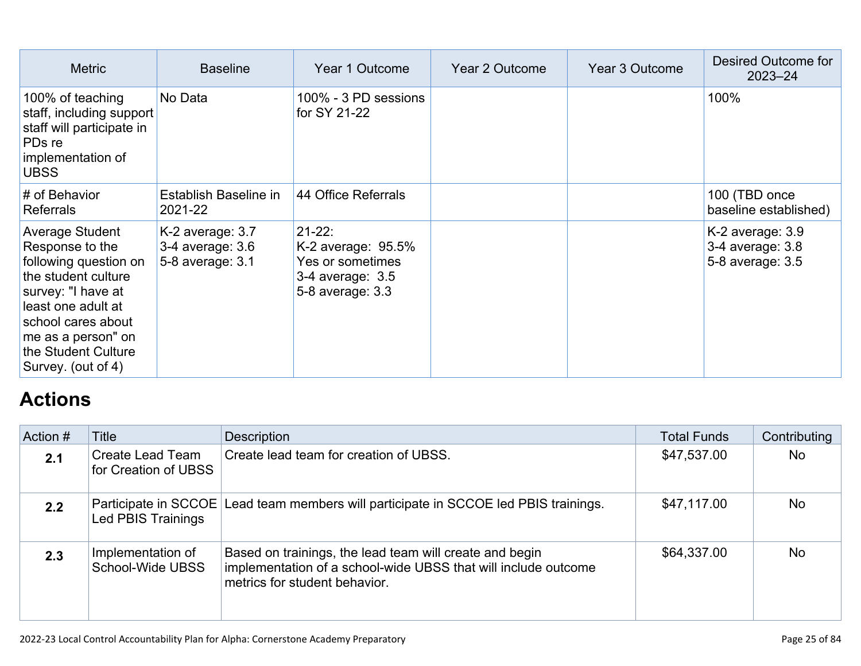| <b>Metric</b>                                                                                                                                                                                                           | <b>Baseline</b>                                          | Year 1 Outcome                                                                                   | Year 2 Outcome | Year 3 Outcome | Desired Outcome for<br>$2023 - 24$                       |
|-------------------------------------------------------------------------------------------------------------------------------------------------------------------------------------------------------------------------|----------------------------------------------------------|--------------------------------------------------------------------------------------------------|----------------|----------------|----------------------------------------------------------|
| 100% of teaching<br>staff, including support<br>staff will participate in<br>PD <sub>s</sub> re<br>implementation of<br><b>UBSS</b>                                                                                     | No Data                                                  | 100% - 3 PD sessions<br>for SY 21-22                                                             |                |                | 100%                                                     |
| # of Behavior<br><b>Referrals</b>                                                                                                                                                                                       | Establish Baseline in<br>2021-22                         | 44 Office Referrals                                                                              |                |                | 100 (TBD once<br>baseline established)                   |
| Average Student<br>Response to the<br>following question on<br>the student culture<br>survey: "I have at<br>least one adult at<br>school cares about<br>me as a person" on<br>the Student Culture<br>Survey. (out of 4) | K-2 average: 3.7<br>3-4 average: 3.6<br>5-8 average: 3.1 | $21 - 22$ :<br>K-2 average: $95.5\%$<br>Yes or sometimes<br>3-4 average: 3.5<br>5-8 average: 3.3 |                |                | K-2 average: 3.9<br>3-4 average: 3.8<br>5-8 average: 3.5 |

## **[Actions](http://www.doc-tracking.com/screenshots/22LCAP/Instructions/22LCAPInstructions.htm#actions)**

| Action # | Title                                    | <b>Description</b>                                                                                                                                         | <b>Total Funds</b> | Contributing |
|----------|------------------------------------------|------------------------------------------------------------------------------------------------------------------------------------------------------------|--------------------|--------------|
| 2.1      | Create Lead Team<br>for Creation of UBSS | Create lead team for creation of UBSS.                                                                                                                     | \$47,537.00        | No           |
| 2.2      | Led PBIS Trainings                       | Participate in SCCOE Lead team members will participate in SCCOE led PBIS trainings.                                                                       | \$47,117.00        | <b>No</b>    |
| 2.3      | Implementation of<br>School-Wide UBSS    | Based on trainings, the lead team will create and begin<br>implementation of a school-wide UBSS that will include outcome<br>metrics for student behavior. | \$64,337.00        | <b>No</b>    |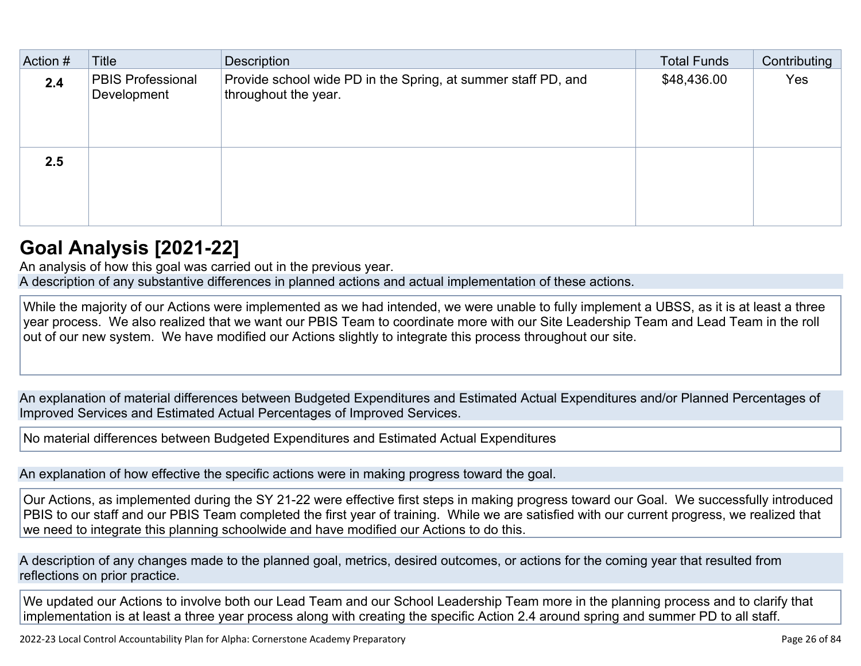| Action # | Title                                   | Description                                                                           | <b>Total Funds</b> | Contributing |
|----------|-----------------------------------------|---------------------------------------------------------------------------------------|--------------------|--------------|
| 2.4      | <b>PBIS Professional</b><br>Development | Provide school wide PD in the Spring, at summer staff PD, and<br>throughout the year. | \$48,436.00        | Yes          |
| 2.5      |                                         |                                                                                       |                    |              |

#### **[Goal Analysis \[2021-22\]](http://www.doc-tracking.com/screenshots/22LCAP/Instructions/22LCAPInstructions.htm#GoalAnalysis)**

An analysis of how this goal was carried out in the previous year.

A description of any substantive differences in planned actions and actual implementation of these actions.

While the majority of our Actions were implemented as we had intended, we were unable to fully implement a UBSS, as it is at least a three year process. We also realized that we want our PBIS Team to coordinate more with our Site Leadership Team and Lead Team in the roll out of our new system. We have modified our Actions slightly to integrate this process throughout our site.

An explanation of material differences between Budgeted Expenditures and Estimated Actual Expenditures and/or Planned Percentages of Improved Services and Estimated Actual Percentages of Improved Services.

No material differences between Budgeted Expenditures and Estimated Actual Expenditures

An explanation of how effective the specific actions were in making progress toward the goal.

Our Actions, as implemented during the SY 21-22 were effective first steps in making progress toward our Goal. We successfully introduced PBIS to our staff and our PBIS Team completed the first year of training. While we are satisfied with our current progress, we realized that we need to integrate this planning schoolwide and have modified our Actions to do this.

A description of any changes made to the planned goal, metrics, desired outcomes, or actions for the coming year that resulted from reflections on prior practice.

We updated our Actions to involve both our Lead Team and our School Leadership Team more in the planning process and to clarify that implementation is at least a three year process along with creating the specific Action 2.4 around spring and summer PD to all staff.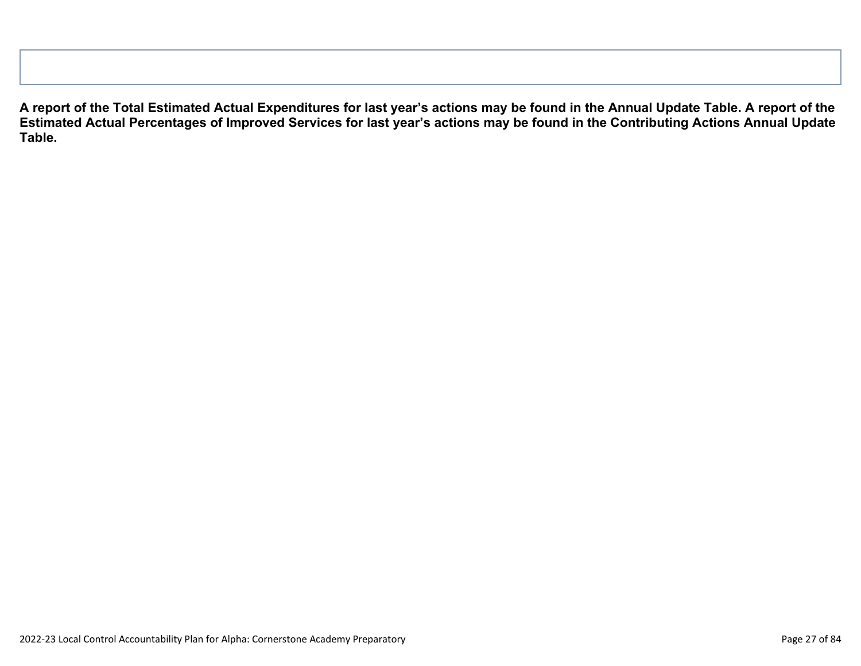**A report of the Total Estimated Actual Expenditures for last year's actions may be found in the Annual Update Table. A report of the Estimated Actual Percentages of Improved Services for last year's actions may be found in the Contributing Actions Annual Update Table.**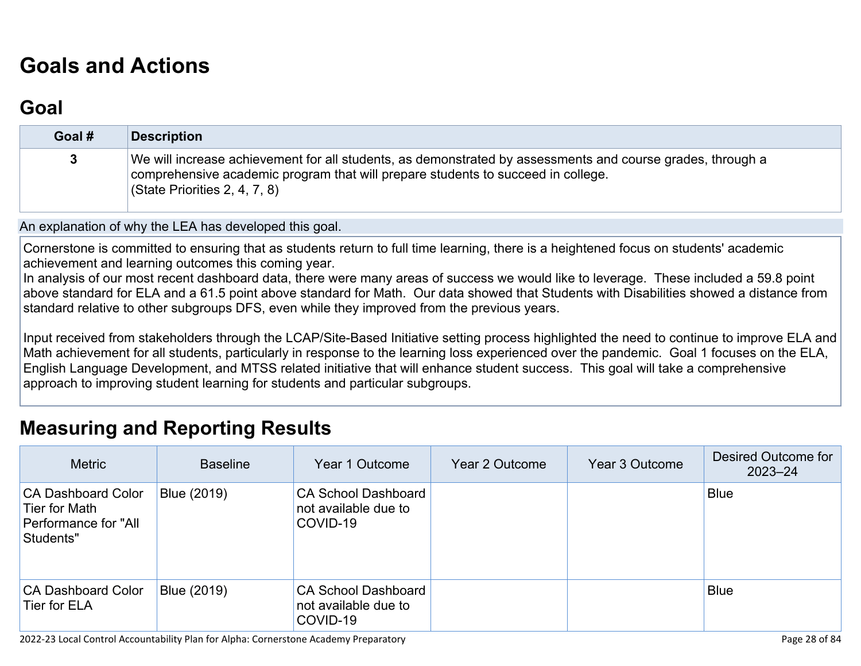# **[Goals and Actions](http://www.doc-tracking.com/screenshots/22LCAP/Instructions/22LCAPInstructions.htm#GoalsandActions)**

## **[Goal](http://www.doc-tracking.com/screenshots/22LCAP/Instructions/22LCAPInstructions.htm#goalDescription)**

| Goal # | <b>Description</b>                                                                                                                                                                                                                         |
|--------|--------------------------------------------------------------------------------------------------------------------------------------------------------------------------------------------------------------------------------------------|
|        | We will increase achievement for all students, as demonstrated by assessments and course grades, through a<br>comprehensive academic program that will prepare students to succeed in college.<br>$\sqrt{3}$ (State Priorities 2, 4, 7, 8) |

An explanation of why the LEA has developed this goal.

Cornerstone is committed to ensuring that as students return to full time learning, there is a heightened focus on students' academic achievement and learning outcomes this coming year.

In analysis of our most recent dashboard data, there were many areas of success we would like to leverage. These included a 59.8 point above standard for ELA and a 61.5 point above standard for Math. Our data showed that Students with Disabilities showed a distance from standard relative to other subgroups DFS, even while they improved from the previous years.

Input received from stakeholders through the LCAP/Site-Based Initiative setting process highlighted the need to continue to improve ELA and Math achievement for all students, particularly in response to the learning loss experienced over the pandemic. Goal 1 focuses on the ELA, English Language Development, and MTSS related initiative that will enhance student success. This goal will take a comprehensive approach to improving student learning for students and particular subgroups.

#### **[Measuring and Reporting Results](http://www.doc-tracking.com/screenshots/22LCAP/Instructions/22LCAPInstructions.htm#MeasuringandReportingResults)**

| <b>Metric</b>                                                                   | <b>Baseline</b> | Year 1 Outcome                                                 | Year 2 Outcome | Year 3 Outcome | Desired Outcome for<br>$2023 - 24$ |
|---------------------------------------------------------------------------------|-----------------|----------------------------------------------------------------|----------------|----------------|------------------------------------|
| <b>CA Dashboard Color</b><br>Tier for Math<br>Performance for "All<br>Students" | Blue (2019)     | <b>CA School Dashboard</b><br>not available due to<br>COVID-19 |                |                | <b>Blue</b>                        |
| <b>CA Dashboard Color</b><br>Tier for ELA                                       | Blue (2019)     | <b>CA School Dashboard</b><br>not available due to<br>COVID-19 |                |                | <b>Blue</b>                        |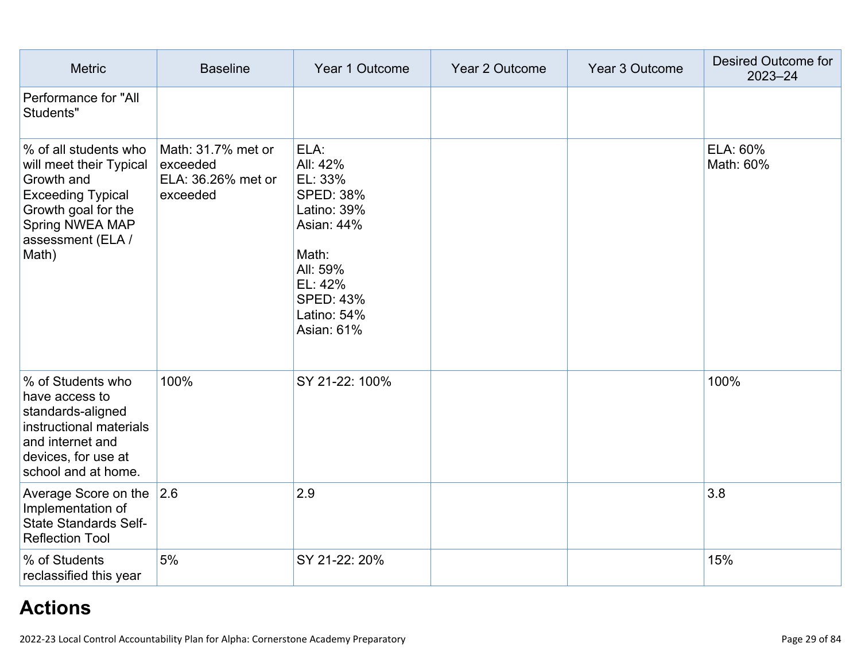| <b>Metric</b>                                                                                                                                                      | <b>Baseline</b>                                                  | Year 1 Outcome                                                                                                                                                       | Year 2 Outcome | Year 3 Outcome | <b>Desired Outcome for</b><br>$2023 - 24$ |
|--------------------------------------------------------------------------------------------------------------------------------------------------------------------|------------------------------------------------------------------|----------------------------------------------------------------------------------------------------------------------------------------------------------------------|----------------|----------------|-------------------------------------------|
| Performance for "All<br>Students"                                                                                                                                  |                                                                  |                                                                                                                                                                      |                |                |                                           |
| % of all students who<br>will meet their Typical<br>Growth and<br><b>Exceeding Typical</b><br>Growth goal for the<br>Spring NWEA MAP<br>assessment (ELA /<br>Math) | Math: 31.7% met or<br>exceeded<br>ELA: 36.26% met or<br>exceeded | ELA:<br>All: 42%<br>EL: 33%<br><b>SPED: 38%</b><br>Latino: 39%<br><b>Asian: 44%</b><br>Math:<br>All: 59%<br>EL: 42%<br><b>SPED: 43%</b><br>Latino: 54%<br>Asian: 61% |                |                | ELA: 60%<br>Math: 60%                     |
| % of Students who<br>have access to<br>standards-aligned<br>instructional materials<br>and internet and<br>devices, for use at<br>school and at home.              | 100%                                                             | SY 21-22: 100%                                                                                                                                                       |                |                | 100%                                      |
| Average Score on the $ 2.6 $<br>Implementation of<br><b>State Standards Self-</b><br><b>Reflection Tool</b>                                                        |                                                                  | 2.9                                                                                                                                                                  |                |                | 3.8                                       |
| % of Students<br>reclassified this year                                                                                                                            | 5%                                                               | SY 21-22: 20%                                                                                                                                                        |                |                | 15%                                       |

## **[Actions](http://www.doc-tracking.com/screenshots/22LCAP/Instructions/22LCAPInstructions.htm#actions)**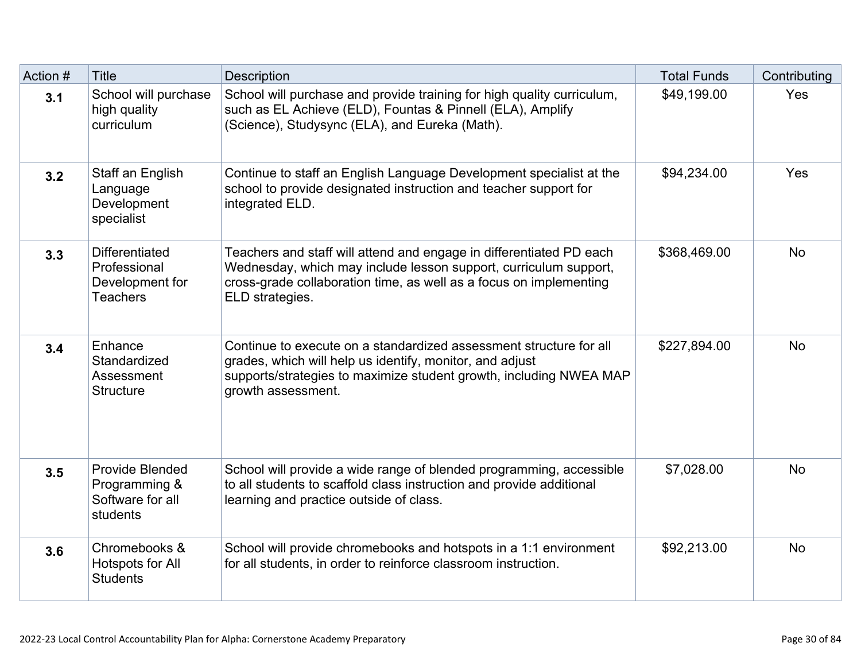| Action # | <b>Title</b>                                                                | Description                                                                                                                                                                                                                      | <b>Total Funds</b> | Contributing |
|----------|-----------------------------------------------------------------------------|----------------------------------------------------------------------------------------------------------------------------------------------------------------------------------------------------------------------------------|--------------------|--------------|
| 3.1      | School will purchase<br>high quality<br>curriculum                          | School will purchase and provide training for high quality curriculum,<br>such as EL Achieve (ELD), Fountas & Pinnell (ELA), Amplify<br>(Science), Studysync (ELA), and Eureka (Math).                                           | \$49,199.00        | Yes          |
| 3.2      | Staff an English<br>Language<br>Development<br>specialist                   | Continue to staff an English Language Development specialist at the<br>school to provide designated instruction and teacher support for<br>integrated ELD.                                                                       | \$94,234.00        | Yes          |
| 3.3      | <b>Differentiated</b><br>Professional<br>Development for<br><b>Teachers</b> | Teachers and staff will attend and engage in differentiated PD each<br>Wednesday, which may include lesson support, curriculum support,<br>cross-grade collaboration time, as well as a focus on implementing<br>ELD strategies. | \$368,469.00       | <b>No</b>    |
| 3.4      | Enhance<br>Standardized<br>Assessment<br><b>Structure</b>                   | Continue to execute on a standardized assessment structure for all<br>grades, which will help us identify, monitor, and adjust<br>supports/strategies to maximize student growth, including NWEA MAP<br>growth assessment.       | \$227,894.00       | <b>No</b>    |
| 3.5      | <b>Provide Blended</b><br>Programming &<br>Software for all<br>students     | School will provide a wide range of blended programming, accessible<br>to all students to scaffold class instruction and provide additional<br>learning and practice outside of class.                                           | \$7,028.00         | <b>No</b>    |
| 3.6      | Chromebooks &<br>Hotspots for All<br><b>Students</b>                        | School will provide chromebooks and hotspots in a 1:1 environment<br>for all students, in order to reinforce classroom instruction.                                                                                              | \$92,213.00        | <b>No</b>    |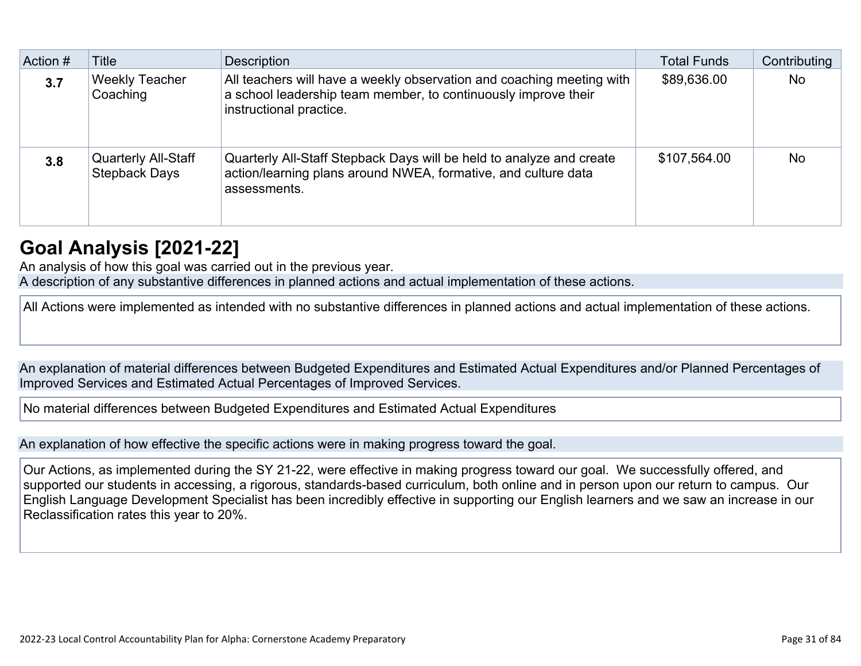| Action # | Title                                              | <b>Description</b>                                                                                                                                                 | <b>Total Funds</b> | Contributing |
|----------|----------------------------------------------------|--------------------------------------------------------------------------------------------------------------------------------------------------------------------|--------------------|--------------|
| 3.7      | <b>Weekly Teacher</b><br>Coaching                  | All teachers will have a weekly observation and coaching meeting with<br>a school leadership team member, to continuously improve their<br>instructional practice. | \$89,636.00        | <b>No</b>    |
| 3.8      | <b>Quarterly All-Staff</b><br><b>Stepback Days</b> | Quarterly All-Staff Stepback Days will be held to analyze and create<br>action/learning plans around NWEA, formative, and culture data<br>assessments.             | \$107,564.00       | <b>No</b>    |

#### **[Goal Analysis \[2021-22\]](http://www.doc-tracking.com/screenshots/22LCAP/Instructions/22LCAPInstructions.htm#GoalAnalysis)**

An analysis of how this goal was carried out in the previous year.

A description of any substantive differences in planned actions and actual implementation of these actions.

All Actions were implemented as intended with no substantive differences in planned actions and actual implementation of these actions.

An explanation of material differences between Budgeted Expenditures and Estimated Actual Expenditures and/or Planned Percentages of Improved Services and Estimated Actual Percentages of Improved Services.

No material differences between Budgeted Expenditures and Estimated Actual Expenditures

An explanation of how effective the specific actions were in making progress toward the goal.

Our Actions, as implemented during the SY 21-22, were effective in making progress toward our goal. We successfully offered, and supported our students in accessing, a rigorous, standards-based curriculum, both online and in person upon our return to campus. Our English Language Development Specialist has been incredibly effective in supporting our English learners and we saw an increase in our Reclassification rates this year to 20%.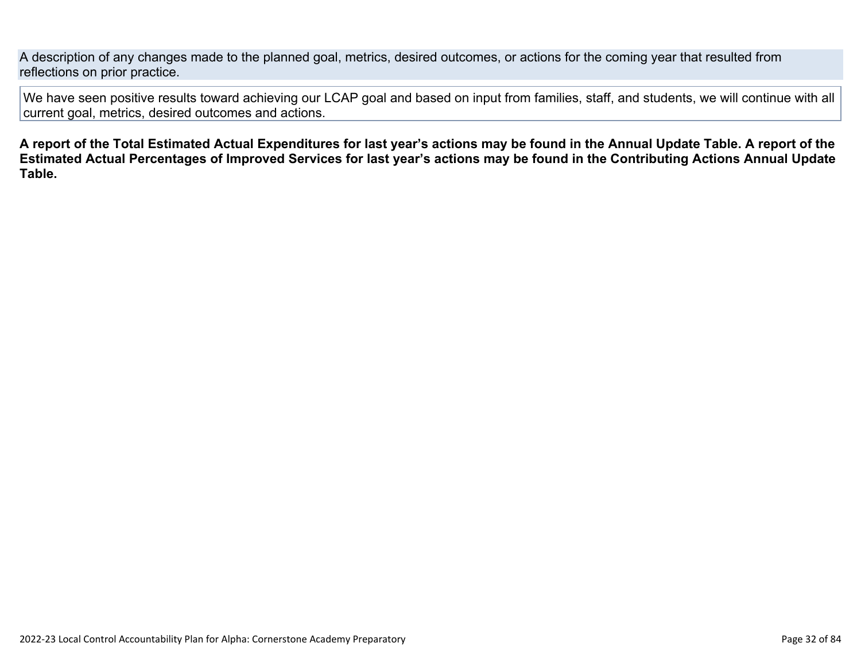A description of any changes made to the planned goal, metrics, desired outcomes, or actions for the coming year that resulted from reflections on prior practice.

We have seen positive results toward achieving our LCAP goal and based on input from families, staff, and students, we will continue with all current goal, metrics, desired outcomes and actions.

**A report of the Total Estimated Actual Expenditures for last year's actions may be found in the Annual Update Table. A report of the Estimated Actual Percentages of Improved Services for last year's actions may be found in the Contributing Actions Annual Update Table.**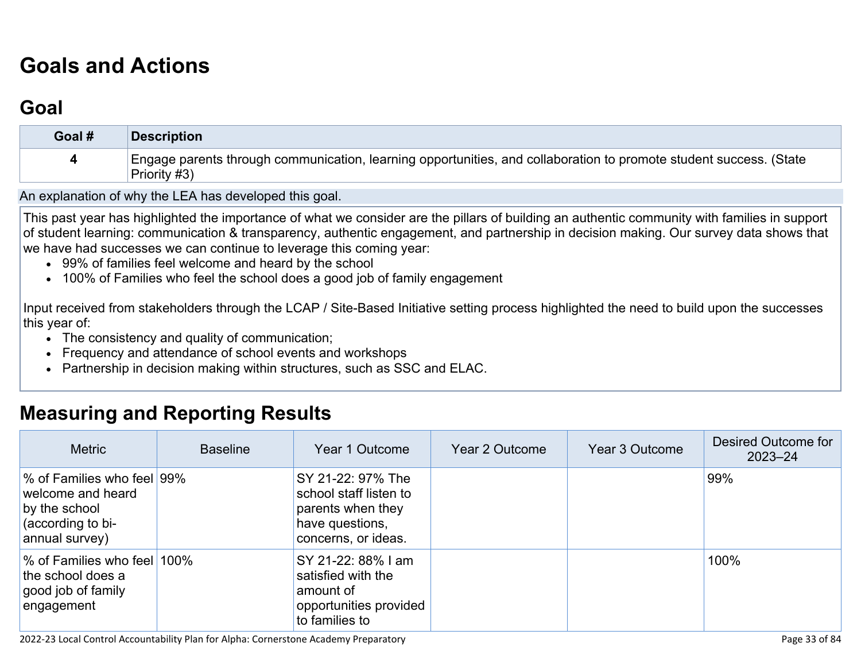# **[Goals and Actions](http://www.doc-tracking.com/screenshots/22LCAP/Instructions/22LCAPInstructions.htm#GoalsandActions)**

## **[Goal](http://www.doc-tracking.com/screenshots/22LCAP/Instructions/22LCAPInstructions.htm#goalDescription)**

| Goal # | Description                                                                                                                        |
|--------|------------------------------------------------------------------------------------------------------------------------------------|
|        | Engage parents through communication, learning opportunities, and collaboration to promote student success. (State<br>Priority #3) |

An explanation of why the LEA has developed this goal.

This past year has highlighted the importance of what we consider are the pillars of building an authentic community with families in support of student learning: communication & transparency, authentic engagement, and partnership in decision making. Our survey data shows that we have had successes we can continue to leverage this coming year:

- 99% of families feel welcome and heard by the school
- 100% of Families who feel the school does a good job of family engagement

Input received from stakeholders through the LCAP / Site-Based Initiative setting process highlighted the need to build upon the successes this year of:

- The consistency and quality of communication;
- Frequency and attendance of school events and workshops
- Partnership in decision making within structures, such as SSC and ELAC.

#### **[Measuring and Reporting Results](http://www.doc-tracking.com/screenshots/22LCAP/Instructions/22LCAPInstructions.htm#MeasuringandReportingResults)**

| <b>Metric</b>                                                                                           | <b>Baseline</b> | Year 1 Outcome                                                                                             | Year 2 Outcome | Year 3 Outcome | Desired Outcome for<br>$2023 - 24$ |
|---------------------------------------------------------------------------------------------------------|-----------------|------------------------------------------------------------------------------------------------------------|----------------|----------------|------------------------------------|
| % of Families who feel 99%<br>welcome and heard<br>by the school<br>(according to bi-<br>annual survey) |                 | SY 21-22: 97% The<br>school staff listen to<br>parents when they<br>have questions,<br>concerns, or ideas. |                |                | 99%                                |
| % of Families who feel<br>the school does a<br>good job of family<br>engagement                         | 100%            | SY 21-22: 88% I am<br>satisfied with the<br>amount of<br>opportunities provided<br>to families to          |                |                | 100%                               |

2022-23 Local Control Accountability Plan for Alpha: Cornerstone Academy Preparatory Page 33 of 84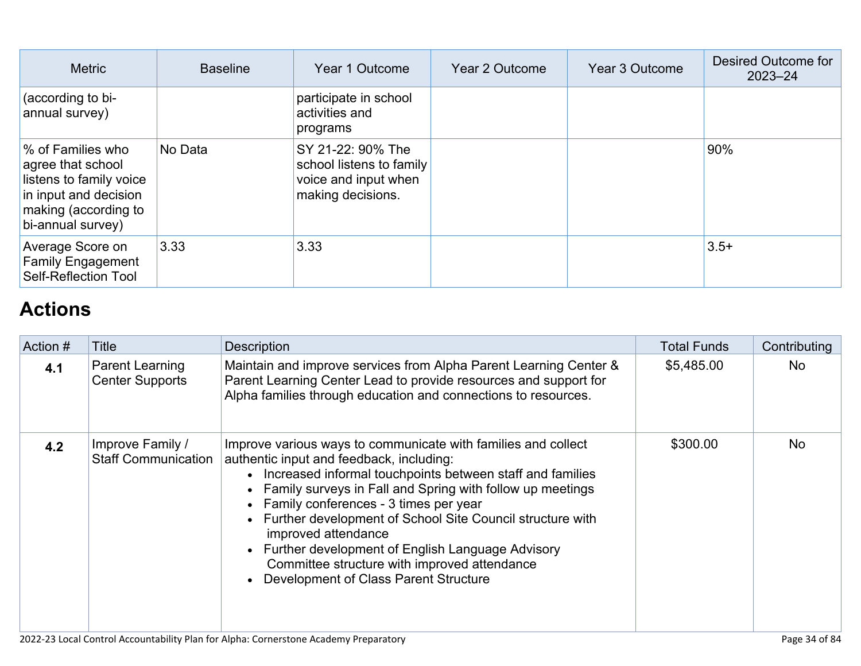| <b>Metric</b>                                                                                                                           | <b>Baseline</b> | Year 1 Outcome                                                                             | Year 2 Outcome | Year 3 Outcome | Desired Outcome for<br>$2023 - 24$ |
|-----------------------------------------------------------------------------------------------------------------------------------------|-----------------|--------------------------------------------------------------------------------------------|----------------|----------------|------------------------------------|
| (according to bi-<br>annual survey)                                                                                                     |                 | participate in school<br>activities and<br>programs                                        |                |                |                                    |
| % of Families who<br>agree that school<br>listens to family voice<br>in input and decision<br>making (according to<br>bi-annual survey) | No Data         | SY 21-22: 90% The<br>school listens to family<br>voice and input when<br>making decisions. |                |                | 90%                                |
| Average Score on<br><b>Family Engagement</b><br>Self-Reflection Tool                                                                    | 3.33            | 3.33                                                                                       |                |                | $3.5+$                             |

## **[Actions](http://www.doc-tracking.com/screenshots/22LCAP/Instructions/22LCAPInstructions.htm#actions)**

| Action # | Title                                          | <b>Description</b>                                                                                                                                                                                                                                                                                                                                                                                                                                                                                                        | <b>Total Funds</b> | Contributing |
|----------|------------------------------------------------|---------------------------------------------------------------------------------------------------------------------------------------------------------------------------------------------------------------------------------------------------------------------------------------------------------------------------------------------------------------------------------------------------------------------------------------------------------------------------------------------------------------------------|--------------------|--------------|
| 4.1      | Parent Learning<br><b>Center Supports</b>      | Maintain and improve services from Alpha Parent Learning Center &<br>Parent Learning Center Lead to provide resources and support for<br>Alpha families through education and connections to resources.                                                                                                                                                                                                                                                                                                                   | \$5,485.00         | No           |
| 4.2      | Improve Family /<br><b>Staff Communication</b> | Improve various ways to communicate with families and collect<br>authentic input and feedback, including:<br>• Increased informal touchpoints between staff and families<br>• Family surveys in Fall and Spring with follow up meetings<br>• Family conferences - 3 times per year<br>• Further development of School Site Council structure with<br>improved attendance<br>• Further development of English Language Advisory<br>Committee structure with improved attendance<br>• Development of Class Parent Structure | \$300.00           | <b>No</b>    |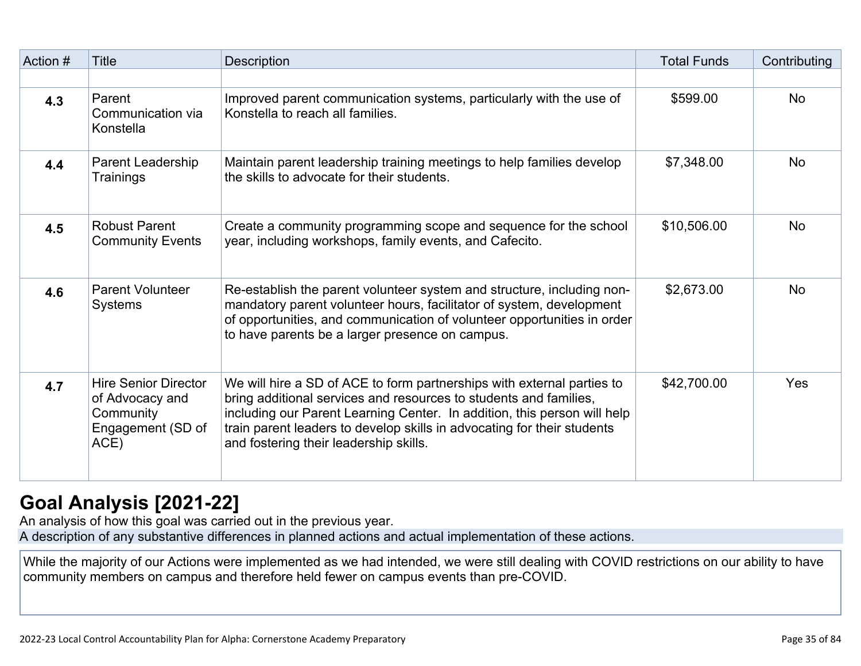| Action # | <b>Title</b>                                                                             | <b>Description</b>                                                                                                                                                                                                                                                                                                                           | <b>Total Funds</b> | Contributing |
|----------|------------------------------------------------------------------------------------------|----------------------------------------------------------------------------------------------------------------------------------------------------------------------------------------------------------------------------------------------------------------------------------------------------------------------------------------------|--------------------|--------------|
|          |                                                                                          |                                                                                                                                                                                                                                                                                                                                              |                    |              |
| 4.3      | Parent<br>Communication via<br>Konstella                                                 | Improved parent communication systems, particularly with the use of<br>Konstella to reach all families.                                                                                                                                                                                                                                      | \$599.00           | <b>No</b>    |
| 4.4      | Parent Leadership<br>Trainings                                                           | Maintain parent leadership training meetings to help families develop<br>the skills to advocate for their students.                                                                                                                                                                                                                          | \$7,348.00         | <b>No</b>    |
| 4.5      | <b>Robust Parent</b><br><b>Community Events</b>                                          | Create a community programming scope and sequence for the school<br>year, including workshops, family events, and Cafecito.                                                                                                                                                                                                                  | \$10,506.00        | <b>No</b>    |
| 4.6      | <b>Parent Volunteer</b><br><b>Systems</b>                                                | Re-establish the parent volunteer system and structure, including non-<br>mandatory parent volunteer hours, facilitator of system, development<br>of opportunities, and communication of volunteer opportunities in order<br>to have parents be a larger presence on campus.                                                                 | \$2,673.00         | <b>No</b>    |
| 4.7      | <b>Hire Senior Director</b><br>of Advocacy and<br>Community<br>Engagement (SD of<br>ACE) | We will hire a SD of ACE to form partnerships with external parties to<br>bring additional services and resources to students and families,<br>including our Parent Learning Center. In addition, this person will help<br>train parent leaders to develop skills in advocating for their students<br>and fostering their leadership skills. | \$42,700.00        | Yes          |

## **[Goal Analysis \[2021-22\]](http://www.doc-tracking.com/screenshots/22LCAP/Instructions/22LCAPInstructions.htm#GoalAnalysis)**

An analysis of how this goal was carried out in the previous year.

A description of any substantive differences in planned actions and actual implementation of these actions.

While the majority of our Actions were implemented as we had intended, we were still dealing with COVID restrictions on our ability to have community members on campus and therefore held fewer on campus events than pre-COVID.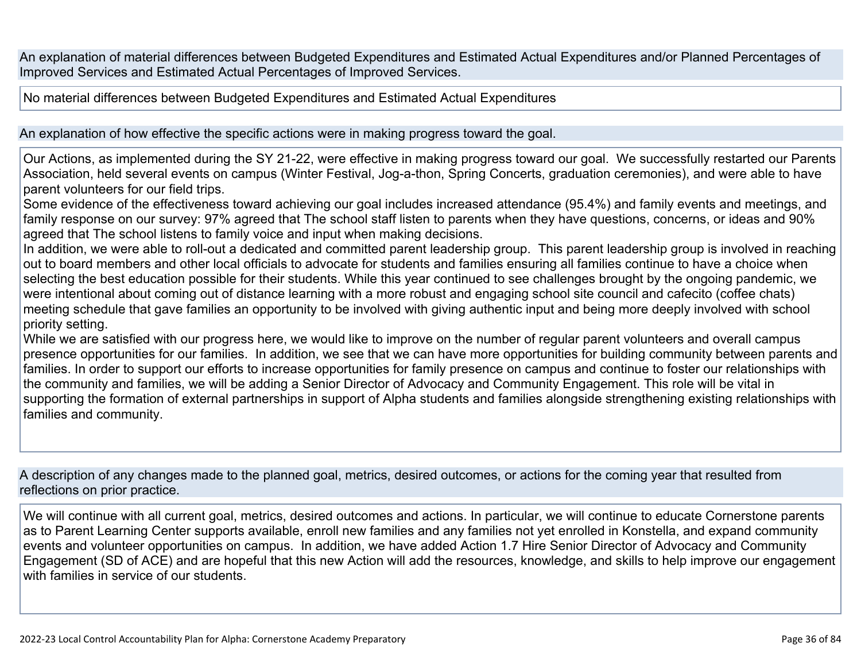An explanation of material differences between Budgeted Expenditures and Estimated Actual Expenditures and/or Planned Percentages of Improved Services and Estimated Actual Percentages of Improved Services.

No material differences between Budgeted Expenditures and Estimated Actual Expenditures

An explanation of how effective the specific actions were in making progress toward the goal.

Our Actions, as implemented during the SY 21-22, were effective in making progress toward our goal. We successfully restarted our Parents Association, held several events on campus (Winter Festival, Jog-a-thon, Spring Concerts, graduation ceremonies), and were able to have parent volunteers for our field trips.

Some evidence of the effectiveness toward achieving our goal includes increased attendance (95.4%) and family events and meetings, and family response on our survey: 97% agreed that The school staff listen to parents when they have questions, concerns, or ideas and 90% agreed that The school listens to family voice and input when making decisions.

In addition, we were able to roll-out a dedicated and committed parent leadership group. This parent leadership group is involved in reaching out to board members and other local officials to advocate for students and families ensuring all families continue to have a choice when selecting the best education possible for their students. While this year continued to see challenges brought by the ongoing pandemic, we were intentional about coming out of distance learning with a more robust and engaging school site council and cafecito (coffee chats) meeting schedule that gave families an opportunity to be involved with giving authentic input and being more deeply involved with school priority setting.

While we are satisfied with our progress here, we would like to improve on the number of regular parent volunteers and overall campus presence opportunities for our families. In addition, we see that we can have more opportunities for building community between parents and families. In order to support our efforts to increase opportunities for family presence on campus and continue to foster our relationships with the community and families, we will be adding a Senior Director of Advocacy and Community Engagement. This role will be vital in supporting the formation of external partnerships in support of Alpha students and families alongside strengthening existing relationships with families and community.

A description of any changes made to the planned goal, metrics, desired outcomes, or actions for the coming year that resulted from reflections on prior practice.

We will continue with all current goal, metrics, desired outcomes and actions. In particular, we will continue to educate Cornerstone parents as to Parent Learning Center supports available, enroll new families and any families not yet enrolled in Konstella, and expand community events and volunteer opportunities on campus. In addition, we have added Action 1.7 Hire Senior Director of Advocacy and Community Engagement (SD of ACE) and are hopeful that this new Action will add the resources, knowledge, and skills to help improve our engagement with families in service of our students.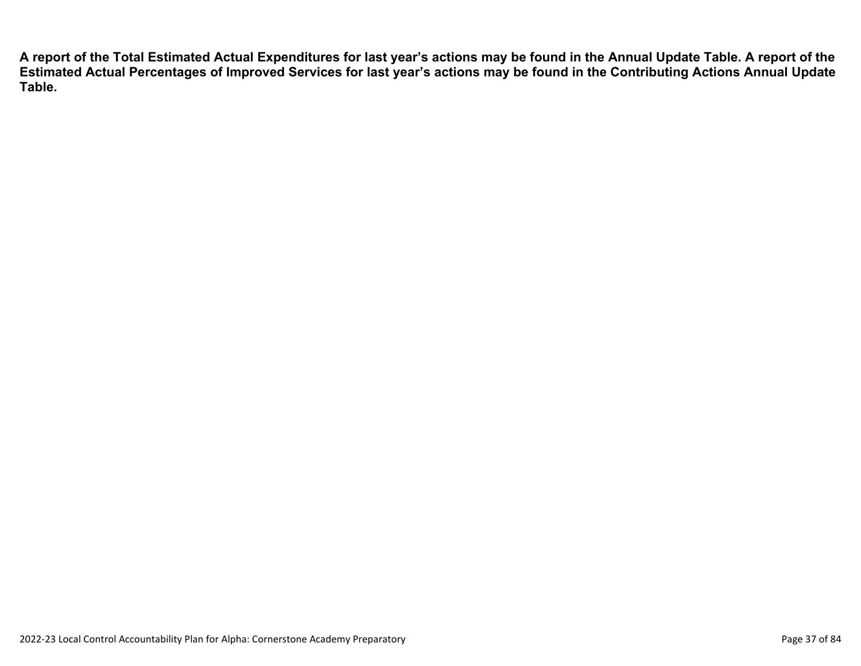**A report of the Total Estimated Actual Expenditures for last year's actions may be found in the Annual Update Table. A report of the Estimated Actual Percentages of Improved Services for last year's actions may be found in the Contributing Actions Annual Update Table.**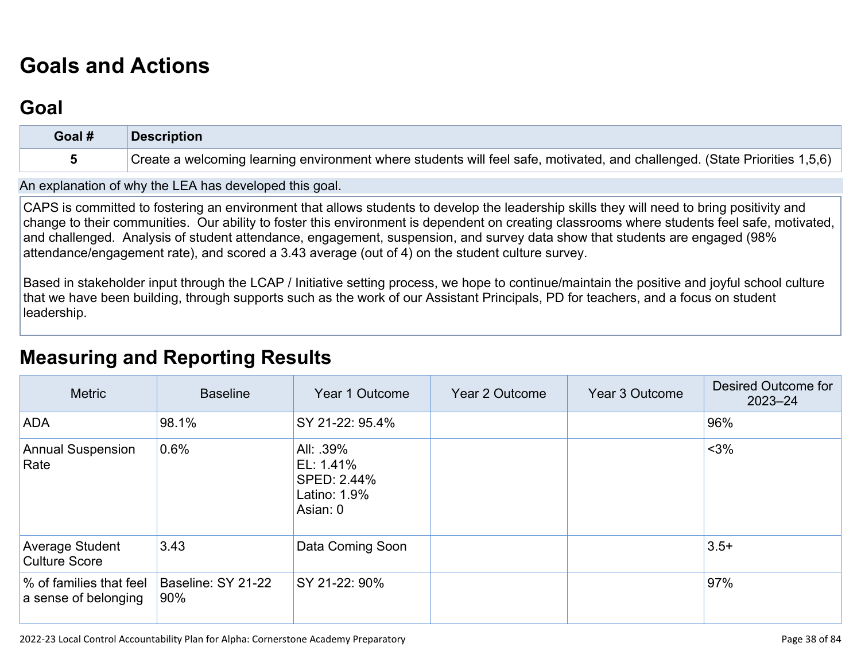# **[Goals and Actions](http://www.doc-tracking.com/screenshots/22LCAP/Instructions/22LCAPInstructions.htm#GoalsandActions)**

## **[Goal](http://www.doc-tracking.com/screenshots/22LCAP/Instructions/22LCAPInstructions.htm#goalDescription)**

| Goal # | <b>Description</b>                                                                                                         |
|--------|----------------------------------------------------------------------------------------------------------------------------|
|        | Create a welcoming learning environment where students will feel safe, motivated, and challenged. (State Priorities 1,5,6) |

An explanation of why the LEA has developed this goal.

CAPS is committed to fostering an environment that allows students to develop the leadership skills they will need to bring positivity and change to their communities. Our ability to foster this environment is dependent on creating classrooms where students feel safe, motivated, and challenged. Analysis of student attendance, engagement, suspension, and survey data show that students are engaged (98% attendance/engagement rate), and scored a 3.43 average (out of 4) on the student culture survey.

Based in stakeholder input through the LCAP / Initiative setting process, we hope to continue/maintain the positive and joyful school culture that we have been building, through supports such as the work of our Assistant Principals, PD for teachers, and a focus on student leadership.

## **[Measuring and Reporting Results](http://www.doc-tracking.com/screenshots/22LCAP/Instructions/22LCAPInstructions.htm#MeasuringandReportingResults)**

| <b>Metric</b>                                   | <b>Baseline</b>           | Year 1 Outcome                                                    | Year 2 Outcome | Year 3 Outcome | Desired Outcome for<br>$2023 - 24$ |
|-------------------------------------------------|---------------------------|-------------------------------------------------------------------|----------------|----------------|------------------------------------|
| <b>ADA</b>                                      | 98.1%                     | SY 21-22: 95.4%                                                   |                |                | 96%                                |
| <b>Annual Suspension</b><br>Rate                | 0.6%                      | All: .39%<br>EL: 1.41%<br>SPED: 2.44%<br>Latino: 1.9%<br>Asian: 0 |                |                | $<$ 3%                             |
| Average Student<br><b>Culture Score</b>         | 3.43                      | Data Coming Soon                                                  |                |                | $3.5+$                             |
| % of families that feel<br>a sense of belonging | Baseline: SY 21-22<br>90% | SY 21-22: 90%                                                     |                |                | 97%                                |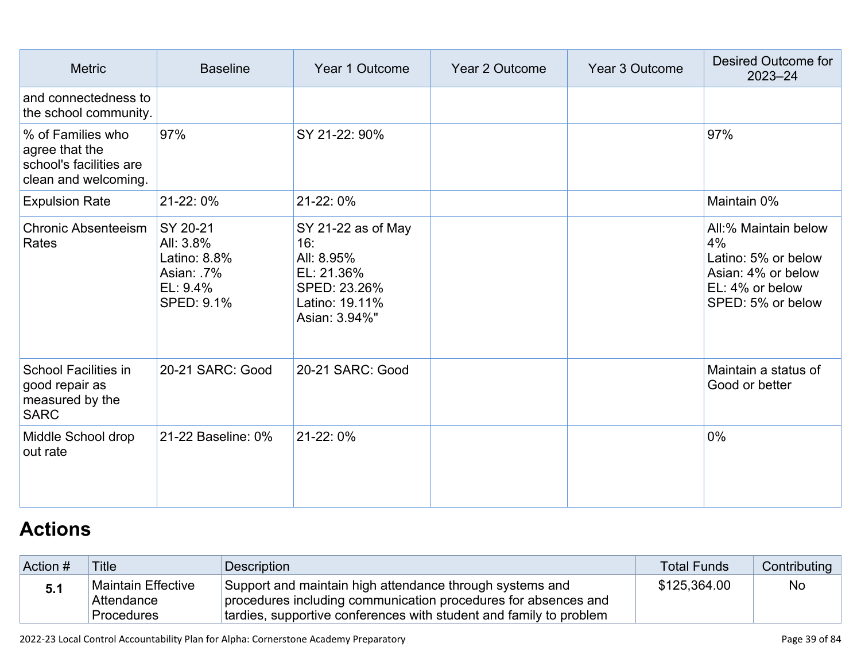| <b>Metric</b>                                                                          | <b>Baseline</b>                                                              | Year 1 Outcome                                                                                           | <b>Year 2 Outcome</b> | Year 3 Outcome | Desired Outcome for<br>$2023 - 24$                                                                              |
|----------------------------------------------------------------------------------------|------------------------------------------------------------------------------|----------------------------------------------------------------------------------------------------------|-----------------------|----------------|-----------------------------------------------------------------------------------------------------------------|
| and connectedness to<br>the school community.                                          |                                                                              |                                                                                                          |                       |                |                                                                                                                 |
| % of Families who<br>agree that the<br>school's facilities are<br>clean and welcoming. | 97%                                                                          | SY 21-22: 90%                                                                                            |                       |                | 97%                                                                                                             |
| <b>Expulsion Rate</b>                                                                  | 21-22:0%                                                                     | 21-22:0%                                                                                                 |                       |                | Maintain 0%                                                                                                     |
| <b>Chronic Absenteeism</b><br>Rates                                                    | SY 20-21<br>All: 3.8%<br>Latino: 8.8%<br>Asian: 7%<br>EL: 9.4%<br>SPED: 9.1% | SY 21-22 as of May<br>16:<br>All: 8.95%<br>EL: 21.36%<br>SPED: 23.26%<br>Latino: 19.11%<br>Asian: 3.94%" |                       |                | All:% Maintain below<br>4%<br>Latino: 5% or below<br>Asian: 4% or below<br>EL: 4% or below<br>SPED: 5% or below |
| <b>School Facilities in</b><br>good repair as<br>measured by the<br><b>SARC</b>        | 20-21 SARC: Good                                                             | 20-21 SARC: Good                                                                                         |                       |                | Maintain a status of<br>Good or better                                                                          |
| Middle School drop<br>out rate                                                         | 21-22 Baseline: 0%                                                           | 21-22:0%                                                                                                 |                       |                | $0\%$                                                                                                           |

# **[Actions](http://www.doc-tracking.com/screenshots/22LCAP/Instructions/22LCAPInstructions.htm#actions)**

| Action # | <b>Title</b>                                          | Description                                                                                                                                                                                      | <b>Total Funds</b> | Contributing |
|----------|-------------------------------------------------------|--------------------------------------------------------------------------------------------------------------------------------------------------------------------------------------------------|--------------------|--------------|
| 5.1      | Maintain Effective<br>Attendance<br><b>Procedures</b> | Support and maintain high attendance through systems and<br>procedures including communication procedures for absences and<br>tardies, supportive conferences with student and family to problem | \$125,364.00       | No           |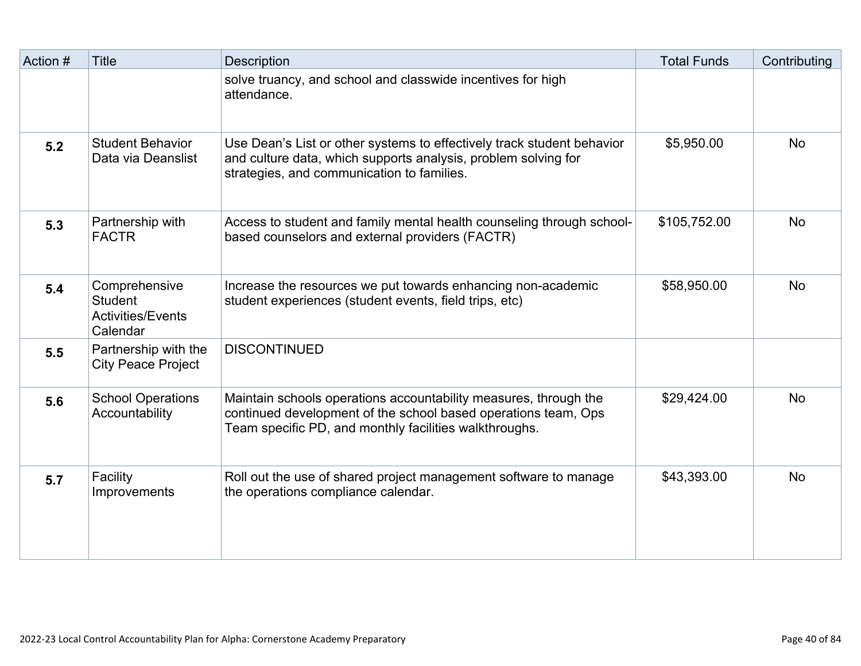| Action # | <b>Title</b>                                                            | Description                                                                                                                                                                                  | <b>Total Funds</b> | Contributing |
|----------|-------------------------------------------------------------------------|----------------------------------------------------------------------------------------------------------------------------------------------------------------------------------------------|--------------------|--------------|
|          |                                                                         | solve truancy, and school and classwide incentives for high<br>attendance.                                                                                                                   |                    |              |
| 5.2      | <b>Student Behavior</b><br>Data via Deanslist                           | Use Dean's List or other systems to effectively track student behavior<br>and culture data, which supports analysis, problem solving for<br>strategies, and communication to families.       | \$5,950.00         | <b>No</b>    |
| 5.3      | Partnership with<br><b>FACTR</b>                                        | Access to student and family mental health counseling through school-<br>based counselors and external providers (FACTR)                                                                     | \$105,752.00       | <b>No</b>    |
| 5.4      | Comprehensive<br><b>Student</b><br><b>Activities/Events</b><br>Calendar | Increase the resources we put towards enhancing non-academic<br>student experiences (student events, field trips, etc)                                                                       | \$58,950.00        | <b>No</b>    |
| 5.5      | Partnership with the<br><b>City Peace Project</b>                       | <b>DISCONTINUED</b>                                                                                                                                                                          |                    |              |
| 5.6      | <b>School Operations</b><br>Accountability                              | Maintain schools operations accountability measures, through the<br>continued development of the school based operations team, Ops<br>Team specific PD, and monthly facilities walkthroughs. | \$29,424.00        | <b>No</b>    |
| 5.7      | Facility<br>Improvements                                                | Roll out the use of shared project management software to manage<br>the operations compliance calendar.                                                                                      | \$43,393.00        | <b>No</b>    |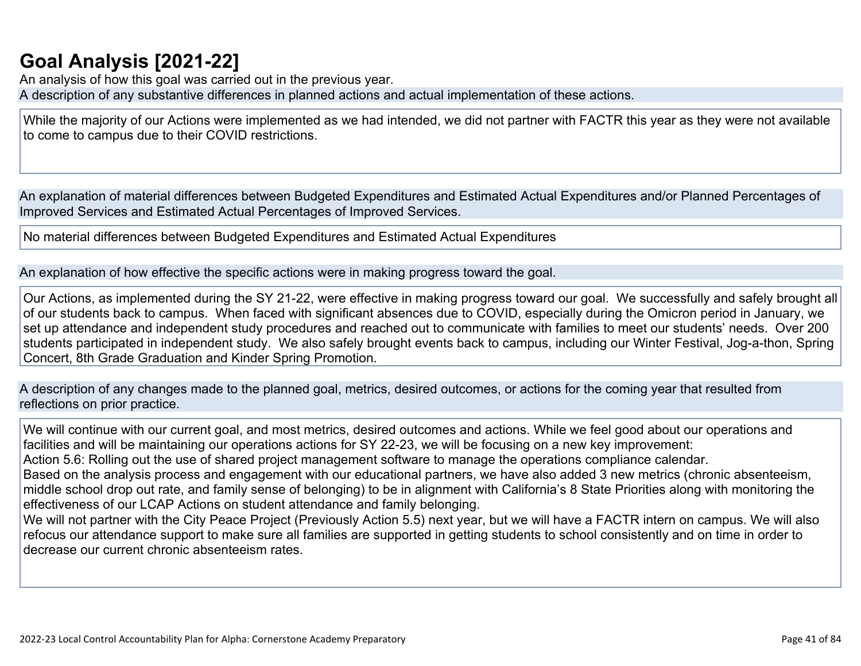## **[Goal Analysis \[2021-22\]](http://www.doc-tracking.com/screenshots/22LCAP/Instructions/22LCAPInstructions.htm#GoalAnalysis)**

An analysis of how this goal was carried out in the previous year.

A description of any substantive differences in planned actions and actual implementation of these actions.

While the majority of our Actions were implemented as we had intended, we did not partner with FACTR this year as they were not available to come to campus due to their COVID restrictions.

An explanation of material differences between Budgeted Expenditures and Estimated Actual Expenditures and/or Planned Percentages of Improved Services and Estimated Actual Percentages of Improved Services.

No material differences between Budgeted Expenditures and Estimated Actual Expenditures

An explanation of how effective the specific actions were in making progress toward the goal.

Our Actions, as implemented during the SY 21-22, were effective in making progress toward our goal. We successfully and safely brought all of our students back to campus. When faced with significant absences due to COVID, especially during the Omicron period in January, we set up attendance and independent study procedures and reached out to communicate with families to meet our students' needs. Over 200 students participated in independent study. We also safely brought events back to campus, including our Winter Festival, Jog-a-thon, Spring Concert, 8th Grade Graduation and Kinder Spring Promotion.

A description of any changes made to the planned goal, metrics, desired outcomes, or actions for the coming year that resulted from reflections on prior practice.

We will continue with our current goal, and most metrics, desired outcomes and actions. While we feel good about our operations and facilities and will be maintaining our operations actions for SY 22-23, we will be focusing on a new key improvement: Action 5.6: Rolling out the use of shared project management software to manage the operations compliance calendar. Based on the analysis process and engagement with our educational partners, we have also added 3 new metrics (chronic absenteeism, middle school drop out rate, and family sense of belonging) to be in alignment with California's 8 State Priorities along with monitoring the effectiveness of our LCAP Actions on student attendance and family belonging. We will not partner with the City Peace Project (Previously Action 5.5) next year, but we will have a FACTR intern on campus. We will also

refocus our attendance support to make sure all families are supported in getting students to school consistently and on time in order to decrease our current chronic absenteeism rates.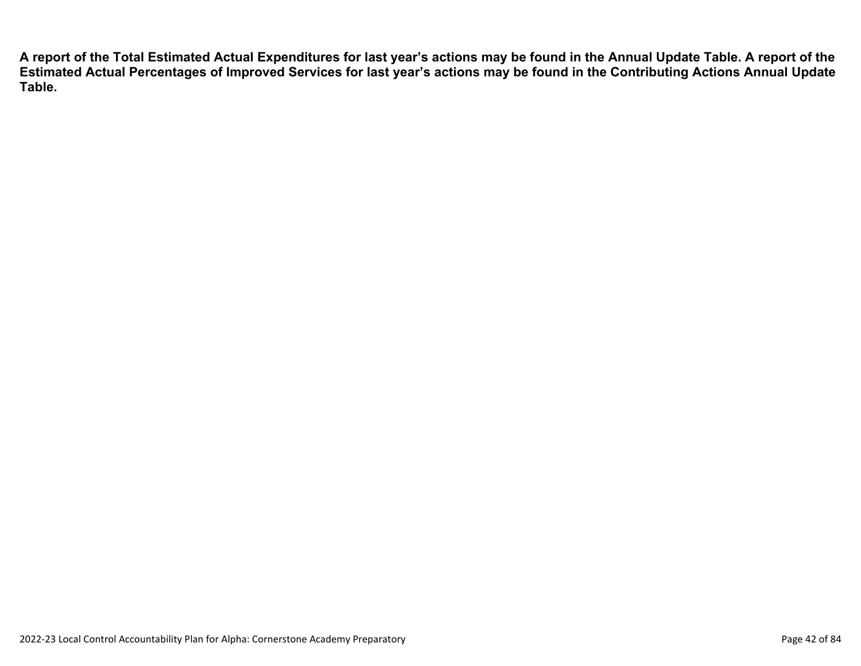**A report of the Total Estimated Actual Expenditures for last year's actions may be found in the Annual Update Table. A report of the Estimated Actual Percentages of Improved Services for last year's actions may be found in the Contributing Actions Annual Update Table.**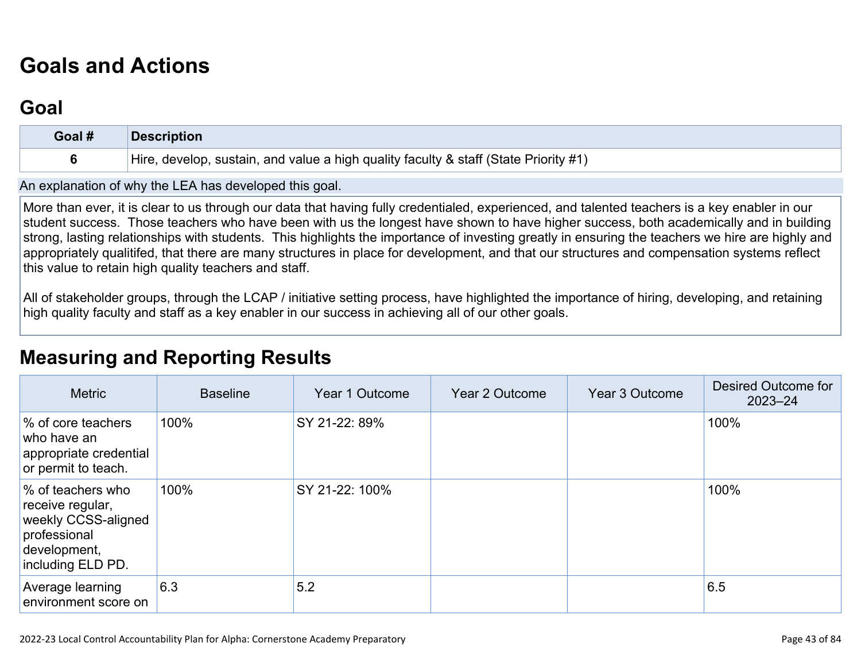# **[Goals and Actions](http://www.doc-tracking.com/screenshots/22LCAP/Instructions/22LCAPInstructions.htm#GoalsandActions)**

## **[Goal](http://www.doc-tracking.com/screenshots/22LCAP/Instructions/22LCAPInstructions.htm#goalDescription)**

| Goal # | <b>Description</b>                                                                   |
|--------|--------------------------------------------------------------------------------------|
|        | Hire, develop, sustain, and value a high quality faculty & staff (State Priority #1) |

An explanation of why the LEA has developed this goal.

More than ever, it is clear to us through our data that having fully credentialed, experienced, and talented teachers is a key enabler in our student success. Those teachers who have been with us the longest have shown to have higher success, both academically and in building strong, lasting relationships with students. This highlights the importance of investing greatly in ensuring the teachers we hire are highly and appropriately qualitifed, that there are many structures in place for development, and that our structures and compensation systems reflect this value to retain high quality teachers and staff.

All of stakeholder groups, through the LCAP / initiative setting process, have highlighted the importance of hiring, developing, and retaining high quality faculty and staff as a key enabler in our success in achieving all of our other goals.

## **[Measuring and Reporting Results](http://www.doc-tracking.com/screenshots/22LCAP/Instructions/22LCAPInstructions.htm#MeasuringandReportingResults)**

| <b>Metric</b>                                                                                                     | <b>Baseline</b> | Year 1 Outcome | Year 2 Outcome | Year 3 Outcome | Desired Outcome for<br>$2023 - 24$ |
|-------------------------------------------------------------------------------------------------------------------|-----------------|----------------|----------------|----------------|------------------------------------|
| % of core teachers<br>who have an<br>appropriate credential<br>or permit to teach.                                | 100%            | SY 21-22: 89%  |                |                | 100%                               |
| % of teachers who<br>receive regular,<br>weekly CCSS-aligned<br>professional<br>development,<br>including ELD PD. | 100%            | SY 21-22: 100% |                |                | 100%                               |
| Average learning<br>environment score on                                                                          | 6.3             | 5.2            |                |                | 6.5                                |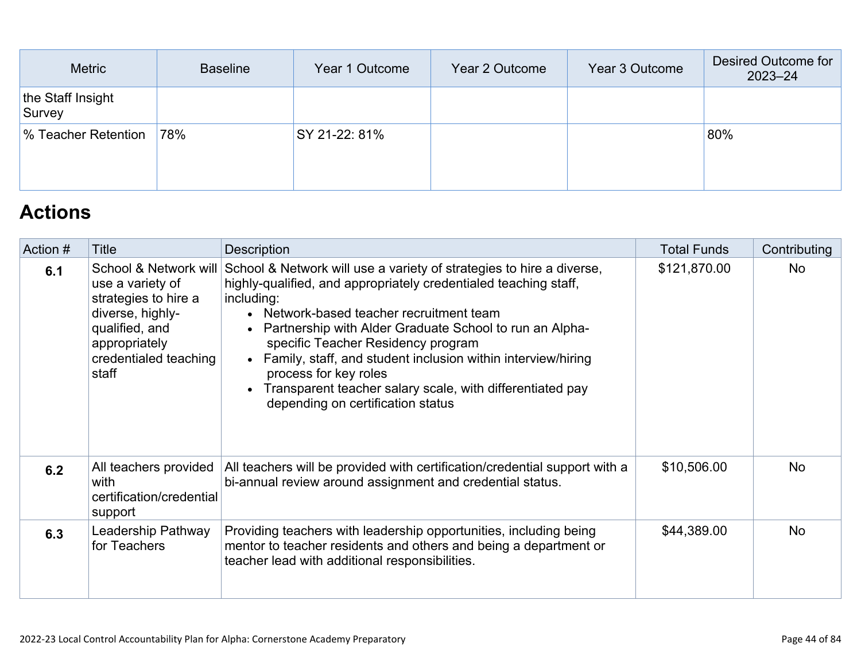| Metric                      | <b>Baseline</b> | Year 1 Outcome | Year 2 Outcome | Year 3 Outcome | Desired Outcome for<br>$2023 - 24$ |
|-----------------------------|-----------------|----------------|----------------|----------------|------------------------------------|
| the Staff Insight<br>Survey |                 |                |                |                |                                    |
| % Teacher Retention         | 78%             | SY 21-22: 81%  |                |                | 80%                                |
|                             |                 |                |                |                |                                    |

## **[Actions](http://www.doc-tracking.com/screenshots/22LCAP/Instructions/22LCAPInstructions.htm#actions)**

| Action # | Title                                                                                                                                                      | <b>Description</b>                                                                                                                                                                                                                                                                                                                                                                                                                                                                                   | <b>Total Funds</b> | Contributing |
|----------|------------------------------------------------------------------------------------------------------------------------------------------------------------|------------------------------------------------------------------------------------------------------------------------------------------------------------------------------------------------------------------------------------------------------------------------------------------------------------------------------------------------------------------------------------------------------------------------------------------------------------------------------------------------------|--------------------|--------------|
| 6.1      | School & Network will<br>use a variety of<br>strategies to hire a<br>diverse, highly-<br>qualified, and<br>appropriately<br>credentialed teaching<br>staff | School & Network will use a variety of strategies to hire a diverse,<br>highly-qualified, and appropriately credentialed teaching staff,<br>including:<br>• Network-based teacher recruitment team<br>• Partnership with Alder Graduate School to run an Alpha-<br>specific Teacher Residency program<br>• Family, staff, and student inclusion within interview/hiring<br>process for key roles<br>• Transparent teacher salary scale, with differentiated pay<br>depending on certification status | \$121,870.00       | <b>No</b>    |
| 6.2      | All teachers provided<br>with<br>certification/credential<br>support                                                                                       | All teachers will be provided with certification/credential support with a<br>bi-annual review around assignment and credential status.                                                                                                                                                                                                                                                                                                                                                              | \$10,506.00        | <b>No</b>    |
| 6.3      | Leadership Pathway<br>for Teachers                                                                                                                         | Providing teachers with leadership opportunities, including being<br>mentor to teacher residents and others and being a department or<br>teacher lead with additional responsibilities.                                                                                                                                                                                                                                                                                                              | \$44,389.00        | <b>No</b>    |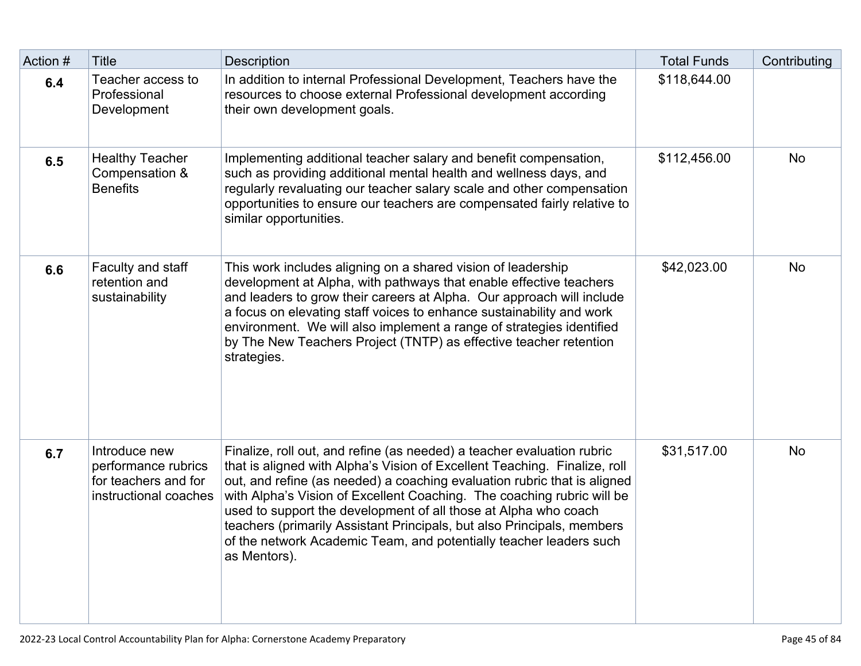| Action # | <b>Title</b>                                                                          | <b>Description</b>                                                                                                                                                                                                                                                                                                                                                                                                                                                                                                                           | <b>Total Funds</b> | Contributing |
|----------|---------------------------------------------------------------------------------------|----------------------------------------------------------------------------------------------------------------------------------------------------------------------------------------------------------------------------------------------------------------------------------------------------------------------------------------------------------------------------------------------------------------------------------------------------------------------------------------------------------------------------------------------|--------------------|--------------|
| 6.4      | Teacher access to<br>Professional<br>Development                                      | In addition to internal Professional Development, Teachers have the<br>resources to choose external Professional development according<br>their own development goals.                                                                                                                                                                                                                                                                                                                                                                       | \$118,644.00       |              |
| 6.5      | <b>Healthy Teacher</b><br>Compensation &<br><b>Benefits</b>                           | Implementing additional teacher salary and benefit compensation,<br>such as providing additional mental health and wellness days, and<br>regularly revaluating our teacher salary scale and other compensation<br>opportunities to ensure our teachers are compensated fairly relative to<br>similar opportunities.                                                                                                                                                                                                                          | \$112,456.00       | No           |
| 6.6      | Faculty and staff<br>retention and<br>sustainability                                  | This work includes aligning on a shared vision of leadership<br>development at Alpha, with pathways that enable effective teachers<br>and leaders to grow their careers at Alpha. Our approach will include<br>a focus on elevating staff voices to enhance sustainability and work<br>environment. We will also implement a range of strategies identified<br>by The New Teachers Project (TNTP) as effective teacher retention<br>strategies.                                                                                              | \$42,023.00        | <b>No</b>    |
| 6.7      | Introduce new<br>performance rubrics<br>for teachers and for<br>instructional coaches | Finalize, roll out, and refine (as needed) a teacher evaluation rubric<br>that is aligned with Alpha's Vision of Excellent Teaching. Finalize, roll<br>out, and refine (as needed) a coaching evaluation rubric that is aligned<br>with Alpha's Vision of Excellent Coaching. The coaching rubric will be<br>used to support the development of all those at Alpha who coach<br>teachers (primarily Assistant Principals, but also Principals, members<br>of the network Academic Team, and potentially teacher leaders such<br>as Mentors). | \$31,517.00        | <b>No</b>    |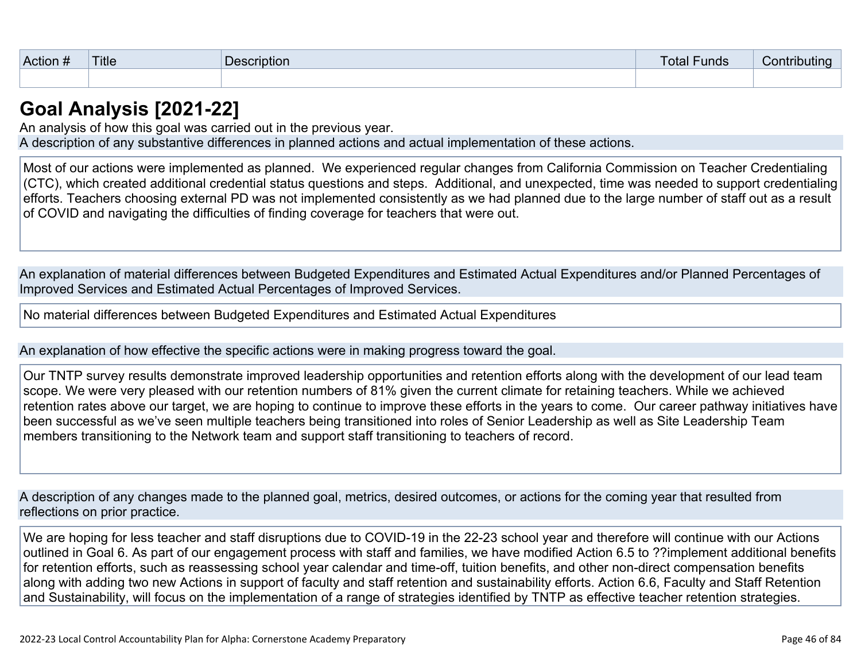| $\sim$<br>⊺Action # | <b>Title</b> | .<br>Description | -<br><b>Funds</b><br>otal | ributing<br>Contr |
|---------------------|--------------|------------------|---------------------------|-------------------|
|                     |              |                  |                           |                   |

### **[Goal Analysis \[2021-22\]](http://www.doc-tracking.com/screenshots/22LCAP/Instructions/22LCAPInstructions.htm#GoalAnalysis)**

An analysis of how this goal was carried out in the previous year. A description of any substantive differences in planned actions and actual implementation of these actions.

Most of our actions were implemented as planned. We experienced regular changes from California Commission on Teacher Credentialing (CTC), which created additional credential status questions and steps. Additional, and unexpected, time was needed to support credentialing efforts. Teachers choosing external PD was not implemented consistently as we had planned due to the large number of staff out as a result of COVID and navigating the difficulties of finding coverage for teachers that were out.

An explanation of material differences between Budgeted Expenditures and Estimated Actual Expenditures and/or Planned Percentages of Improved Services and Estimated Actual Percentages of Improved Services.

No material differences between Budgeted Expenditures and Estimated Actual Expenditures

An explanation of how effective the specific actions were in making progress toward the goal.

Our TNTP survey results demonstrate improved leadership opportunities and retention efforts along with the development of our lead team scope. We were very pleased with our retention numbers of 81% given the current climate for retaining teachers. While we achieved retention rates above our target, we are hoping to continue to improve these efforts in the years to come. Our career pathway initiatives have been successful as we've seen multiple teachers being transitioned into roles of Senior Leadership as well as Site Leadership Team members transitioning to the Network team and support staff transitioning to teachers of record.

A description of any changes made to the planned goal, metrics, desired outcomes, or actions for the coming year that resulted from reflections on prior practice.

We are hoping for less teacher and staff disruptions due to COVID-19 in the 22-23 school year and therefore will continue with our Actions outlined in Goal 6. As part of our engagement process with staff and families, we have modified Action 6.5 to ??implement additional benefits for retention efforts, such as reassessing school year calendar and time-off, tuition benefits, and other non-direct compensation benefits along with adding two new Actions in support of faculty and staff retention and sustainability efforts. Action 6.6, Faculty and Staff Retention and Sustainability, will focus on the implementation of a range of strategies identified by TNTP as effective teacher retention strategies.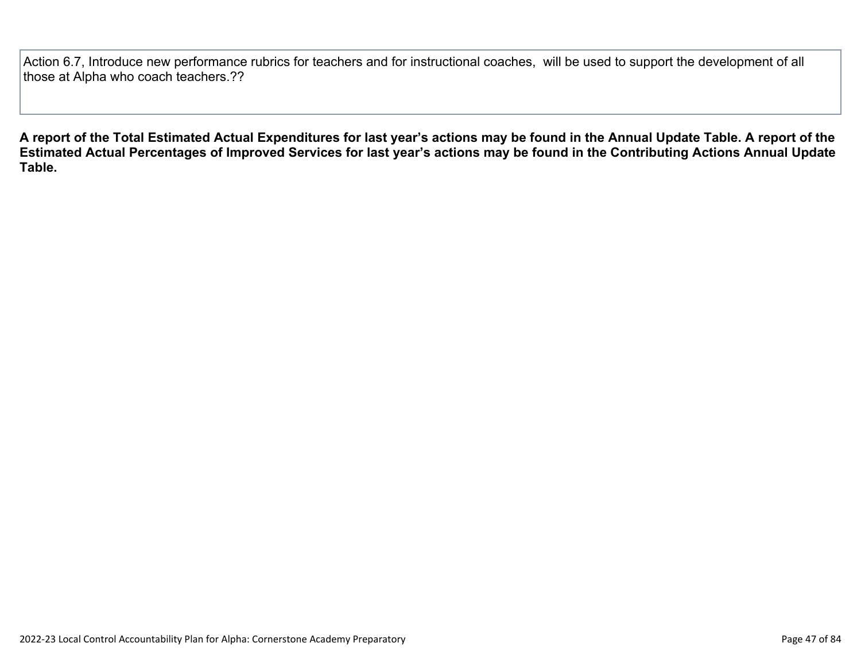Action 6.7, Introduce new performance rubrics for teachers and for instructional coaches, will be used to support the development of all those at Alpha who coach teachers.??

**A report of the Total Estimated Actual Expenditures for last year's actions may be found in the Annual Update Table. A report of the Estimated Actual Percentages of Improved Services for last year's actions may be found in the Contributing Actions Annual Update Table.**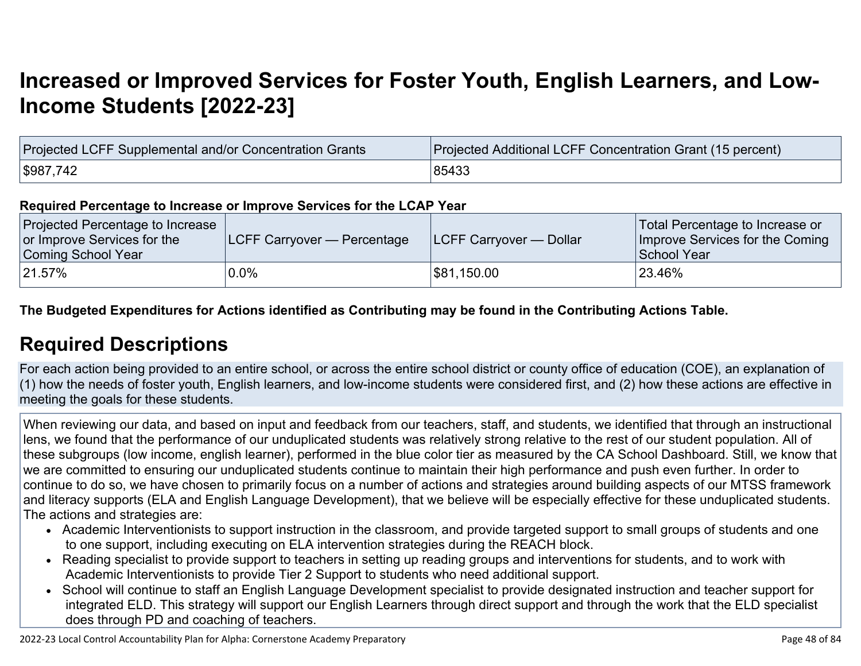# **[Increased or Improved Services for Foster Youth, English Learners, and Low-](http://www.doc-tracking.com/screenshots/22LCAP/Instructions/22LCAPInstructions.htm#IncreasedImprovedServices)[Income Students \[2022-23\]](http://www.doc-tracking.com/screenshots/22LCAP/Instructions/22LCAPInstructions.htm#IncreasedImprovedServices)**

| Projected LCFF Supplemental and/or Concentration Grants | Projected Additional LCFF Concentration Grant (15 percent) |
|---------------------------------------------------------|------------------------------------------------------------|
| \$987,742                                               | 85433                                                      |

#### **Required Percentage to Increase or Improve Services for the LCAP Year**

| Projected Percentage to Increase<br>or Improve Services for the<br>Coming School Year | <b>LCFF Carryover — Percentage</b> | <b>LCFF Carryover — Dollar</b> | Total Percentage to Increase or<br>Improve Services for the Coming<br>School Year |
|---------------------------------------------------------------------------------------|------------------------------------|--------------------------------|-----------------------------------------------------------------------------------|
| 21.57%                                                                                | $0.0\%$                            | \$81,150.00                    | 23.46%                                                                            |

**The Budgeted Expenditures for Actions identified as Contributing may be found in the Contributing Actions Table.**

## **[Required Descriptions](http://www.doc-tracking.com/screenshots/22LCAP/Instructions/22LCAPInstructions.htm#RequiredDescriptions)**

For each action being provided to an entire school, or across the entire school district or county office of education (COE), an explanation of (1) how the needs of foster youth, English learners, and low-income students were considered first, and (2) how these actions are effective in meeting the goals for these students.

When reviewing our data, and based on input and feedback from our teachers, staff, and students, we identified that through an instructional lens, we found that the performance of our unduplicated students was relatively strong relative to the rest of our student population. All of these subgroups (low income, english learner), performed in the blue color tier as measured by the CA School Dashboard. Still, we know that we are committed to ensuring our unduplicated students continue to maintain their high performance and push even further. In order to continue to do so, we have chosen to primarily focus on a number of actions and strategies around building aspects of our MTSS framework and literacy supports (ELA and English Language Development), that we believe will be especially effective for these unduplicated students. The actions and strategies are:

- Academic Interventionists to support instruction in the classroom, and provide targeted support to small groups of students and one to one support, including executing on ELA intervention strategies during the REACH block.
- Reading specialist to provide support to teachers in setting up reading groups and interventions for students, and to work with Academic Interventionists to provide Tier 2 Support to students who need additional support.
- School will continue to staff an English Language Development specialist to provide designated instruction and teacher support for integrated ELD. This strategy will support our English Learners through direct support and through the work that the ELD specialist does through PD and coaching of teachers.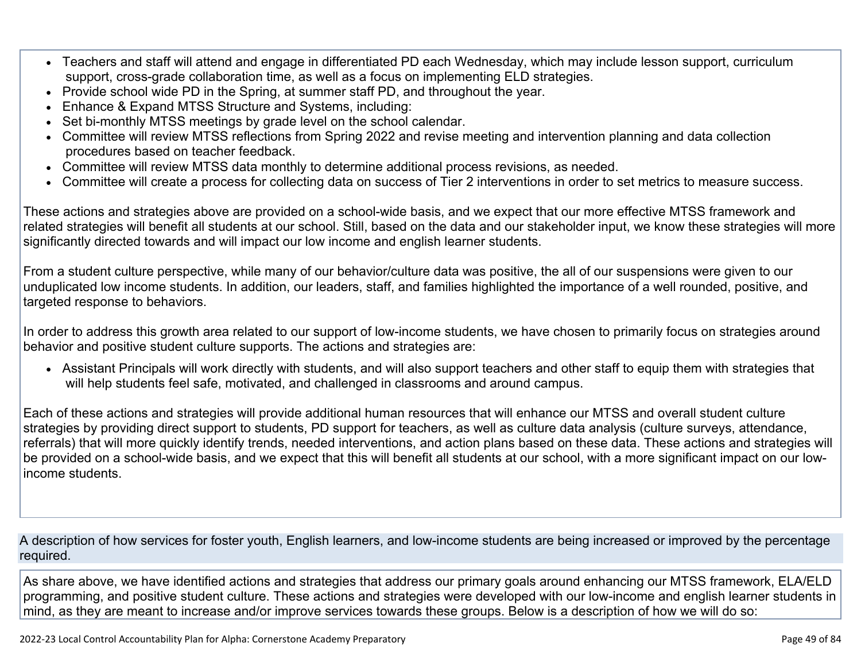- Teachers and staff will attend and engage in differentiated PD each Wednesday, which may include lesson support, curriculum support, cross-grade collaboration time, as well as a focus on implementing ELD strategies.
- Provide school wide PD in the Spring, at summer staff PD, and throughout the year.
- Enhance & Expand MTSS Structure and Systems, including:
- Set bi-monthly MTSS meetings by grade level on the school calendar.
- Committee will review MTSS reflections from Spring 2022 and revise meeting and intervention planning and data collection procedures based on teacher feedback.
- Committee will review MTSS data monthly to determine additional process revisions, as needed.
- Committee will create a process for collecting data on success of Tier 2 interventions in order to set metrics to measure success.

These actions and strategies above are provided on a school-wide basis, and we expect that our more effective MTSS framework and related strategies will benefit all students at our school. Still, based on the data and our stakeholder input, we know these strategies will more significantly directed towards and will impact our low income and english learner students.

From a student culture perspective, while many of our behavior/culture data was positive, the all of our suspensions were given to our unduplicated low income students. In addition, our leaders, staff, and families highlighted the importance of a well rounded, positive, and targeted response to behaviors.

In order to address this growth area related to our support of low-income students, we have chosen to primarily focus on strategies around behavior and positive student culture supports. The actions and strategies are:

• Assistant Principals will work directly with students, and will also support teachers and other staff to equip them with strategies that will help students feel safe, motivated, and challenged in classrooms and around campus.

Each of these actions and strategies will provide additional human resources that will enhance our MTSS and overall student culture strategies by providing direct support to students, PD support for teachers, as well as culture data analysis (culture surveys, attendance, referrals) that will more quickly identify trends, needed interventions, and action plans based on these data. These actions and strategies will be provided on a school-wide basis, and we expect that this will benefit all students at our school, with a more significant impact on our lowincome students.

A description of how services for foster youth, English learners, and low-income students are being increased or improved by the percentage required.

As share above, we have identified actions and strategies that address our primary goals around enhancing our MTSS framework, ELA/ELD programming, and positive student culture. These actions and strategies were developed with our low-income and english learner students in mind, as they are meant to increase and/or improve services towards these groups. Below is a description of how we will do so: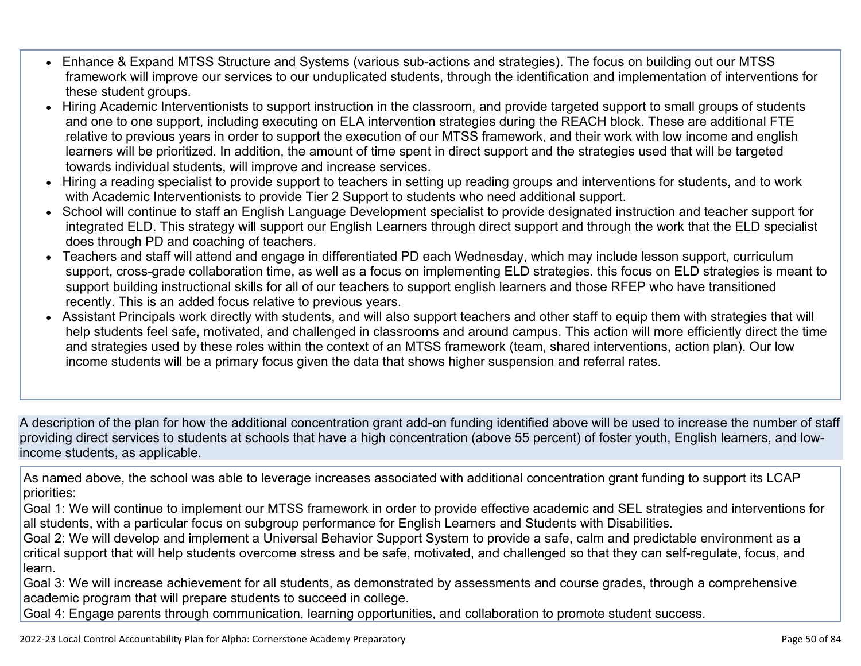- Enhance & Expand MTSS Structure and Systems (various sub-actions and strategies). The focus on building out our MTSS framework will improve our services to our unduplicated students, through the identification and implementation of interventions for these student groups.
- Hiring Academic Interventionists to support instruction in the classroom, and provide targeted support to small groups of students and one to one support, including executing on ELA intervention strategies during the REACH block. These are additional FTE relative to previous years in order to support the execution of our MTSS framework, and their work with low income and english learners will be prioritized. In addition, the amount of time spent in direct support and the strategies used that will be targeted towards individual students, will improve and increase services.
- Hiring a reading specialist to provide support to teachers in setting up reading groups and interventions for students, and to work with Academic Interventionists to provide Tier 2 Support to students who need additional support.
- School will continue to staff an English Language Development specialist to provide designated instruction and teacher support for integrated ELD. This strategy will support our English Learners through direct support and through the work that the ELD specialist does through PD and coaching of teachers.
- Teachers and staff will attend and engage in differentiated PD each Wednesday, which may include lesson support, curriculum support, cross-grade collaboration time, as well as a focus on implementing ELD strategies. this focus on ELD strategies is meant to support building instructional skills for all of our teachers to support english learners and those RFEP who have transitioned recently. This is an added focus relative to previous years.
- Assistant Principals work directly with students, and will also support teachers and other staff to equip them with strategies that will help students feel safe, motivated, and challenged in classrooms and around campus. This action will more efficiently direct the time and strategies used by these roles within the context of an MTSS framework (team, shared interventions, action plan). Our low income students will be a primary focus given the data that shows higher suspension and referral rates.

A description of the plan for how the additional concentration grant add-on funding identified above will be used to increase the number of staff providing direct services to students at schools that have a high concentration (above 55 percent) of foster youth, English learners, and lowincome students, as applicable.

As named above, the school was able to leverage increases associated with additional concentration grant funding to support its LCAP priorities:

Goal 1: We will continue to implement our MTSS framework in order to provide effective academic and SEL strategies and interventions for all students, with a particular focus on subgroup performance for English Learners and Students with Disabilities.

Goal 2: We will develop and implement a Universal Behavior Support System to provide a safe, calm and predictable environment as a critical support that will help students overcome stress and be safe, motivated, and challenged so that they can self-regulate, focus, and learn.

Goal 3: We will increase achievement for all students, as demonstrated by assessments and course grades, through a comprehensive academic program that will prepare students to succeed in college.

Goal 4: Engage parents through communication, learning opportunities, and collaboration to promote student success.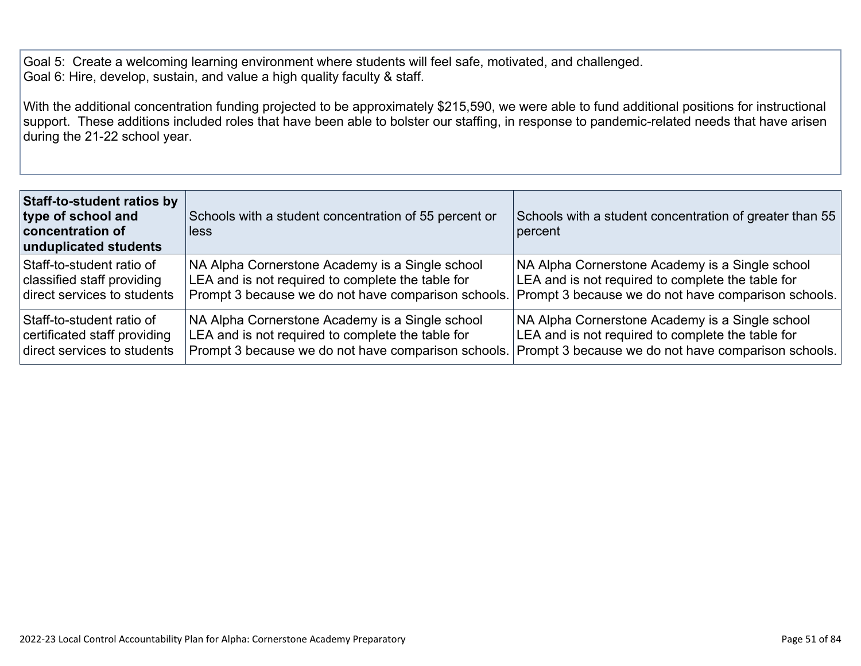Goal 5: Create a welcoming learning environment where students will feel safe, motivated, and challenged. Goal 6: Hire, develop, sustain, and value a high quality faculty & staff.

With the additional concentration funding projected to be approximately \$215,590, we were able to fund additional positions for instructional support. These additions included roles that have been able to bolster our staffing, in response to pandemic-related needs that have arisen during the 21-22 school year.

| <b>Staff-to-student ratios by</b><br>type of school and<br>concentration of<br>unduplicated students | Schools with a student concentration of 55 percent or<br>lless | Schools with a student concentration of greater than 55<br>percent |
|------------------------------------------------------------------------------------------------------|----------------------------------------------------------------|--------------------------------------------------------------------|
| Staff-to-student ratio of                                                                            | NA Alpha Cornerstone Academy is a Single school                | NA Alpha Cornerstone Academy is a Single school                    |
| classified staff providing                                                                           | LEA and is not required to complete the table for              | LEA and is not required to complete the table for                  |
| direct services to students                                                                          | Prompt 3 because we do not have comparison schools.            | Prompt 3 because we do not have comparison schools.                |
| Staff-to-student ratio of                                                                            | NA Alpha Cornerstone Academy is a Single school                | NA Alpha Cornerstone Academy is a Single school                    |
| certificated staff providing                                                                         | LEA and is not required to complete the table for              | LEA and is not required to complete the table for                  |
| direct services to students                                                                          | Prompt 3 because we do not have comparison schools.            | Prompt 3 because we do not have comparison schools.                |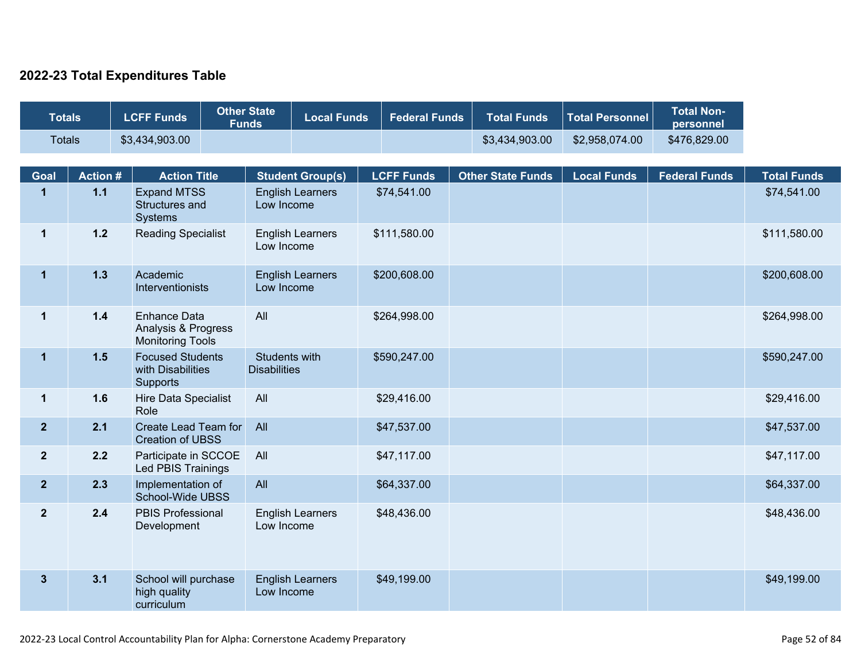#### **2022-23 Total Expenditures Table**

| <b>Totals</b>  |                | <b>LCFF Funds</b>                                                     | <b>Other State</b><br><b>Funds</b> | <b>Local Funds</b>                    | <b>Federal Funds</b> | <b>Total Funds</b>       | <b>Total Personnel</b> | <b>Total Non-</b><br>personnel |                    |
|----------------|----------------|-----------------------------------------------------------------------|------------------------------------|---------------------------------------|----------------------|--------------------------|------------------------|--------------------------------|--------------------|
| <b>Totals</b>  |                | \$3,434,903.00                                                        |                                    |                                       |                      | \$3,434,903.00           | \$2,958,074.00         | \$476,829.00                   |                    |
| Goal           | <b>Action#</b> | <b>Action Title</b>                                                   |                                    | <b>Student Group(s)</b>               | <b>LCFF Funds</b>    | <b>Other State Funds</b> | <b>Local Funds</b>     | <b>Federal Funds</b>           | <b>Total Funds</b> |
| $\mathbf{1}$   | $1.1$          | <b>Expand MTSS</b><br>Structures and<br>Systems                       |                                    | <b>English Learners</b><br>Low Income | \$74,541.00          |                          |                        |                                | \$74,541.00        |
| $\mathbf 1$    | $1.2$          | <b>Reading Specialist</b>                                             |                                    | <b>English Learners</b><br>Low Income | \$111,580.00         |                          |                        |                                | \$111,580.00       |
| $\mathbf 1$    | $1.3$          | Academic<br>Interventionists                                          |                                    | <b>English Learners</b><br>Low Income | \$200,608.00         |                          |                        |                                | \$200,608.00       |
| $\mathbf 1$    | $1.4$          | <b>Enhance Data</b><br>Analysis & Progress<br><b>Monitoring Tools</b> | All                                |                                       | \$264,998.00         |                          |                        |                                | \$264,998.00       |
| $\mathbf{1}$   | 1.5            | <b>Focused Students</b><br>with Disabilities<br><b>Supports</b>       | <b>Disabilities</b>                | Students with                         | \$590,247.00         |                          |                        |                                | \$590,247.00       |
| $\mathbf{1}$   | 1.6            | <b>Hire Data Specialist</b><br>Role                                   | All                                |                                       | \$29,416.00          |                          |                        |                                | \$29,416.00        |
| $\overline{2}$ | 2.1            | Create Lead Team for<br><b>Creation of UBSS</b>                       | All                                |                                       | \$47,537.00          |                          |                        |                                | \$47,537.00        |
| $\overline{2}$ | 2.2            | Participate in SCCOE<br>Led PBIS Trainings                            | All                                |                                       | \$47,117.00          |                          |                        |                                | \$47,117.00        |
| 2 <sup>2</sup> | 2.3            | Implementation of<br>School-Wide UBSS                                 | All                                |                                       | \$64,337.00          |                          |                        |                                | \$64,337.00        |
| $\overline{2}$ | 2.4            | PBIS Professional<br>Development                                      |                                    | <b>English Learners</b><br>Low Income | \$48,436.00          |                          |                        |                                | \$48,436.00        |
| 3 <sup>5</sup> | 3.1            | School will purchase<br>high quality<br>curriculum                    |                                    | <b>English Learners</b><br>Low Income | \$49,199.00          |                          |                        |                                | \$49,199.00        |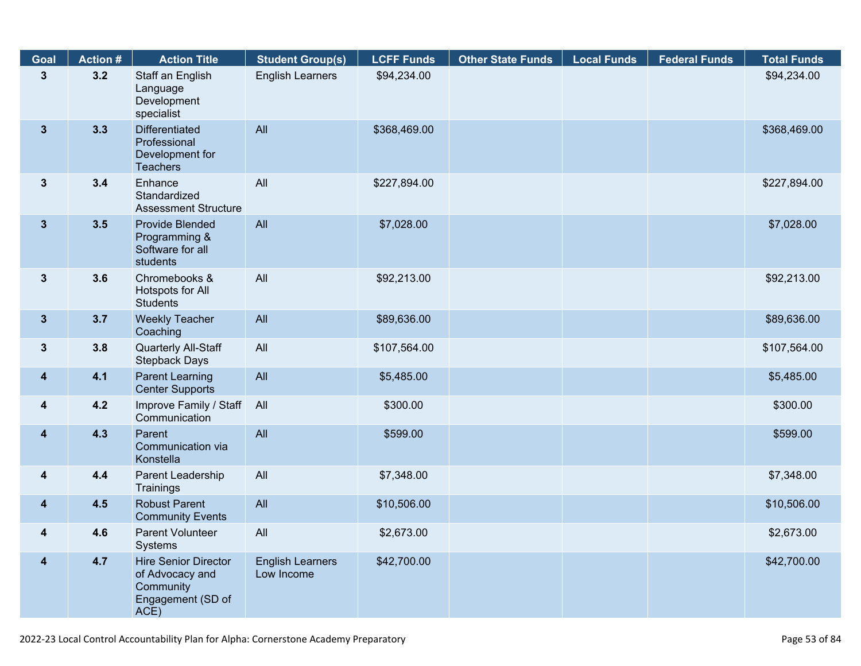| Goal                    | <b>Action #</b> | <b>Action Title</b>                                                                      | <b>Student Group(s)</b>               | <b>LCFF Funds</b> | <b>Other State Funds</b> | <b>Local Funds</b> | <b>Federal Funds</b> | <b>Total Funds</b> |
|-------------------------|-----------------|------------------------------------------------------------------------------------------|---------------------------------------|-------------------|--------------------------|--------------------|----------------------|--------------------|
| $\mathbf{3}$            | 3.2             | Staff an English<br>Language<br>Development<br>specialist                                | <b>English Learners</b>               | \$94,234.00       |                          |                    |                      | \$94,234.00        |
| $\mathbf{3}$            | 3.3             | <b>Differentiated</b><br>Professional<br>Development for<br><b>Teachers</b>              | All                                   | \$368,469.00      |                          |                    |                      | \$368,469.00       |
| $\mathbf{3}$            | 3.4             | Enhance<br>Standardized<br><b>Assessment Structure</b>                                   | All                                   | \$227,894.00      |                          |                    |                      | \$227,894.00       |
| $\mathbf{3}$            | 3.5             | Provide Blended<br>Programming &<br>Software for all<br>students                         | All                                   | \$7,028.00        |                          |                    |                      | \$7,028.00         |
| $3\phantom{a}$          | 3.6             | Chromebooks &<br>Hotspots for All<br><b>Students</b>                                     | All                                   | \$92,213.00       |                          |                    |                      | \$92,213.00        |
| $3\phantom{a}$          | 3.7             | <b>Weekly Teacher</b><br>Coaching                                                        | All                                   | \$89,636.00       |                          |                    |                      | \$89,636.00        |
| $\mathbf{3}$            | 3.8             | Quarterly All-Staff<br><b>Stepback Days</b>                                              | All                                   | \$107,564.00      |                          |                    |                      | \$107,564.00       |
| $\overline{\mathbf{4}}$ | 4.1             | <b>Parent Learning</b><br><b>Center Supports</b>                                         | All                                   | \$5,485.00        |                          |                    |                      | \$5,485.00         |
| $\overline{\mathbf{4}}$ | 4.2             | Improve Family / Staff<br>Communication                                                  | All                                   | \$300.00          |                          |                    |                      | \$300.00           |
| $\overline{\mathbf{4}}$ | 4.3             | Parent<br>Communication via<br>Konstella                                                 | All                                   | \$599.00          |                          |                    |                      | \$599.00           |
| 4                       | 4.4             | Parent Leadership<br>Trainings                                                           | All                                   | \$7,348.00        |                          |                    |                      | \$7,348.00         |
| 4                       | 4.5             | <b>Robust Parent</b><br><b>Community Events</b>                                          | All                                   | \$10,506.00       |                          |                    |                      | \$10,506.00        |
| 4                       | 4.6             | Parent Volunteer<br>Systems                                                              | All                                   | \$2,673.00        |                          |                    |                      | \$2,673.00         |
| 4                       | 4.7             | <b>Hire Senior Director</b><br>of Advocacy and<br>Community<br>Engagement (SD of<br>ACE) | <b>English Learners</b><br>Low Income | \$42,700.00       |                          |                    |                      | \$42,700.00        |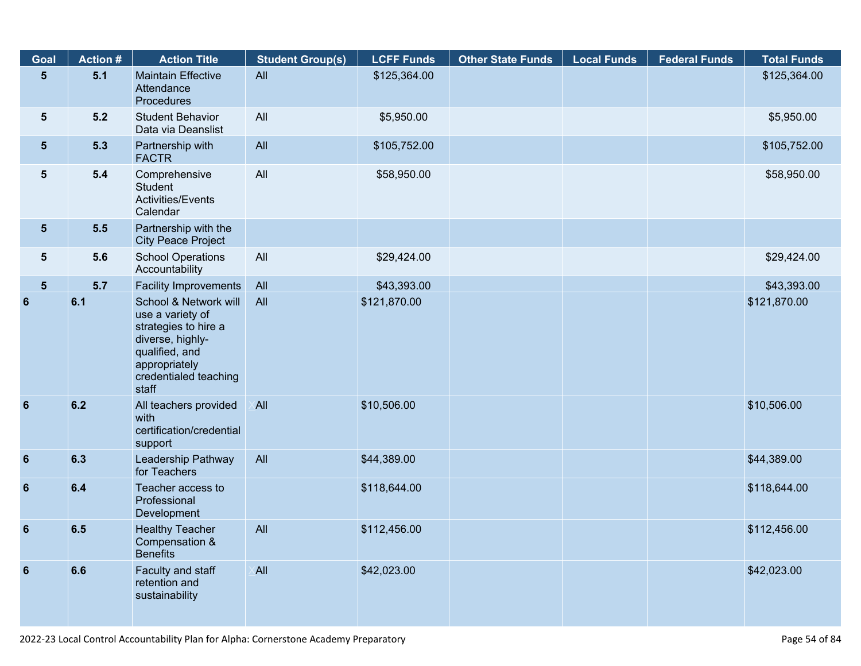| Goal             | <b>Action #</b> | <b>Action Title</b>                                                                                                                                        | <b>Student Group(s)</b> | <b>LCFF Funds</b> | <b>Other State Funds</b> | <b>Local Funds</b> | <b>Federal Funds</b> | <b>Total Funds</b> |
|------------------|-----------------|------------------------------------------------------------------------------------------------------------------------------------------------------------|-------------------------|-------------------|--------------------------|--------------------|----------------------|--------------------|
| $\sqrt{5}$       | 5.1             | <b>Maintain Effective</b><br>Attendance<br>Procedures                                                                                                      | All                     | \$125,364.00      |                          |                    |                      | \$125,364.00       |
| 5                | 5.2             | <b>Student Behavior</b><br>Data via Deanslist                                                                                                              | All                     | \$5,950.00        |                          |                    |                      | \$5,950.00         |
| 5 <sup>5</sup>   | 5.3             | Partnership with<br><b>FACTR</b>                                                                                                                           | All                     | \$105,752.00      |                          |                    |                      | \$105,752.00       |
| $5\phantom{.0}$  | 5.4             | Comprehensive<br>Student<br><b>Activities/Events</b><br>Calendar                                                                                           | All                     | \$58,950.00       |                          |                    |                      | \$58,950.00        |
| $5\phantom{.0}$  | 5.5             | Partnership with the<br><b>City Peace Project</b>                                                                                                          |                         |                   |                          |                    |                      |                    |
| 5                | 5.6             | <b>School Operations</b><br>Accountability                                                                                                                 | All                     | \$29,424.00       |                          |                    |                      | \$29,424.00        |
| $5\phantom{.0}$  | 5.7             | <b>Facility Improvements</b>                                                                                                                               | All                     | \$43,393.00       |                          |                    |                      | \$43,393.00        |
| 6                | 6.1             | School & Network will<br>use a variety of<br>strategies to hire a<br>diverse, highly-<br>qualified, and<br>appropriately<br>credentialed teaching<br>staff | All                     | \$121,870.00      |                          |                    |                      | \$121,870.00       |
| $6\phantom{1}6$  | 6.2             | All teachers provided<br>with<br>certification/credential<br>support                                                                                       | <b>All</b>              | \$10,506.00       |                          |                    |                      | \$10,506.00        |
| $\boldsymbol{6}$ | 6.3             | Leadership Pathway<br>for Teachers                                                                                                                         | All                     | \$44,389.00       |                          |                    |                      | \$44,389.00        |
| $6\phantom{1}$   | 6.4             | Teacher access to<br>Professional<br>Development                                                                                                           |                         | \$118,644.00      |                          |                    |                      | \$118,644.00       |
| $6\phantom{1}$   | 6.5             | <b>Healthy Teacher</b><br>Compensation &<br><b>Benefits</b>                                                                                                | All                     | \$112,456.00      |                          |                    |                      | \$112,456.00       |
| $6\phantom{1}$   | 6.6             | Faculty and staff<br>retention and<br>sustainability                                                                                                       | <b>All</b>              | \$42,023.00       |                          |                    |                      | \$42,023.00        |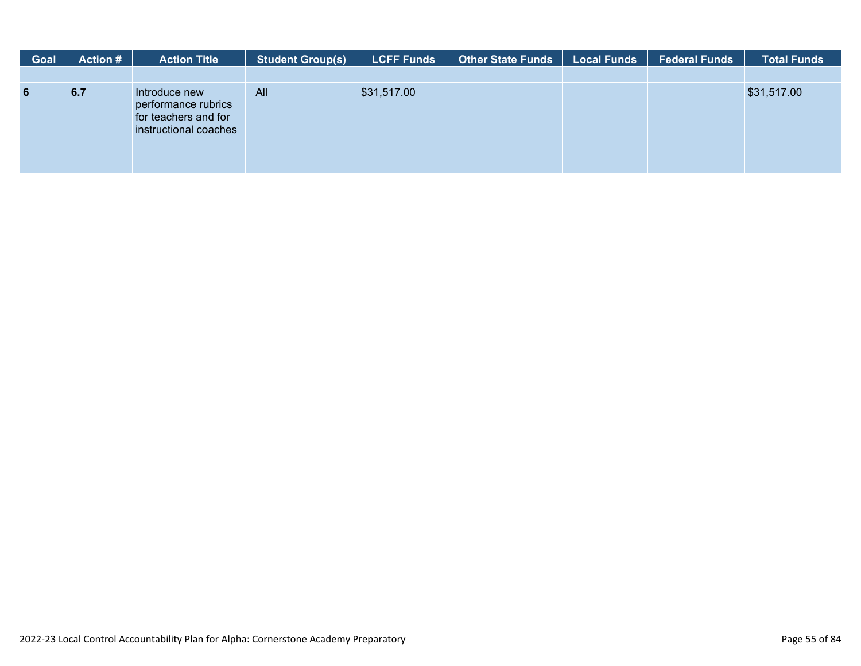| <b>Goal</b>     | <b>Action #</b> | <b>Action Title</b>                                                                   | <b>Student Group(s)</b> | <b>LCFF Funds</b> | <b>Other State Funds</b> | Local Funds | <b>Federal Funds</b> | <b>Total Funds</b> |
|-----------------|-----------------|---------------------------------------------------------------------------------------|-------------------------|-------------------|--------------------------|-------------|----------------------|--------------------|
|                 |                 |                                                                                       |                         |                   |                          |             |                      |                    |
| $6\phantom{1}6$ | 6.7             | Introduce new<br>performance rubrics<br>for teachers and for<br>instructional coaches | All                     | \$31,517.00       |                          |             |                      | \$31,517.00        |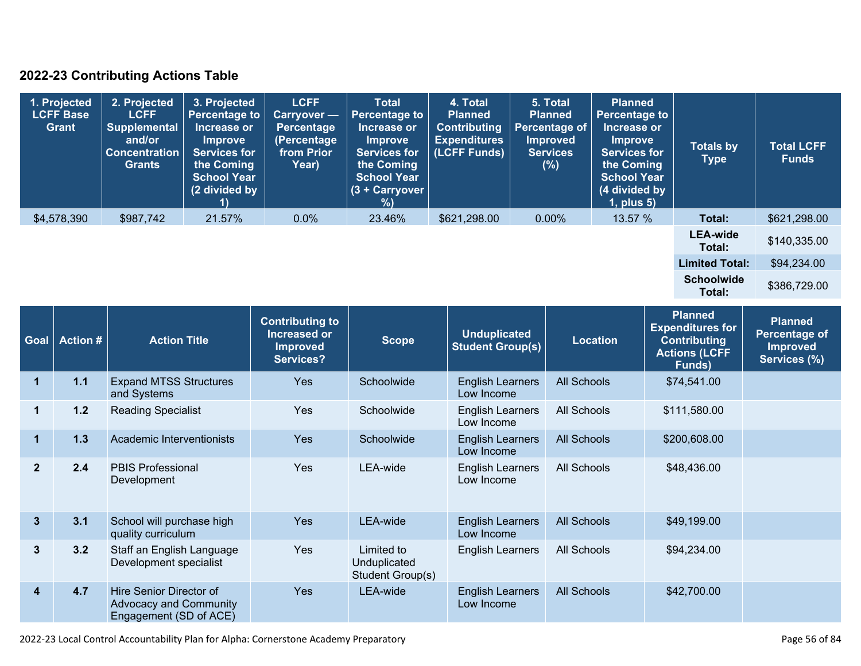### **2022-23 Contributing Actions Table**

| 1. Projected<br><b>LCFF Base</b><br>Grant | 2. Projected<br><b>LCFF</b><br><b>Supplemental</b><br>and/or<br><b>Concentration</b><br><b>Grants</b> | 3. Projected<br><b>Percentage to</b><br>Increase or<br>Improve<br><b>Services for</b><br>the Coming<br><b>School Year</b><br>(2 divided by | <b>LCFF</b><br>Carryover -<br><b>Percentage</b><br>(Percentage<br>from Prior<br>Year) | <b>Total</b><br><b>Percentage to</b><br>Increase or<br><b>Improve</b><br><b>Services for</b><br>the Coming<br><b>School Year</b><br>$(3 +$ Carryover<br>$\frac{9}{6}$ | 4. Total<br><b>Planned</b><br><b>Contributing</b><br><b>Expenditures</b><br>(LCFF Funds) | 5. Total<br><b>Planned</b><br>Percentage of<br><b>Improved</b><br><b>Services</b><br>(%) | <b>Planned</b><br><b>Percentage to</b><br>Increase or<br><b>Improve</b><br><b>Services for</b><br>the Coming<br><b>School Year</b><br>(4 divided by<br>$1$ , plus $5$ ) | <b>Totals by</b><br><b>Type</b> | <b>Total LCFF</b><br><b>Funds</b> |
|-------------------------------------------|-------------------------------------------------------------------------------------------------------|--------------------------------------------------------------------------------------------------------------------------------------------|---------------------------------------------------------------------------------------|-----------------------------------------------------------------------------------------------------------------------------------------------------------------------|------------------------------------------------------------------------------------------|------------------------------------------------------------------------------------------|-------------------------------------------------------------------------------------------------------------------------------------------------------------------------|---------------------------------|-----------------------------------|
| \$4,578,390                               | \$987,742                                                                                             | 21.57%                                                                                                                                     | $0.0\%$                                                                               | 23.46%                                                                                                                                                                | \$621,298.00                                                                             | 0.00%                                                                                    | 13.57 %                                                                                                                                                                 | Total:                          | \$621,298.00                      |
|                                           |                                                                                                       |                                                                                                                                            |                                                                                       |                                                                                                                                                                       |                                                                                          |                                                                                          |                                                                                                                                                                         | <b>LEA-wide</b><br>Total:       | \$140,335.00                      |
|                                           |                                                                                                       |                                                                                                                                            |                                                                                       |                                                                                                                                                                       |                                                                                          |                                                                                          |                                                                                                                                                                         | <b>Limited Total:</b>           | \$94,234.00                       |
|                                           |                                                                                                       |                                                                                                                                            |                                                                                       |                                                                                                                                                                       |                                                                                          |                                                                                          |                                                                                                                                                                         | <b>Schoolwide</b><br>Total:     | \$386,729.00                      |

| <b>Goal</b>             | <b>Action #</b> | <b>Action Title</b>                                                                | <b>Contributing to</b><br>Increased or<br><b>Improved</b><br>Services? | <b>Scope</b>                                   | <b>Unduplicated</b><br><b>Student Group(s)</b> | <b>Location</b>    | <b>Planned</b><br><b>Expenditures for</b><br><b>Contributing</b><br><b>Actions (LCFF</b><br>Funds) | <b>Planned</b><br>Percentage of<br><b>Improved</b><br>Services (%) |
|-------------------------|-----------------|------------------------------------------------------------------------------------|------------------------------------------------------------------------|------------------------------------------------|------------------------------------------------|--------------------|----------------------------------------------------------------------------------------------------|--------------------------------------------------------------------|
| 1                       | 1.1             | <b>Expand MTSS Structures</b><br>and Systems                                       | <b>Yes</b>                                                             | Schoolwide                                     | <b>English Learners</b><br>Low Income          | <b>All Schools</b> | \$74,541.00                                                                                        |                                                                    |
| $\mathbf 1$             | 1.2             | <b>Reading Specialist</b>                                                          | Yes                                                                    | Schoolwide                                     | <b>English Learners</b><br>Low Income          | All Schools        | \$111,580.00                                                                                       |                                                                    |
| 1                       | 1.3             | Academic Interventionists                                                          | <b>Yes</b>                                                             | Schoolwide                                     | <b>English Learners</b><br>Low Income          | <b>All Schools</b> | \$200,608.00                                                                                       |                                                                    |
| $\mathbf{2}$            | 2.4             | <b>PBIS Professional</b><br>Development                                            | Yes                                                                    | LEA-wide                                       | <b>English Learners</b><br>Low Income          | All Schools        | \$48,436.00                                                                                        |                                                                    |
| $\mathbf{3}$            | 3.1             | School will purchase high<br>quality curriculum                                    | <b>Yes</b>                                                             | LEA-wide                                       | <b>English Learners</b><br>Low Income          | <b>All Schools</b> | \$49,199.00                                                                                        |                                                                    |
| $\mathbf{3}$            | 3.2             | Staff an English Language<br>Development specialist                                | Yes                                                                    | Limited to<br>Unduplicated<br>Student Group(s) | <b>English Learners</b>                        | All Schools        | \$94,234.00                                                                                        |                                                                    |
| $\overline{\mathbf{4}}$ | 4.7             | Hire Senior Director of<br><b>Advocacy and Community</b><br>Engagement (SD of ACE) | Yes                                                                    | LEA-wide                                       | <b>English Learners</b><br>Low Income          | <b>All Schools</b> | \$42,700.00                                                                                        |                                                                    |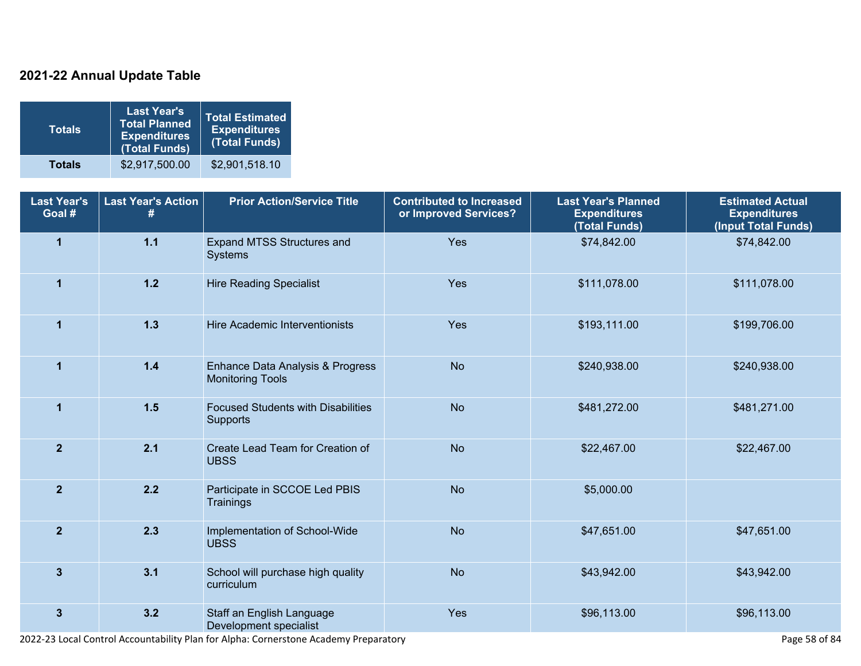### **2021-22 Annual Update Table**

| <b>Totals</b> | <b>Last Year's</b><br><b>Total Planned</b><br><b>Expenditures</b><br>(Total Funds) | Total Estimated<br><b>Expenditures</b><br>(Total Funds) |
|---------------|------------------------------------------------------------------------------------|---------------------------------------------------------|
| <b>Totals</b> | \$2,917,500.00                                                                     | \$2,901,518.10                                          |

| <b>Last Year's</b><br>Goal # | <b>Last Year's Action</b><br># | <b>Prior Action/Service Title</b>                           | <b>Contributed to Increased</b><br>or Improved Services? | <b>Last Year's Planned</b><br><b>Expenditures</b><br>(Total Funds) | <b>Estimated Actual</b><br><b>Expenditures</b><br>(Input Total Funds) |
|------------------------------|--------------------------------|-------------------------------------------------------------|----------------------------------------------------------|--------------------------------------------------------------------|-----------------------------------------------------------------------|
| $\overline{1}$               | $1.1$                          | Expand MTSS Structures and<br>Systems                       | Yes                                                      | \$74,842.00                                                        | \$74,842.00                                                           |
| $\mathbf{1}$                 | $1.2$                          | <b>Hire Reading Specialist</b>                              | Yes                                                      | \$111,078.00                                                       | \$111,078.00                                                          |
| $\mathbf{1}$                 | $1.3$                          | Hire Academic Interventionists                              | Yes                                                      | \$193,111.00                                                       | \$199,706.00                                                          |
| $\mathbf{1}$                 | $1.4$                          | Enhance Data Analysis & Progress<br><b>Monitoring Tools</b> | <b>No</b>                                                | \$240,938.00                                                       | \$240,938.00                                                          |
| $\overline{1}$               | $1.5$                          | <b>Focused Students with Disabilities</b><br>Supports       | <b>No</b>                                                | \$481,272.00                                                       | \$481,271.00                                                          |
| $\overline{2}$               | 2.1                            | Create Lead Team for Creation of<br><b>UBSS</b>             | <b>No</b>                                                | \$22,467.00                                                        | \$22,467.00                                                           |
| $\overline{2}$               | 2.2                            | Participate in SCCOE Led PBIS<br>Trainings                  | <b>No</b>                                                | \$5,000.00                                                         |                                                                       |
| $\overline{2}$               | 2.3                            | Implementation of School-Wide<br><b>UBSS</b>                | <b>No</b>                                                | \$47,651.00                                                        | \$47,651.00                                                           |
| $\mathbf{3}$                 | 3.1                            | School will purchase high quality<br>curriculum             | <b>No</b>                                                | \$43,942.00                                                        | \$43,942.00                                                           |
| $\mathbf{3}$                 | 3.2                            | Staff an English Language<br>Development specialist         | Yes                                                      | \$96,113.00                                                        | \$96,113.00                                                           |

2022-23 Local Control Accountability Plan for Alpha: Cornerstone Academy Preparatory **Page 198 of 84** Page 58 of 84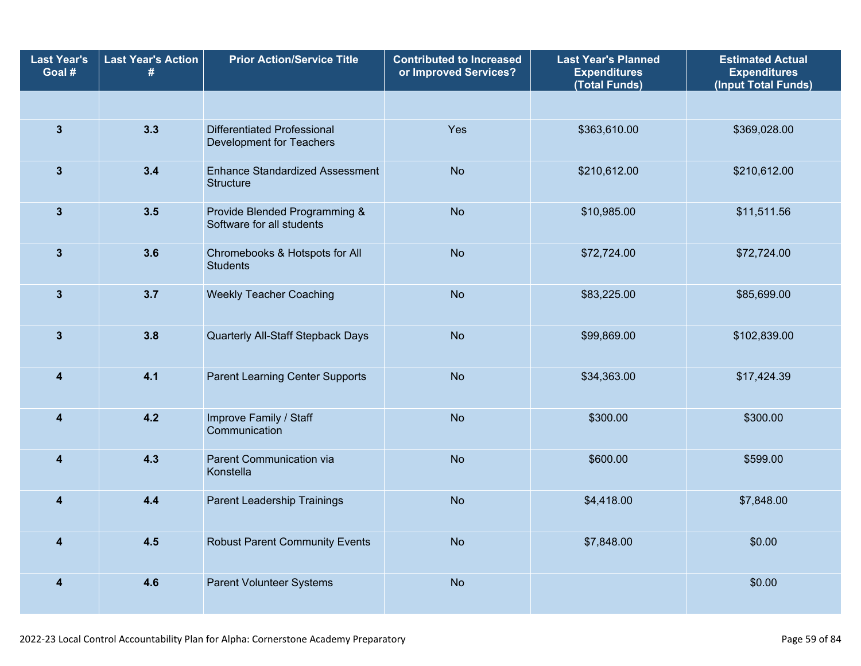| <b>Last Year's</b><br>Goal # | <b>Last Year's Action</b><br># | <b>Prior Action/Service Title</b>                          | <b>Contributed to Increased</b><br>or Improved Services? | <b>Last Year's Planned</b><br><b>Expenditures</b><br>(Total Funds) | <b>Estimated Actual</b><br><b>Expenditures</b><br>(Input Total Funds) |
|------------------------------|--------------------------------|------------------------------------------------------------|----------------------------------------------------------|--------------------------------------------------------------------|-----------------------------------------------------------------------|
|                              |                                |                                                            |                                                          |                                                                    |                                                                       |
| $\mathbf{3}$                 | 3.3                            | Differentiated Professional<br>Development for Teachers    | Yes                                                      | \$363,610.00                                                       | \$369,028.00                                                          |
| $\mathbf{3}$                 | 3.4                            | <b>Enhance Standardized Assessment</b><br><b>Structure</b> | <b>No</b>                                                | \$210,612.00                                                       | \$210,612.00                                                          |
| $\mathbf{3}$                 | 3.5                            | Provide Blended Programming &<br>Software for all students | <b>No</b>                                                | \$10,985.00                                                        | \$11,511.56                                                           |
| $\mathbf{3}$                 | 3.6                            | Chromebooks & Hotspots for All<br><b>Students</b>          | <b>No</b>                                                | \$72,724.00                                                        | \$72,724.00                                                           |
| $\mathbf{3}$                 | 3.7                            | <b>Weekly Teacher Coaching</b>                             | <b>No</b>                                                | \$83,225.00                                                        | \$85,699.00                                                           |
| $\mathbf{3}$                 | 3.8                            | Quarterly All-Staff Stepback Days                          | <b>No</b>                                                | \$99,869.00                                                        | \$102,839.00                                                          |
| $\boldsymbol{4}$             | 4.1                            | <b>Parent Learning Center Supports</b>                     | <b>No</b>                                                | \$34,363.00                                                        | \$17,424.39                                                           |
| $\overline{4}$               | 4.2                            | Improve Family / Staff<br>Communication                    | <b>No</b>                                                | \$300.00                                                           | \$300.00                                                              |
| $\overline{\mathbf{4}}$      | 4.3                            | Parent Communication via<br>Konstella                      | <b>No</b>                                                | \$600.00                                                           | \$599.00                                                              |
| $\boldsymbol{4}$             | 4.4                            | Parent Leadership Trainings                                | <b>No</b>                                                | \$4,418.00                                                         | \$7,848.00                                                            |
| $\overline{4}$               | 4.5                            | <b>Robust Parent Community Events</b>                      | <b>No</b>                                                | \$7,848.00                                                         | \$0.00                                                                |
| $\overline{\mathbf{4}}$      | 4.6                            | Parent Volunteer Systems                                   | <b>No</b>                                                |                                                                    | \$0.00                                                                |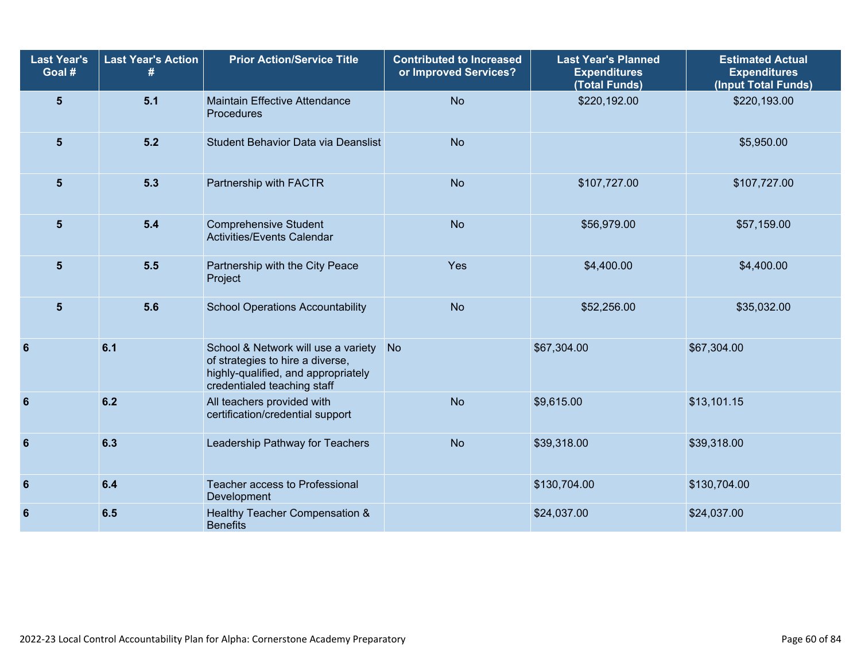| <b>Last Year's</b><br>Goal # | <b>Last Year's Action</b><br># | <b>Prior Action/Service Title</b>                                                                                                             | <b>Contributed to Increased</b><br>or Improved Services? | <b>Last Year's Planned</b><br><b>Expenditures</b><br>(Total Funds) | <b>Estimated Actual</b><br><b>Expenditures</b><br>(Input Total Funds) |
|------------------------------|--------------------------------|-----------------------------------------------------------------------------------------------------------------------------------------------|----------------------------------------------------------|--------------------------------------------------------------------|-----------------------------------------------------------------------|
| $5\phantom{1}$               | 5.1                            | <b>Maintain Effective Attendance</b><br>Procedures                                                                                            | <b>No</b>                                                | \$220,192.00                                                       | \$220,193.00                                                          |
| 5                            | 5.2                            | Student Behavior Data via Deanslist                                                                                                           | <b>No</b>                                                |                                                                    | \$5,950.00                                                            |
| $5\phantom{1}$               | 5.3                            | Partnership with FACTR                                                                                                                        | <b>No</b>                                                | \$107,727.00                                                       | \$107,727.00                                                          |
| $5\phantom{1}$               | 5.4                            | <b>Comprehensive Student</b><br>Activities/Events Calendar                                                                                    | <b>No</b>                                                | \$56,979.00                                                        | \$57,159.00                                                           |
| $5\phantom{1}$               | 5.5                            | Partnership with the City Peace<br>Project                                                                                                    | Yes                                                      | \$4,400.00                                                         | \$4,400.00                                                            |
| $5\phantom{1}$               | 5.6                            | <b>School Operations Accountability</b>                                                                                                       | <b>No</b>                                                | \$52,256.00                                                        | \$35,032.00                                                           |
| 6                            | 6.1                            | School & Network will use a variety<br>of strategies to hire a diverse,<br>highly-qualified, and appropriately<br>credentialed teaching staff | <b>No</b>                                                | \$67,304.00                                                        | \$67,304.00                                                           |
| 6                            | 6.2                            | All teachers provided with<br>certification/credential support                                                                                | <b>No</b>                                                | \$9,615.00                                                         | \$13,101.15                                                           |
| 6                            | 6.3                            | Leadership Pathway for Teachers                                                                                                               | <b>No</b>                                                | \$39,318.00                                                        | \$39,318.00                                                           |
| $6\phantom{1}6$              | 6.4                            | Teacher access to Professional<br>Development                                                                                                 |                                                          | \$130,704.00                                                       | \$130,704.00                                                          |
| $6\phantom{1}6$              | 6.5                            | Healthy Teacher Compensation &<br><b>Benefits</b>                                                                                             |                                                          | \$24,037.00                                                        | \$24,037.00                                                           |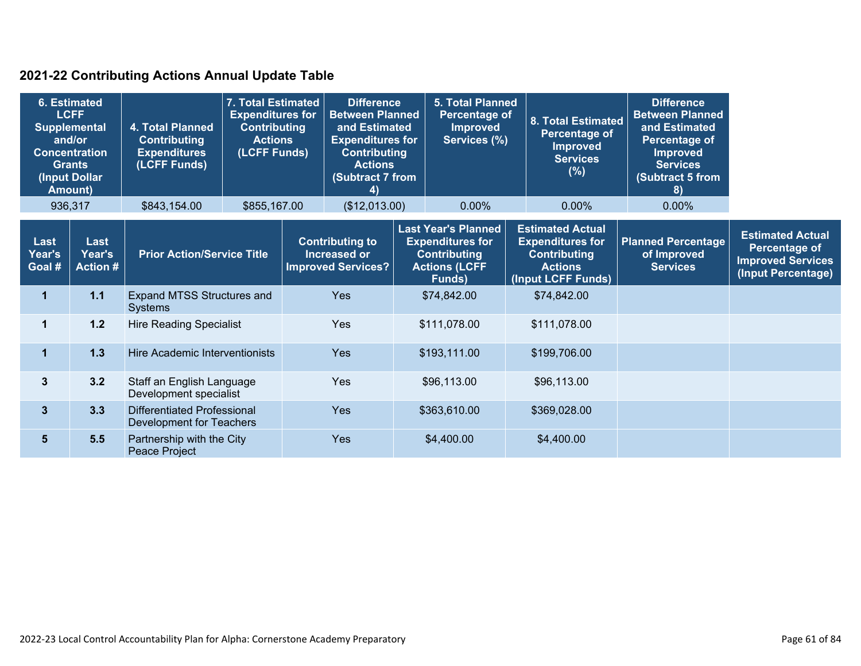#### **2021-22 Contributing Actions Annual Update Table**

| 6. Estimated<br><b>LCFF</b><br><b>Supplemental</b><br>and/or<br><b>Concentration</b><br><b>Grants</b><br>(Input Dollar<br>Amount) |                                   | 7. Total Estimated<br><b>Expenditures for</b><br>4. Total Planned<br><b>Contributing</b><br><b>Contributing</b><br><b>Actions</b><br>(LCFF Funds)<br><b>Expenditures</b><br>(LCFF Funds) |              | <b>Difference</b><br><b>Between Planned</b><br>and Estimated<br><b>Expenditures for</b><br><b>Contributing</b><br><b>Actions</b><br>(Subtract 7 from<br>$\left( \frac{4}{2} \right)$ |                                                                            |              | <b>5. Total Planned</b><br><b>Percentage of</b><br><b>Improved</b><br>Services (%)                             |  | 8. Total Estimated<br>Percentage of<br><b>Improved</b><br><b>Services</b><br>(%)                                  | <b>Difference</b><br><b>Between Planned</b><br>and Estimated<br><b>Percentage of</b><br><b>Improved</b><br><b>Services</b><br><b>Subtract 5 from</b><br>8) |                                                                                            |
|-----------------------------------------------------------------------------------------------------------------------------------|-----------------------------------|------------------------------------------------------------------------------------------------------------------------------------------------------------------------------------------|--------------|--------------------------------------------------------------------------------------------------------------------------------------------------------------------------------------|----------------------------------------------------------------------------|--------------|----------------------------------------------------------------------------------------------------------------|--|-------------------------------------------------------------------------------------------------------------------|------------------------------------------------------------------------------------------------------------------------------------------------------------|--------------------------------------------------------------------------------------------|
|                                                                                                                                   | 936,317                           | \$843,154.00                                                                                                                                                                             | \$855,167.00 |                                                                                                                                                                                      | (\$12,013.00)                                                              |              | 0.00%                                                                                                          |  | $0.00\%$                                                                                                          | 0.00%                                                                                                                                                      |                                                                                            |
| Last<br>Year's<br>Goal #                                                                                                          | Last<br>Year's<br><b>Action #</b> | <b>Prior Action/Service Title</b>                                                                                                                                                        |              |                                                                                                                                                                                      | <b>Contributing to</b><br><b>Increased or</b><br><b>Improved Services?</b> |              | <b>Last Year's Planned</b><br><b>Expenditures for</b><br><b>Contributing</b><br><b>Actions (LCFF</b><br>Funds) |  | <b>Estimated Actual</b><br><b>Expenditures for</b><br><b>Contributing</b><br><b>Actions</b><br>(Input LCFF Funds) | <b>Planned Percentage</b><br>of Improved<br><b>Services</b>                                                                                                | <b>Estimated Actual</b><br>Percentage of<br><b>Improved Services</b><br>(Input Percentage) |
| 1                                                                                                                                 | $1.1$                             | Expand MTSS Structures and<br>Systems                                                                                                                                                    |              |                                                                                                                                                                                      | <b>Yes</b>                                                                 |              | \$74,842.00                                                                                                    |  | \$74,842.00                                                                                                       |                                                                                                                                                            |                                                                                            |
| 1                                                                                                                                 | 1.2                               | <b>Hire Reading Specialist</b>                                                                                                                                                           |              | <b>Yes</b>                                                                                                                                                                           |                                                                            | \$111,078.00 |                                                                                                                |  | \$111,078.00                                                                                                      |                                                                                                                                                            |                                                                                            |
| $\mathbf 1$                                                                                                                       | 1.3                               | Hire Academic Interventionists                                                                                                                                                           |              |                                                                                                                                                                                      | <b>Yes</b>                                                                 |              | \$193,111.00                                                                                                   |  | \$199,706.00                                                                                                      |                                                                                                                                                            |                                                                                            |
| $\overline{\mathbf{3}}$                                                                                                           | 3.2                               | Staff an English Language<br>Development specialist                                                                                                                                      |              | <b>Yes</b>                                                                                                                                                                           |                                                                            | \$96,113.00  |                                                                                                                |  | \$96,113.00                                                                                                       |                                                                                                                                                            |                                                                                            |
| $\overline{\mathbf{3}}$                                                                                                           | 3.3                               | Differentiated Professional<br>Development for Teachers                                                                                                                                  |              |                                                                                                                                                                                      | <b>Yes</b>                                                                 |              | \$363,610.00                                                                                                   |  | \$369,028.00                                                                                                      |                                                                                                                                                            |                                                                                            |
| 5 <sup>5</sup>                                                                                                                    | 5.5                               | Partnership with the City<br>Peace Project                                                                                                                                               |              |                                                                                                                                                                                      | <b>Yes</b>                                                                 |              | \$4,400.00                                                                                                     |  | \$4,400.00                                                                                                        |                                                                                                                                                            |                                                                                            |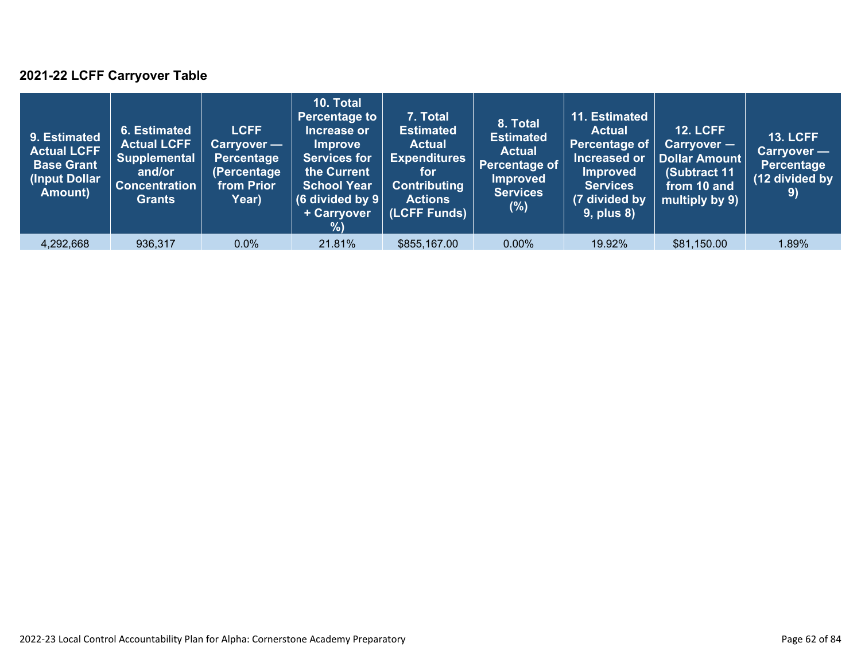### **2021-22 LCFF Carryover Table**

| 9. Estimated<br><b>Actual LCFF</b><br><b>Base Grant</b><br>(Input Dollar<br>Amount) | 6. Estimated<br><b>Actual LCFF</b><br><b>Supplemental</b><br>and/or<br><b>Concentration</b><br><b>Grants</b> | <b>LCFF</b><br>Carryover —<br>Percentage<br>(Percentage<br>from Prior<br>Year) | 10. Total<br><b>Percentage to</b><br>Increase or<br><b>Improve</b><br><b>Services for</b><br>the Current<br><b>School Year</b><br>(6 divided by $9$ $ $<br>+ Carryover<br>% | 7. Total<br><b>Estimated</b><br><b>Actual</b><br><b>Expenditures</b><br>for<br><b>Contributing</b><br><b>Actions</b><br>(LCFF Funds) | 8. Total<br><b>Estimated</b><br><b>Actual</b><br>Percentage of<br><b>Improved</b><br><b>Services</b><br>$(\%)$ | 11. Estimated<br><b>Actual</b><br>Percentage of<br>Increased or<br><b>Improved</b><br><b>Services</b><br>(7 divided by<br><b>9, plus 8)</b> | <b>12. LCFF</b><br>Carryover -<br>Dollar Amount<br>(Subtract 11<br>from 10 and<br>multiply by 9) | <b>13. LCFF</b><br>Carryover -<br><b>Percentage</b><br>(12 divided by<br>9) |
|-------------------------------------------------------------------------------------|--------------------------------------------------------------------------------------------------------------|--------------------------------------------------------------------------------|-----------------------------------------------------------------------------------------------------------------------------------------------------------------------------|--------------------------------------------------------------------------------------------------------------------------------------|----------------------------------------------------------------------------------------------------------------|---------------------------------------------------------------------------------------------------------------------------------------------|--------------------------------------------------------------------------------------------------|-----------------------------------------------------------------------------|
| 4,292,668                                                                           | 936,317                                                                                                      | $0.0\%$                                                                        | 21.81%                                                                                                                                                                      | \$855,167.00                                                                                                                         | $0.00\%$                                                                                                       | 19.92%                                                                                                                                      | \$81,150.00                                                                                      | 1.89%                                                                       |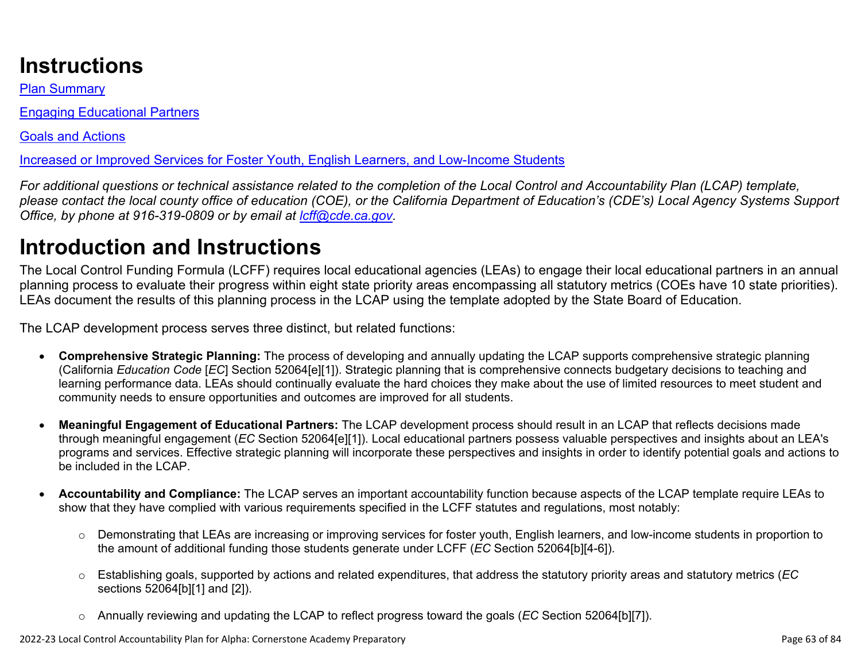# **Instructions**

Plan Summary

Engaging Educational Partners

Goals and Actions

Increased or Improved Services for Foster Youth, English Learners, and Low-Income Students

*For additional questions or technical assistance related to the completion of the Local Control and Accountability Plan (LCAP) template, please contact the local county office of education (COE), or the California Department of Education's (CDE's) Local Agency Systems Support Office, by phone at 916-319-0809 or by email at [lcff@cde.ca.gov](mailto:lcff@cde.ca.gov).*

# **Introduction and Instructions**

The Local Control Funding Formula (LCFF) requires local educational agencies (LEAs) to engage their local educational partners in an annual planning process to evaluate their progress within eight state priority areas encompassing all statutory metrics (COEs have 10 state priorities). LEAs document the results of this planning process in the LCAP using the template adopted by the State Board of Education.

The LCAP development process serves three distinct, but related functions:

- **Comprehensive Strategic Planning:** The process of developing and annually updating the LCAP supports comprehensive strategic planning (California *Education Code* [*EC*] Section 52064[e][1]). Strategic planning that is comprehensive connects budgetary decisions to teaching and learning performance data. LEAs should continually evaluate the hard choices they make about the use of limited resources to meet student and community needs to ensure opportunities and outcomes are improved for all students.
- **Meaningful Engagement of Educational Partners:** The LCAP development process should result in an LCAP that reflects decisions made through meaningful engagement (*EC* Section 52064[e][1]). Local educational partners possess valuable perspectives and insights about an LEA's programs and services. Effective strategic planning will incorporate these perspectives and insights in order to identify potential goals and actions to be included in the LCAP.
- **Accountability and Compliance:** The LCAP serves an important accountability function because aspects of the LCAP template require LEAs to show that they have complied with various requirements specified in the LCFF statutes and regulations, most notably:
	- o Demonstrating that LEAs are increasing or improving services for foster youth, English learners, and low-income students in proportion to the amount of additional funding those students generate under LCFF (*EC* Section 52064[b][4-6]).
	- o Establishing goals, supported by actions and related expenditures, that address the statutory priority areas and statutory metrics (*EC* sections 52064[b][1] and [2]).
	- o Annually reviewing and updating the LCAP to reflect progress toward the goals (*EC* Section 52064[b][7]).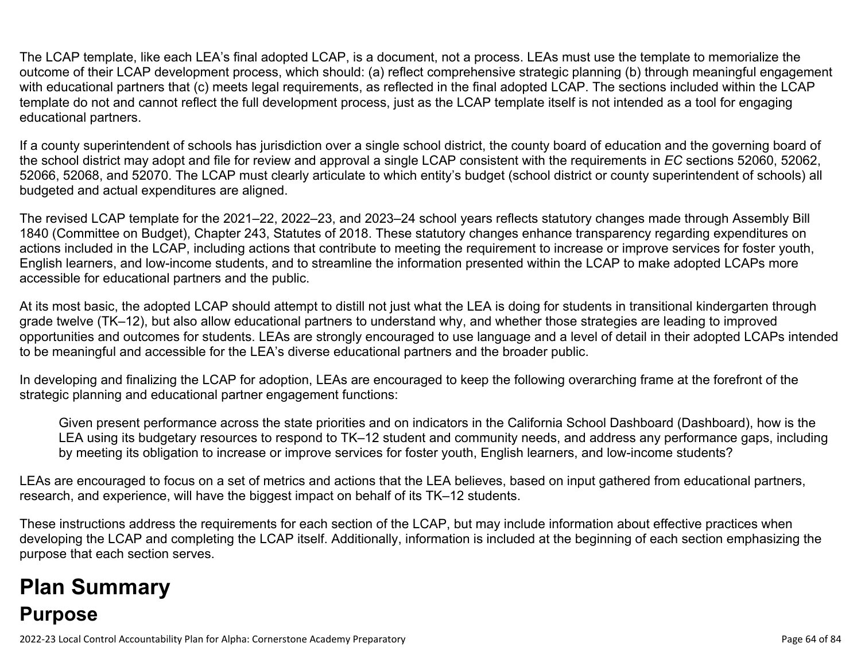The LCAP template, like each LEA's final adopted LCAP, is a document, not a process. LEAs must use the template to memorialize the outcome of their LCAP development process, which should: (a) reflect comprehensive strategic planning (b) through meaningful engagement with educational partners that (c) meets legal requirements, as reflected in the final adopted LCAP. The sections included within the LCAP template do not and cannot reflect the full development process, just as the LCAP template itself is not intended as a tool for engaging educational partners.

If a county superintendent of schools has jurisdiction over a single school district, the county board of education and the governing board of the school district may adopt and file for review and approval a single LCAP consistent with the requirements in *EC* sections 52060, 52062, 52066, 52068, and 52070. The LCAP must clearly articulate to which entity's budget (school district or county superintendent of schools) all budgeted and actual expenditures are aligned.

The revised LCAP template for the 2021–22, 2022–23, and 2023–24 school years reflects statutory changes made through Assembly Bill 1840 (Committee on Budget), Chapter 243, Statutes of 2018. These statutory changes enhance transparency regarding expenditures on actions included in the LCAP, including actions that contribute to meeting the requirement to increase or improve services for foster youth, English learners, and low-income students, and to streamline the information presented within the LCAP to make adopted LCAPs more accessible for educational partners and the public.

At its most basic, the adopted LCAP should attempt to distill not just what the LEA is doing for students in transitional kindergarten through grade twelve (TK–12), but also allow educational partners to understand why, and whether those strategies are leading to improved opportunities and outcomes for students. LEAs are strongly encouraged to use language and a level of detail in their adopted LCAPs intended to be meaningful and accessible for the LEA's diverse educational partners and the broader public.

In developing and finalizing the LCAP for adoption, LEAs are encouraged to keep the following overarching frame at the forefront of the strategic planning and educational partner engagement functions:

Given present performance across the state priorities and on indicators in the California School Dashboard (Dashboard), how is the LEA using its budgetary resources to respond to TK–12 student and community needs, and address any performance gaps, including by meeting its obligation to increase or improve services for foster youth, English learners, and low-income students?

LEAs are encouraged to focus on a set of metrics and actions that the LEA believes, based on input gathered from educational partners, research, and experience, will have the biggest impact on behalf of its TK–12 students.

These instructions address the requirements for each section of the LCAP, but may include information about effective practices when developing the LCAP and completing the LCAP itself. Additionally, information is included at the beginning of each section emphasizing the purpose that each section serves.

# **Plan Summary Purpose**

2022-23 Local Control Accountability Plan for Alpha: Cornerstone Academy Preparatory Page 64 of 84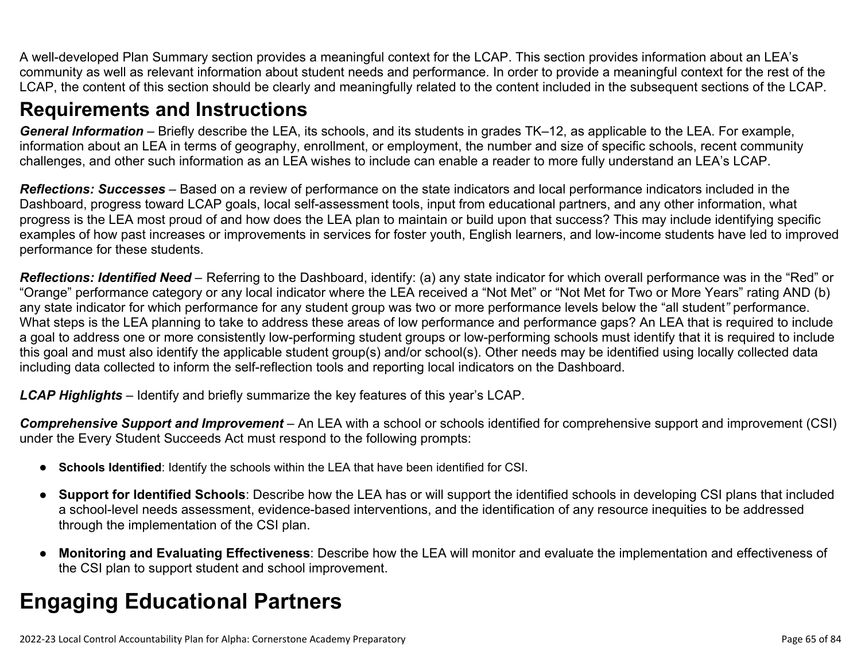A well-developed Plan Summary section provides a meaningful context for the LCAP. This section provides information about an LEA's community as well as relevant information about student needs and performance. In order to provide a meaningful context for the rest of the LCAP, the content of this section should be clearly and meaningfully related to the content included in the subsequent sections of the LCAP.

## **Requirements and Instructions**

*General Information* – Briefly describe the LEA, its schools, and its students in grades TK–12, as applicable to the LEA. For example, information about an LEA in terms of geography, enrollment, or employment, the number and size of specific schools, recent community challenges, and other such information as an LEA wishes to include can enable a reader to more fully understand an LEA's LCAP.

*Reflections: Successes* – Based on a review of performance on the state indicators and local performance indicators included in the Dashboard, progress toward LCAP goals, local self-assessment tools, input from educational partners, and any other information, what progress is the LEA most proud of and how does the LEA plan to maintain or build upon that success? This may include identifying specific examples of how past increases or improvements in services for foster youth, English learners, and low-income students have led to improved performance for these students.

*Reflections: Identified Need* – Referring to the Dashboard, identify: (a) any state indicator for which overall performance was in the "Red" or "Orange" performance category or any local indicator where the LEA received a "Not Met" or "Not Met for Two or More Years" rating AND (b) any state indicator for which performance for any student group was two or more performance levels below the "all student*"* performance. What steps is the LEA planning to take to address these areas of low performance and performance gaps? An LEA that is required to include a goal to address one or more consistently low-performing student groups or low-performing schools must identify that it is required to include this goal and must also identify the applicable student group(s) and/or school(s). Other needs may be identified using locally collected data including data collected to inform the self-reflection tools and reporting local indicators on the Dashboard.

*LCAP Highlights* – Identify and briefly summarize the key features of this year's LCAP.

*Comprehensive Support and Improvement* – An LEA with a school or schools identified for comprehensive support and improvement (CSI) under the Every Student Succeeds Act must respond to the following prompts:

- **Schools Identified**: Identify the schools within the LEA that have been identified for CSI.
- **Support for Identified Schools**: Describe how the LEA has or will support the identified schools in developing CSI plans that included a school-level needs assessment, evidence-based interventions, and the identification of any resource inequities to be addressed through the implementation of the CSI plan.
- **Monitoring and Evaluating Effectiveness**: Describe how the LEA will monitor and evaluate the implementation and effectiveness of the CSI plan to support student and school improvement.

# **Engaging Educational Partners**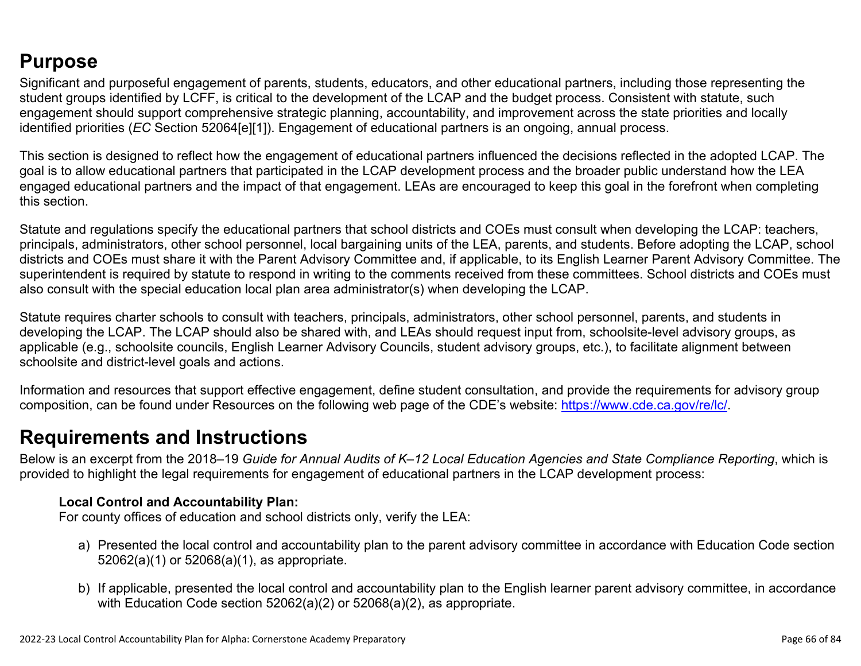## **Purpose**

Significant and purposeful engagement of parents, students, educators, and other educational partners, including those representing the student groups identified by LCFF, is critical to the development of the LCAP and the budget process. Consistent with statute, such engagement should support comprehensive strategic planning, accountability, and improvement across the state priorities and locally identified priorities (*EC* Section 52064[e][1]). Engagement of educational partners is an ongoing, annual process.

This section is designed to reflect how the engagement of educational partners influenced the decisions reflected in the adopted LCAP. The goal is to allow educational partners that participated in the LCAP development process and the broader public understand how the LEA engaged educational partners and the impact of that engagement. LEAs are encouraged to keep this goal in the forefront when completing this section.

Statute and regulations specify the educational partners that school districts and COEs must consult when developing the LCAP: teachers, principals, administrators, other school personnel, local bargaining units of the LEA, parents, and students. Before adopting the LCAP, school districts and COEs must share it with the Parent Advisory Committee and, if applicable, to its English Learner Parent Advisory Committee. The superintendent is required by statute to respond in writing to the comments received from these committees. School districts and COEs must also consult with the special education local plan area administrator(s) when developing the LCAP.

Statute requires charter schools to consult with teachers, principals, administrators, other school personnel, parents, and students in developing the LCAP. The LCAP should also be shared with, and LEAs should request input from, schoolsite-level advisory groups, as applicable (e.g., schoolsite councils, English Learner Advisory Councils, student advisory groups, etc.), to facilitate alignment between schoolsite and district-level goals and actions.

Information and resources that support effective engagement, define student consultation, and provide the requirements for advisory group composition, can be found under Resources on the following web page of the CDE's website: <https://www.cde.ca.gov/re/lc/>.

### **Requirements and Instructions**

Below is an excerpt from the 2018–19 *Guide for Annual Audits of K–12 Local Education Agencies and State Compliance Reporting*, which is provided to highlight the legal requirements for engagement of educational partners in the LCAP development process:

#### **Local Control and Accountability Plan:**

For county offices of education and school districts only, verify the LEA:

- a) Presented the local control and accountability plan to the parent advisory committee in accordance with Education Code section 52062(a)(1) or 52068(a)(1), as appropriate.
- b) If applicable, presented the local control and accountability plan to the English learner parent advisory committee, in accordance with Education Code section 52062(a)(2) or 52068(a)(2), as appropriate.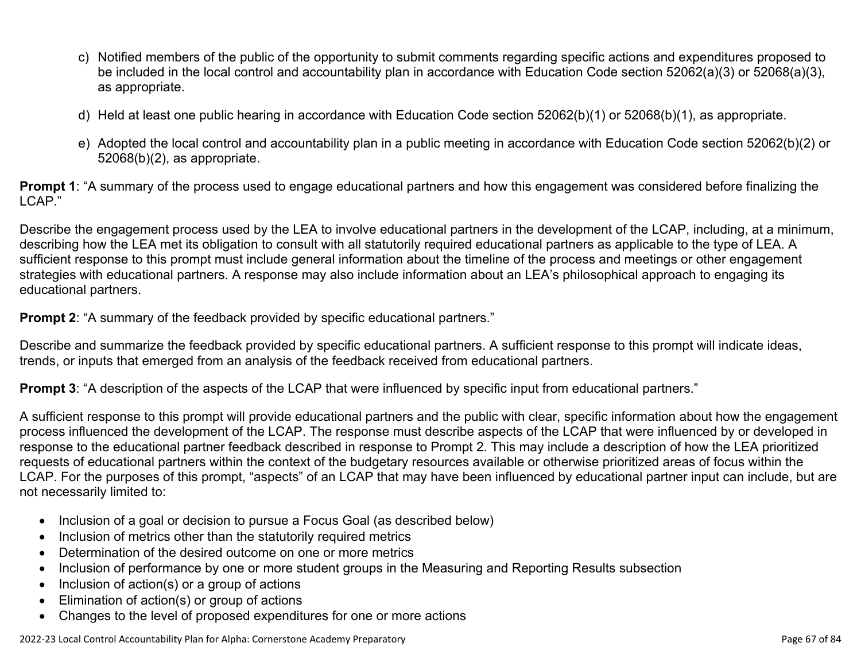- c) Notified members of the public of the opportunity to submit comments regarding specific actions and expenditures proposed to be included in the local control and accountability plan in accordance with Education Code section 52062(a)(3) or 52068(a)(3), as appropriate.
- d) Held at least one public hearing in accordance with Education Code section 52062(b)(1) or 52068(b)(1), as appropriate.
- e) Adopted the local control and accountability plan in a public meeting in accordance with Education Code section 52062(b)(2) or 52068(b)(2), as appropriate.

**Prompt 1**: "A summary of the process used to engage educational partners and how this engagement was considered before finalizing the LCAP."

Describe the engagement process used by the LEA to involve educational partners in the development of the LCAP, including, at a minimum, describing how the LEA met its obligation to consult with all statutorily required educational partners as applicable to the type of LEA. A sufficient response to this prompt must include general information about the timeline of the process and meetings or other engagement strategies with educational partners. A response may also include information about an LEA's philosophical approach to engaging its educational partners.

**Prompt 2:** "A summary of the feedback provided by specific educational partners."

Describe and summarize the feedback provided by specific educational partners. A sufficient response to this prompt will indicate ideas, trends, or inputs that emerged from an analysis of the feedback received from educational partners.

**Prompt 3**: "A description of the aspects of the LCAP that were influenced by specific input from educational partners."

A sufficient response to this prompt will provide educational partners and the public with clear, specific information about how the engagement process influenced the development of the LCAP. The response must describe aspects of the LCAP that were influenced by or developed in response to the educational partner feedback described in response to Prompt 2. This may include a description of how the LEA prioritized requests of educational partners within the context of the budgetary resources available or otherwise prioritized areas of focus within the LCAP. For the purposes of this prompt, "aspects" of an LCAP that may have been influenced by educational partner input can include, but are not necessarily limited to:

- Inclusion of a goal or decision to pursue a Focus Goal (as described below)
- Inclusion of metrics other than the statutorily required metrics
- Determination of the desired outcome on one or more metrics
- Inclusion of performance by one or more student groups in the Measuring and Reporting Results subsection
- Inclusion of action(s) or a group of actions
- Elimination of action(s) or group of actions
- Changes to the level of proposed expenditures for one or more actions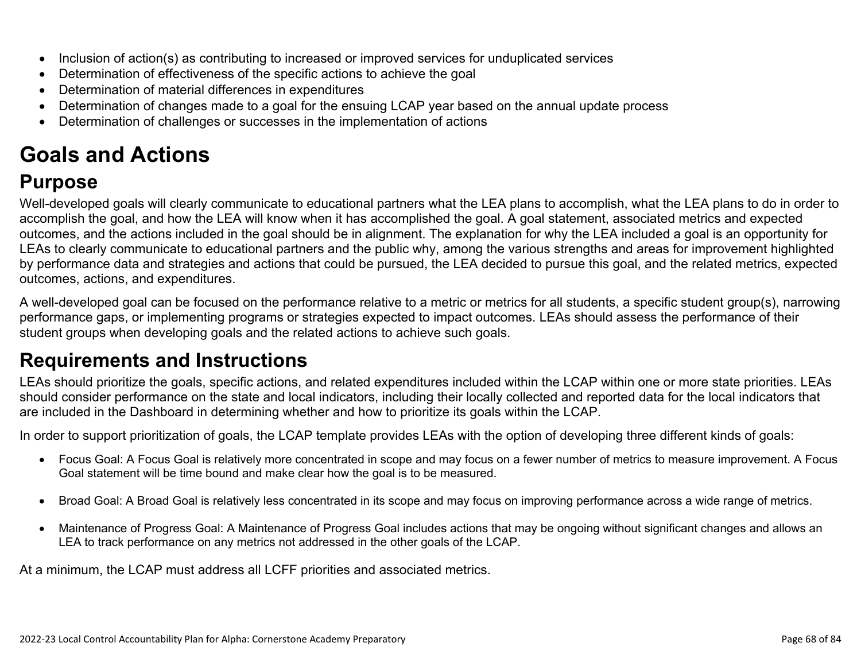- Inclusion of action(s) as contributing to increased or improved services for unduplicated services
- Determination of effectiveness of the specific actions to achieve the goal
- Determination of material differences in expenditures
- Determination of changes made to a goal for the ensuing LCAP year based on the annual update process
- Determination of challenges or successes in the implementation of actions

# **Goals and Actions**

## **Purpose**

Well-developed goals will clearly communicate to educational partners what the LEA plans to accomplish, what the LEA plans to do in order to accomplish the goal, and how the LEA will know when it has accomplished the goal. A goal statement, associated metrics and expected outcomes, and the actions included in the goal should be in alignment. The explanation for why the LEA included a goal is an opportunity for LEAs to clearly communicate to educational partners and the public why, among the various strengths and areas for improvement highlighted by performance data and strategies and actions that could be pursued, the LEA decided to pursue this goal, and the related metrics, expected outcomes, actions, and expenditures.

A well-developed goal can be focused on the performance relative to a metric or metrics for all students, a specific student group(s), narrowing performance gaps, or implementing programs or strategies expected to impact outcomes. LEAs should assess the performance of their student groups when developing goals and the related actions to achieve such goals.

## **Requirements and Instructions**

LEAs should prioritize the goals, specific actions, and related expenditures included within the LCAP within one or more state priorities. LEAs should consider performance on the state and local indicators, including their locally collected and reported data for the local indicators that are included in the Dashboard in determining whether and how to prioritize its goals within the LCAP.

In order to support prioritization of goals, the LCAP template provides LEAs with the option of developing three different kinds of goals:

- Focus Goal: A Focus Goal is relatively more concentrated in scope and may focus on a fewer number of metrics to measure improvement. A Focus Goal statement will be time bound and make clear how the goal is to be measured.
- Broad Goal: A Broad Goal is relatively less concentrated in its scope and may focus on improving performance across a wide range of metrics.
- Maintenance of Progress Goal: A Maintenance of Progress Goal includes actions that may be ongoing without significant changes and allows an LEA to track performance on any metrics not addressed in the other goals of the LCAP.

At a minimum, the LCAP must address all LCFF priorities and associated metrics.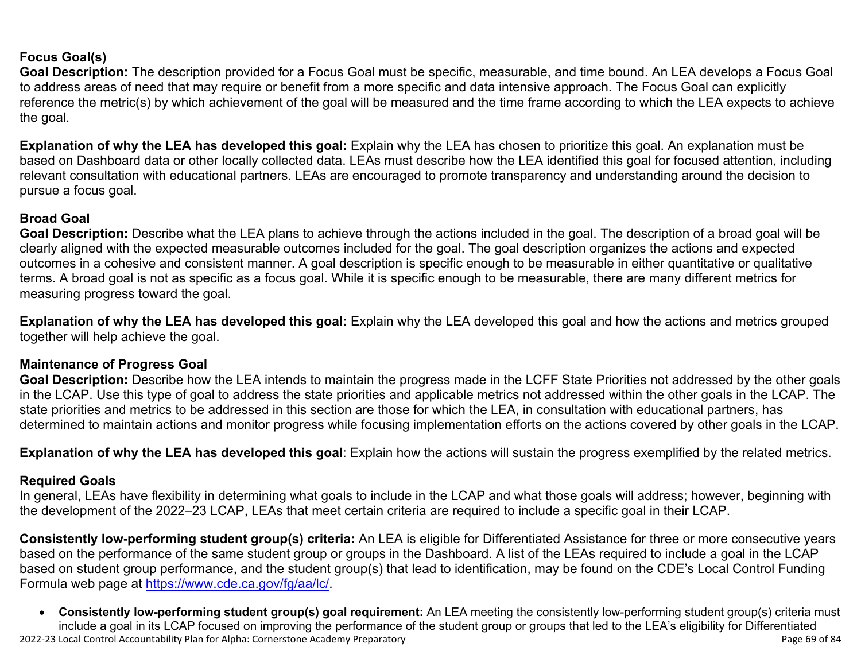#### **Focus Goal(s)**

**Goal Description:** The description provided for a Focus Goal must be specific, measurable, and time bound. An LEA develops a Focus Goal to address areas of need that may require or benefit from a more specific and data intensive approach. The Focus Goal can explicitly reference the metric(s) by which achievement of the goal will be measured and the time frame according to which the LEA expects to achieve the goal.

**Explanation of why the LEA has developed this goal:** Explain why the LEA has chosen to prioritize this goal. An explanation must be based on Dashboard data or other locally collected data. LEAs must describe how the LEA identified this goal for focused attention, including relevant consultation with educational partners. LEAs are encouraged to promote transparency and understanding around the decision to pursue a focus goal.

#### **Broad Goal**

Goal Description: Describe what the LEA plans to achieve through the actions included in the goal. The description of a broad goal will be clearly aligned with the expected measurable outcomes included for the goal. The goal description organizes the actions and expected outcomes in a cohesive and consistent manner. A goal description is specific enough to be measurable in either quantitative or qualitative terms. A broad goal is not as specific as a focus goal. While it is specific enough to be measurable, there are many different metrics for measuring progress toward the goal.

**Explanation of why the LEA has developed this goal:** Explain why the LEA developed this goal and how the actions and metrics grouped together will help achieve the goal.

#### **Maintenance of Progress Goal**

**Goal Description:** Describe how the LEA intends to maintain the progress made in the LCFF State Priorities not addressed by the other goals in the LCAP. Use this type of goal to address the state priorities and applicable metrics not addressed within the other goals in the LCAP. The state priorities and metrics to be addressed in this section are those for which the LEA, in consultation with educational partners, has determined to maintain actions and monitor progress while focusing implementation efforts on the actions covered by other goals in the LCAP.

**Explanation of why the LEA has developed this goal**: Explain how the actions will sustain the progress exemplified by the related metrics.

#### **Required Goals**

In general, LEAs have flexibility in determining what goals to include in the LCAP and what those goals will address; however, beginning with the development of the 2022–23 LCAP, LEAs that meet certain criteria are required to include a specific goal in their LCAP.

**Consistently low-performing student group(s) criteria:** An LEA is eligible for Differentiated Assistance for three or more consecutive years based on the performance of the same student group or groups in the Dashboard. A list of the LEAs required to include a goal in the LCAP based on student group performance, and the student group(s) that lead to identification, may be found on the CDE's Local Control Funding Formula web page at [https://www.cde.ca.gov/fg/aa/lc/.](https://www.cde.ca.gov/fg/aa/lc/)

2022-23 Local Control Accountability Plan for Alpha: Cornerstone Academy Preparatory Page 69 of 84 • **Consistently low-performing student group(s) goal requirement:** An LEA meeting the consistently low-performing student group(s) criteria must include a goal in its LCAP focused on improving the performance of the student group or groups that led to the LEA's eligibility for Differentiated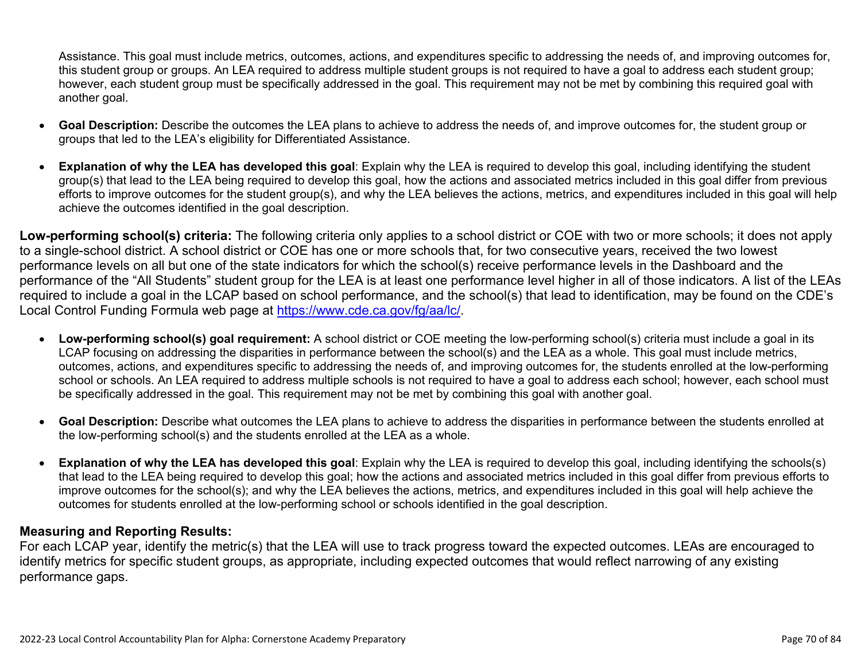Assistance. This goal must include metrics, outcomes, actions, and expenditures specific to addressing the needs of, and improving outcomes for, this student group or groups. An LEA required to address multiple student groups is not required to have a goal to address each student group; however, each student group must be specifically addressed in the goal. This requirement may not be met by combining this required goal with another goal.

- **Goal Description:** Describe the outcomes the LEA plans to achieve to address the needs of, and improve outcomes for, the student group or groups that led to the LEA's eligibility for Differentiated Assistance.
- **Explanation of why the LEA has developed this goal**: Explain why the LEA is required to develop this goal, including identifying the student group(s) that lead to the LEA being required to develop this goal, how the actions and associated metrics included in this goal differ from previous efforts to improve outcomes for the student group(s), and why the LEA believes the actions, metrics, and expenditures included in this goal will help achieve the outcomes identified in the goal description.

**Low-performing school(s) criteria:** The following criteria only applies to a school district or COE with two or more schools; it does not apply to a single-school district. A school district or COE has one or more schools that, for two consecutive years, received the two lowest performance levels on all but one of the state indicators for which the school(s) receive performance levels in the Dashboard and the performance of the "All Students" student group for the LEA is at least one performance level higher in all of those indicators. A list of the LEAs required to include a goal in the LCAP based on school performance, and the school(s) that lead to identification, may be found on the CDE's Local Control Funding Formula web page at [https://www.cde.ca.gov/fg/aa/lc/.](https://www.cde.ca.gov/fg/aa/lc/)

- **Low-performing school(s) goal requirement:** A school district or COE meeting the low-performing school(s) criteria must include a goal in its LCAP focusing on addressing the disparities in performance between the school(s) and the LEA as a whole. This goal must include metrics, outcomes, actions, and expenditures specific to addressing the needs of, and improving outcomes for, the students enrolled at the low-performing school or schools. An LEA required to address multiple schools is not required to have a goal to address each school; however, each school must be specifically addressed in the goal. This requirement may not be met by combining this goal with another goal.
- **Goal Description:** Describe what outcomes the LEA plans to achieve to address the disparities in performance between the students enrolled at the low-performing school(s) and the students enrolled at the LEA as a whole.
- **Explanation of why the LEA has developed this goal**: Explain why the LEA is required to develop this goal, including identifying the schools(s) that lead to the LEA being required to develop this goal; how the actions and associated metrics included in this goal differ from previous efforts to improve outcomes for the school(s); and why the LEA believes the actions, metrics, and expenditures included in this goal will help achieve the outcomes for students enrolled at the low-performing school or schools identified in the goal description.

#### **Measuring and Reporting Results:**

For each LCAP year, identify the metric(s) that the LEA will use to track progress toward the expected outcomes. LEAs are encouraged to identify metrics for specific student groups, as appropriate, including expected outcomes that would reflect narrowing of any existing performance gaps.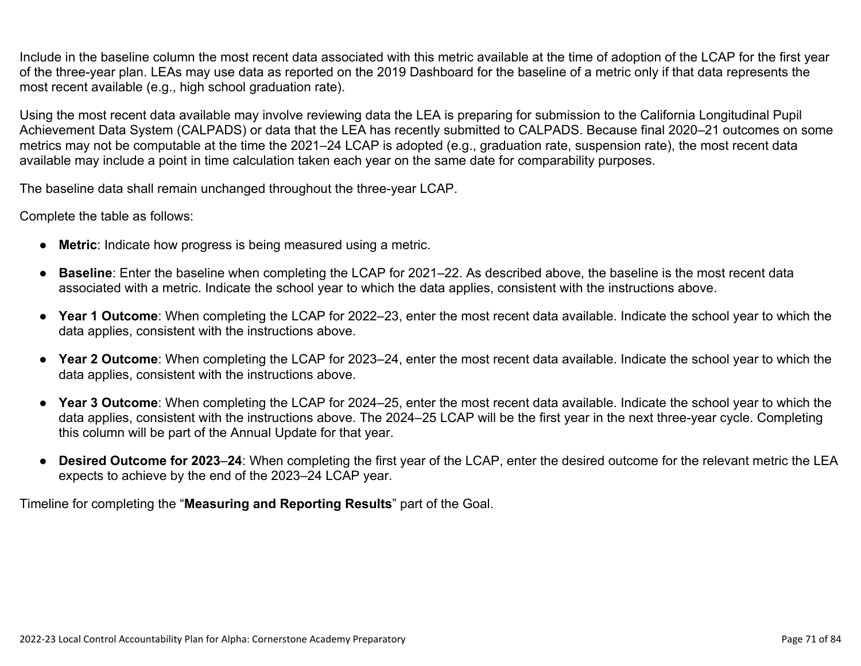Include in the baseline column the most recent data associated with this metric available at the time of adoption of the LCAP for the first year of the three-year plan. LEAs may use data as reported on the 2019 Dashboard for the baseline of a metric only if that data represents the most recent available (e.g., high school graduation rate).

Using the most recent data available may involve reviewing data the LEA is preparing for submission to the California Longitudinal Pupil Achievement Data System (CALPADS) or data that the LEA has recently submitted to CALPADS. Because final 2020–21 outcomes on some metrics may not be computable at the time the 2021–24 LCAP is adopted (e.g., graduation rate, suspension rate), the most recent data available may include a point in time calculation taken each year on the same date for comparability purposes.

The baseline data shall remain unchanged throughout the three-year LCAP.

Complete the table as follows:

- **Metric**: Indicate how progress is being measured using a metric.
- **Baseline**: Enter the baseline when completing the LCAP for 2021–22. As described above, the baseline is the most recent data associated with a metric. Indicate the school year to which the data applies, consistent with the instructions above.
- **Year 1 Outcome**: When completing the LCAP for 2022–23, enter the most recent data available. Indicate the school year to which the data applies, consistent with the instructions above.
- **Year 2 Outcome**: When completing the LCAP for 2023–24, enter the most recent data available. Indicate the school year to which the data applies, consistent with the instructions above.
- **Year 3 Outcome**: When completing the LCAP for 2024–25, enter the most recent data available. Indicate the school year to which the data applies, consistent with the instructions above. The 2024–25 LCAP will be the first year in the next three-year cycle. Completing this column will be part of the Annual Update for that year.
- **Desired Outcome for 2023**–**24**: When completing the first year of the LCAP, enter the desired outcome for the relevant metric the LEA expects to achieve by the end of the 2023–24 LCAP year.

Timeline for completing the "**Measuring and Reporting Results**" part of the Goal.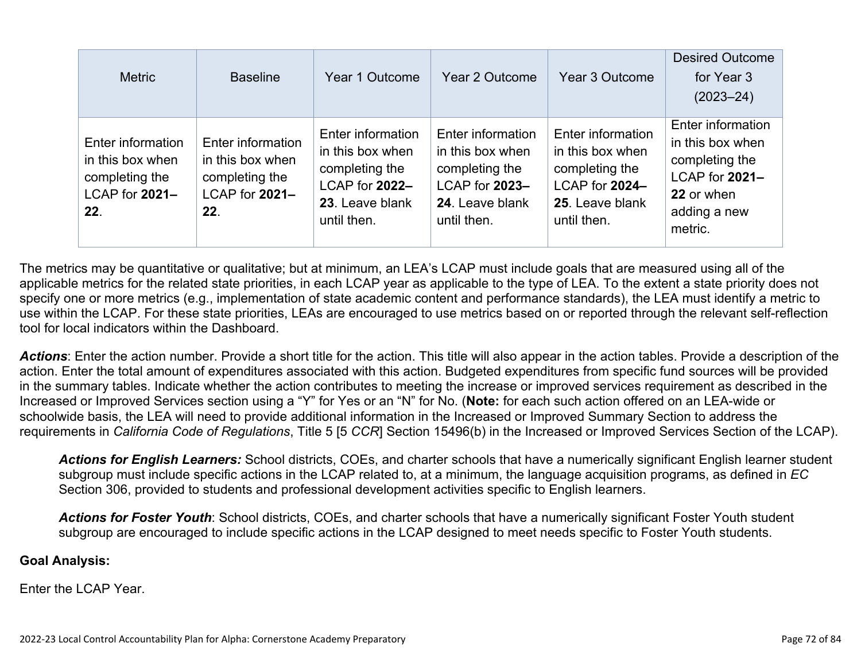| <b>Metric</b>                                                                    | <b>Baseline</b>                                                                  | Year 1 Outcome                                                                                              | Year 2 Outcome                                                                                              | Year 3 Outcome                                                                                              | <b>Desired Outcome</b><br>for Year 3<br>$(2023 - 24)$                                                              |
|----------------------------------------------------------------------------------|----------------------------------------------------------------------------------|-------------------------------------------------------------------------------------------------------------|-------------------------------------------------------------------------------------------------------------|-------------------------------------------------------------------------------------------------------------|--------------------------------------------------------------------------------------------------------------------|
| Enter information<br>in this box when<br>completing the<br>LCAP for 2021-<br>22. | Enter information<br>in this box when<br>completing the<br>LCAP for 2021-<br>22. | Enter information<br>in this box when<br>completing the<br>LCAP for 2022-<br>23. Leave blank<br>until then. | Enter information<br>in this box when<br>completing the<br>LCAP for 2023-<br>24. Leave blank<br>until then. | Enter information<br>in this box when<br>completing the<br>LCAP for 2024-<br>25. Leave blank<br>until then. | Enter information<br>in this box when<br>completing the<br>LCAP for 2021-<br>22 or when<br>adding a new<br>metric. |

The metrics may be quantitative or qualitative; but at minimum, an LEA's LCAP must include goals that are measured using all of the applicable metrics for the related state priorities, in each LCAP year as applicable to the type of LEA. To the extent a state priority does not specify one or more metrics (e.g., implementation of state academic content and performance standards), the LEA must identify a metric to use within the LCAP. For these state priorities, LEAs are encouraged to use metrics based on or reported through the relevant self-reflection tool for local indicators within the Dashboard.

*Actions*: Enter the action number. Provide a short title for the action. This title will also appear in the action tables. Provide a description of the action. Enter the total amount of expenditures associated with this action. Budgeted expenditures from specific fund sources will be provided in the summary tables. Indicate whether the action contributes to meeting the increase or improved services requirement as described in the Increased or Improved Services section using a "Y" for Yes or an "N" for No. (**Note:** for each such action offered on an LEA-wide or schoolwide basis, the LEA will need to provide additional information in the Increased or Improved Summary Section to address the requirements in *California Code of Regulations*, Title 5 [5 *CCR*] Section 15496(b) in the Increased or Improved Services Section of the LCAP).

*Actions for English Learners:* School districts, COEs, and charter schools that have a numerically significant English learner student subgroup must include specific actions in the LCAP related to, at a minimum, the language acquisition programs, as defined in *EC* Section 306, provided to students and professional development activities specific to English learners.

*Actions for Foster Youth*: School districts, COEs, and charter schools that have a numerically significant Foster Youth student subgroup are encouraged to include specific actions in the LCAP designed to meet needs specific to Foster Youth students.

#### **Goal Analysis:**

Enter the LCAP Year.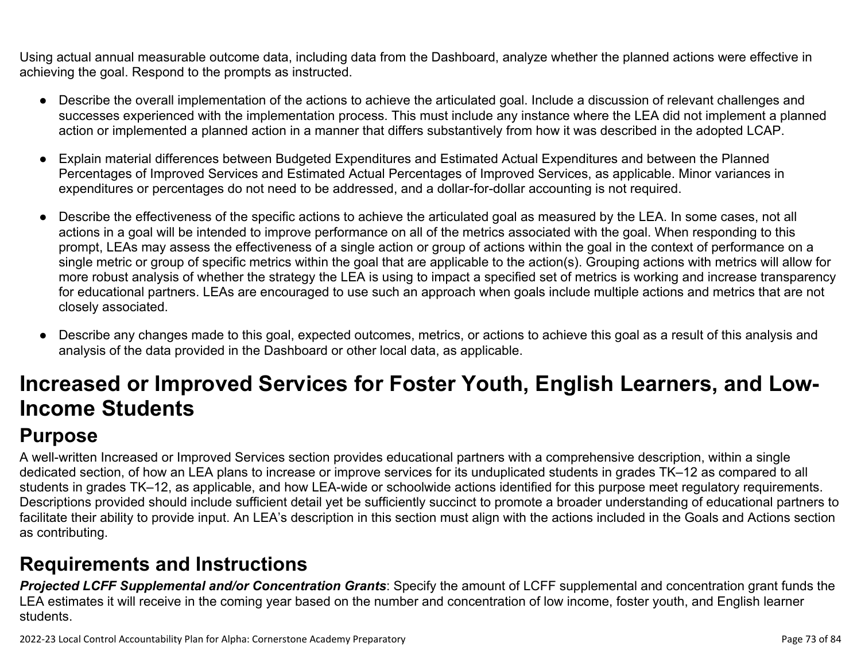Using actual annual measurable outcome data, including data from the Dashboard, analyze whether the planned actions were effective in achieving the goal. Respond to the prompts as instructed.

- Describe the overall implementation of the actions to achieve the articulated goal. Include a discussion of relevant challenges and successes experienced with the implementation process. This must include any instance where the LEA did not implement a planned action or implemented a planned action in a manner that differs substantively from how it was described in the adopted LCAP.
- Explain material differences between Budgeted Expenditures and Estimated Actual Expenditures and between the Planned Percentages of Improved Services and Estimated Actual Percentages of Improved Services, as applicable. Minor variances in expenditures or percentages do not need to be addressed, and a dollar-for-dollar accounting is not required.
- Describe the effectiveness of the specific actions to achieve the articulated goal as measured by the LEA. In some cases, not all actions in a goal will be intended to improve performance on all of the metrics associated with the goal. When responding to this prompt, LEAs may assess the effectiveness of a single action or group of actions within the goal in the context of performance on a single metric or group of specific metrics within the goal that are applicable to the action(s). Grouping actions with metrics will allow for more robust analysis of whether the strategy the LEA is using to impact a specified set of metrics is working and increase transparency for educational partners. LEAs are encouraged to use such an approach when goals include multiple actions and metrics that are not closely associated.
- Describe any changes made to this goal, expected outcomes, metrics, or actions to achieve this goal as a result of this analysis and analysis of the data provided in the Dashboard or other local data, as applicable.

# **Increased or Improved Services for Foster Youth, English Learners, and Low-Income Students**

### **Purpose**

A well-written Increased or Improved Services section provides educational partners with a comprehensive description, within a single dedicated section, of how an LEA plans to increase or improve services for its unduplicated students in grades TK–12 as compared to all students in grades TK–12, as applicable, and how LEA-wide or schoolwide actions identified for this purpose meet regulatory requirements. Descriptions provided should include sufficient detail yet be sufficiently succinct to promote a broader understanding of educational partners to facilitate their ability to provide input. An LEA's description in this section must align with the actions included in the Goals and Actions section as contributing.

### **Requirements and Instructions**

*Projected LCFF Supplemental and/or Concentration Grants*: Specify the amount of LCFF supplemental and concentration grant funds the LEA estimates it will receive in the coming year based on the number and concentration of low income, foster youth, and English learner students.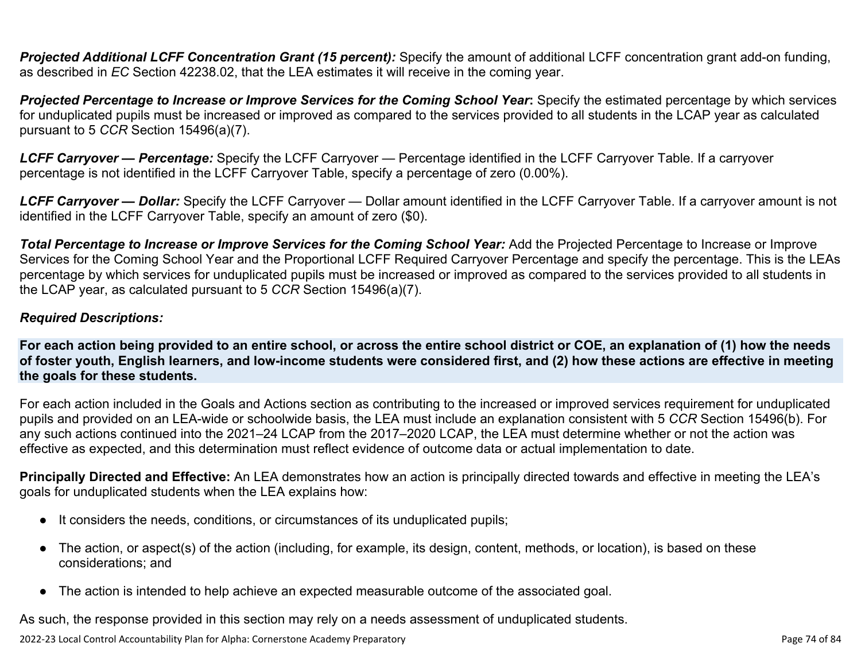**Projected Additional LCFF Concentration Grant (15 percent):** Specify the amount of additional LCFF concentration grant add-on funding, as described in *EC* Section 42238.02, that the LEA estimates it will receive in the coming year.

*Projected Percentage to Increase or Improve Services for the Coming School Year***:** Specify the estimated percentage by which services for unduplicated pupils must be increased or improved as compared to the services provided to all students in the LCAP year as calculated pursuant to 5 *CCR* Section 15496(a)(7).

*LCFF Carryover — Percentage:* Specify the LCFF Carryover — Percentage identified in the LCFF Carryover Table. If a carryover percentage is not identified in the LCFF Carryover Table, specify a percentage of zero (0.00%).

*LCFF Carryover — Dollar:* Specify the LCFF Carryover — Dollar amount identified in the LCFF Carryover Table. If a carryover amount is not identified in the LCFF Carryover Table, specify an amount of zero (\$0).

**Total Percentage to Increase or Improve Services for the Coming School Year:** Add the Projected Percentage to Increase or Improve Services for the Coming School Year and the Proportional LCFF Required Carryover Percentage and specify the percentage. This is the LEAs percentage by which services for unduplicated pupils must be increased or improved as compared to the services provided to all students in the LCAP year, as calculated pursuant to 5 *CCR* Section 15496(a)(7).

#### *Required Descriptions:*

**For each action being provided to an entire school, or across the entire school district or COE, an explanation of (1) how the needs of foster youth, English learners, and low-income students were considered first, and (2) how these actions are effective in meeting the goals for these students.**

For each action included in the Goals and Actions section as contributing to the increased or improved services requirement for unduplicated pupils and provided on an LEA-wide or schoolwide basis, the LEA must include an explanation consistent with 5 *CCR* Section 15496(b). For any such actions continued into the 2021–24 LCAP from the 2017–2020 LCAP, the LEA must determine whether or not the action was effective as expected, and this determination must reflect evidence of outcome data or actual implementation to date.

**Principally Directed and Effective:** An LEA demonstrates how an action is principally directed towards and effective in meeting the LEA's goals for unduplicated students when the LEA explains how:

- It considers the needs, conditions, or circumstances of its unduplicated pupils;
- The action, or aspect(s) of the action (including, for example, its design, content, methods, or location), is based on these considerations; and
- The action is intended to help achieve an expected measurable outcome of the associated goal.

As such, the response provided in this section may rely on a needs assessment of unduplicated students.

2022-23 Local Control Accountability Plan for Alpha: Cornerstone Academy Preparatory **Page 74 of 84** Page 74 of 84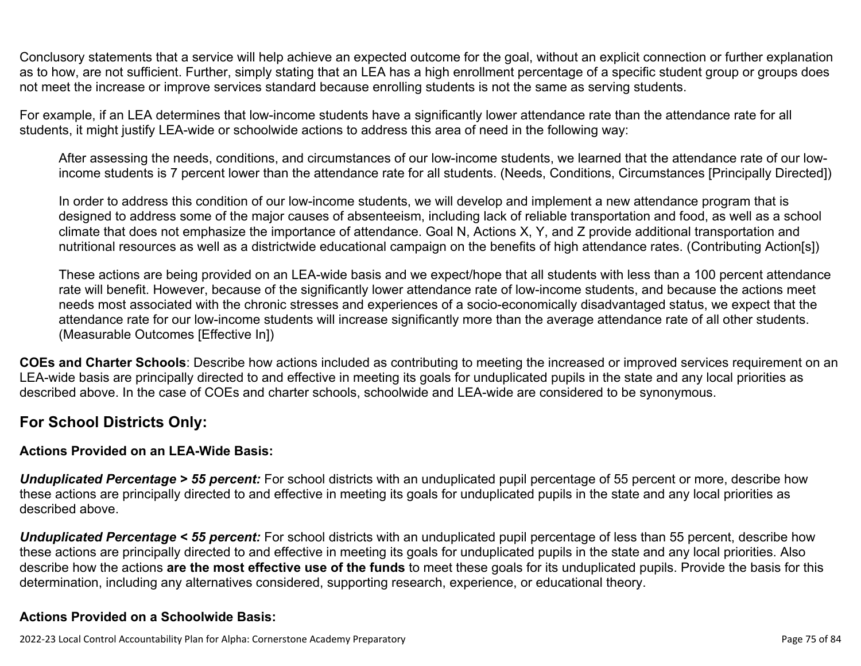Conclusory statements that a service will help achieve an expected outcome for the goal, without an explicit connection or further explanation as to how, are not sufficient. Further, simply stating that an LEA has a high enrollment percentage of a specific student group or groups does not meet the increase or improve services standard because enrolling students is not the same as serving students.

For example, if an LEA determines that low-income students have a significantly lower attendance rate than the attendance rate for all students, it might justify LEA-wide or schoolwide actions to address this area of need in the following way:

After assessing the needs, conditions, and circumstances of our low-income students, we learned that the attendance rate of our lowincome students is 7 percent lower than the attendance rate for all students. (Needs, Conditions, Circumstances [Principally Directed])

In order to address this condition of our low-income students, we will develop and implement a new attendance program that is designed to address some of the major causes of absenteeism, including lack of reliable transportation and food, as well as a school climate that does not emphasize the importance of attendance. Goal N, Actions X, Y, and Z provide additional transportation and nutritional resources as well as a districtwide educational campaign on the benefits of high attendance rates. (Contributing Action[s])

These actions are being provided on an LEA-wide basis and we expect/hope that all students with less than a 100 percent attendance rate will benefit. However, because of the significantly lower attendance rate of low-income students, and because the actions meet needs most associated with the chronic stresses and experiences of a socio-economically disadvantaged status, we expect that the attendance rate for our low-income students will increase significantly more than the average attendance rate of all other students. (Measurable Outcomes [Effective In])

**COEs and Charter Schools**: Describe how actions included as contributing to meeting the increased or improved services requirement on an LEA-wide basis are principally directed to and effective in meeting its goals for unduplicated pupils in the state and any local priorities as described above. In the case of COEs and charter schools, schoolwide and LEA-wide are considered to be synonymous.

#### **For School Districts Only:**

#### **Actions Provided on an LEA-Wide Basis:**

*Unduplicated Percentage > 55 percent:* For school districts with an unduplicated pupil percentage of 55 percent or more, describe how these actions are principally directed to and effective in meeting its goals for unduplicated pupils in the state and any local priorities as described above.

*Unduplicated Percentage < 55 percent:* For school districts with an unduplicated pupil percentage of less than 55 percent, describe how these actions are principally directed to and effective in meeting its goals for unduplicated pupils in the state and any local priorities. Also describe how the actions **are the most effective use of the funds** to meet these goals for its unduplicated pupils. Provide the basis for this determination, including any alternatives considered, supporting research, experience, or educational theory.

#### **Actions Provided on a Schoolwide Basis:**

2022-23 Local Control Accountability Plan for Alpha: Cornerstone Academy Preparatory Page 75 of 84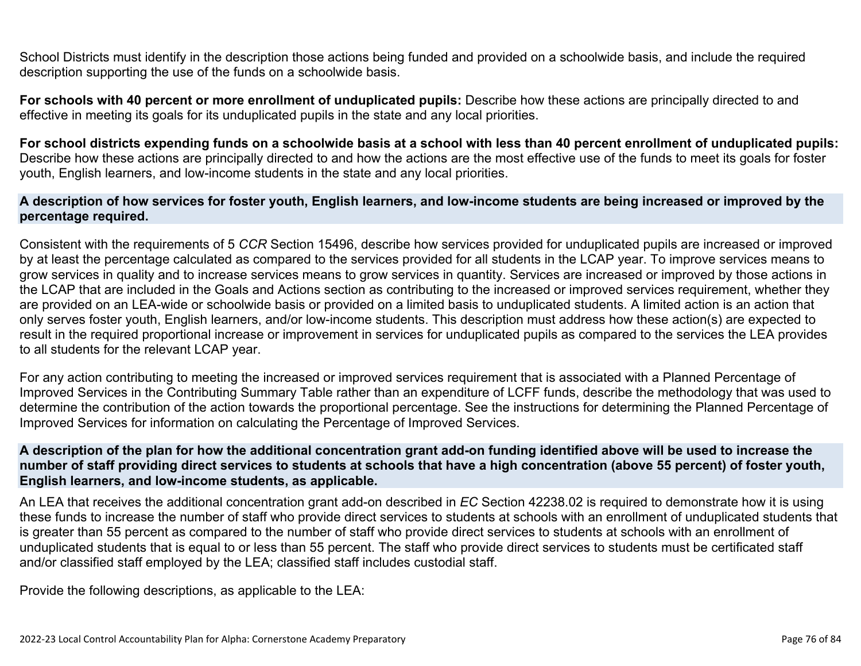School Districts must identify in the description those actions being funded and provided on a schoolwide basis, and include the required description supporting the use of the funds on a schoolwide basis.

**For schools with 40 percent or more enrollment of unduplicated pupils:** Describe how these actions are principally directed to and effective in meeting its goals for its unduplicated pupils in the state and any local priorities.

**For school districts expending funds on a schoolwide basis at a school with less than 40 percent enrollment of unduplicated pupils:** Describe how these actions are principally directed to and how the actions are the most effective use of the funds to meet its goals for foster youth, English learners, and low-income students in the state and any local priorities.

#### **A description of how services for foster youth, English learners, and low-income students are being increased or improved by the percentage required.**

Consistent with the requirements of 5 *CCR* Section 15496, describe how services provided for unduplicated pupils are increased or improved by at least the percentage calculated as compared to the services provided for all students in the LCAP year. To improve services means to grow services in quality and to increase services means to grow services in quantity. Services are increased or improved by those actions in the LCAP that are included in the Goals and Actions section as contributing to the increased or improved services requirement, whether they are provided on an LEA-wide or schoolwide basis or provided on a limited basis to unduplicated students. A limited action is an action that only serves foster youth, English learners, and/or low-income students. This description must address how these action(s) are expected to result in the required proportional increase or improvement in services for unduplicated pupils as compared to the services the LEA provides to all students for the relevant LCAP year.

For any action contributing to meeting the increased or improved services requirement that is associated with a Planned Percentage of Improved Services in the Contributing Summary Table rather than an expenditure of LCFF funds, describe the methodology that was used to determine the contribution of the action towards the proportional percentage. See the instructions for determining the Planned Percentage of Improved Services for information on calculating the Percentage of Improved Services.

#### **A description of the plan for how the additional concentration grant add-on funding identified above will be used to increase the number of staff providing direct services to students at schools that have a high concentration (above 55 percent) of foster youth, English learners, and low-income students, as applicable.**

An LEA that receives the additional concentration grant add-on described in *EC* Section 42238.02 is required to demonstrate how it is using these funds to increase the number of staff who provide direct services to students at schools with an enrollment of unduplicated students that is greater than 55 percent as compared to the number of staff who provide direct services to students at schools with an enrollment of unduplicated students that is equal to or less than 55 percent. The staff who provide direct services to students must be certificated staff and/or classified staff employed by the LEA; classified staff includes custodial staff.

Provide the following descriptions, as applicable to the LEA: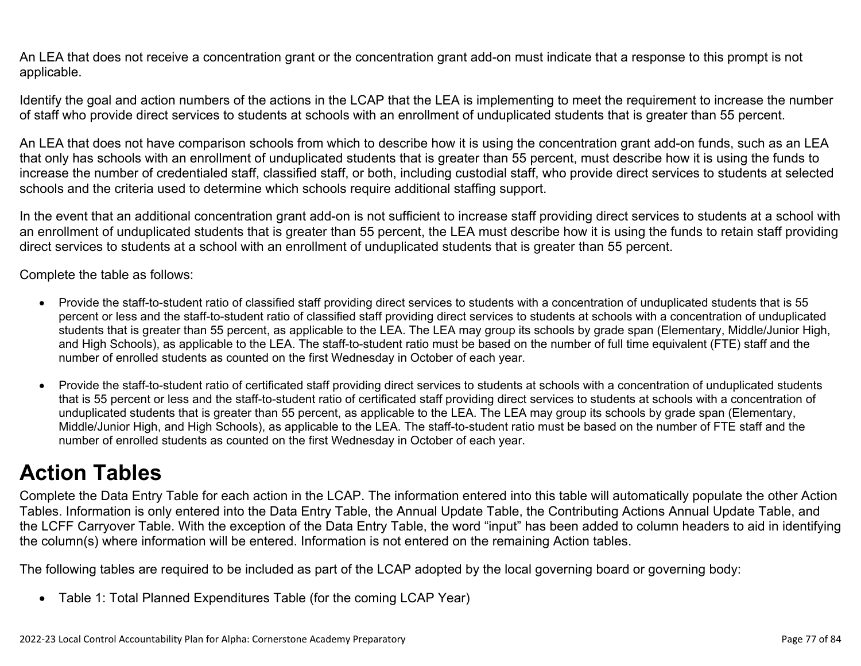An LEA that does not receive a concentration grant or the concentration grant add-on must indicate that a response to this prompt is not applicable.

Identify the goal and action numbers of the actions in the LCAP that the LEA is implementing to meet the requirement to increase the number of staff who provide direct services to students at schools with an enrollment of unduplicated students that is greater than 55 percent.

An LEA that does not have comparison schools from which to describe how it is using the concentration grant add-on funds, such as an LEA that only has schools with an enrollment of unduplicated students that is greater than 55 percent, must describe how it is using the funds to increase the number of credentialed staff, classified staff, or both, including custodial staff, who provide direct services to students at selected schools and the criteria used to determine which schools require additional staffing support.

In the event that an additional concentration grant add-on is not sufficient to increase staff providing direct services to students at a school with an enrollment of unduplicated students that is greater than 55 percent, the LEA must describe how it is using the funds to retain staff providing direct services to students at a school with an enrollment of unduplicated students that is greater than 55 percent.

Complete the table as follows:

- Provide the staff-to-student ratio of classified staff providing direct services to students with a concentration of unduplicated students that is 55 percent or less and the staff-to-student ratio of classified staff providing direct services to students at schools with a concentration of unduplicated students that is greater than 55 percent, as applicable to the LEA. The LEA may group its schools by grade span (Elementary, Middle/Junior High, and High Schools), as applicable to the LEA. The staff-to-student ratio must be based on the number of full time equivalent (FTE) staff and the number of enrolled students as counted on the first Wednesday in October of each year.
- Provide the staff-to-student ratio of certificated staff providing direct services to students at schools with a concentration of unduplicated students that is 55 percent or less and the staff-to-student ratio of certificated staff providing direct services to students at schools with a concentration of unduplicated students that is greater than 55 percent, as applicable to the LEA. The LEA may group its schools by grade span (Elementary, Middle/Junior High, and High Schools), as applicable to the LEA. The staff-to-student ratio must be based on the number of FTE staff and the number of enrolled students as counted on the first Wednesday in October of each year.

## **Action Tables**

Complete the Data Entry Table for each action in the LCAP. The information entered into this table will automatically populate the other Action Tables. Information is only entered into the Data Entry Table, the Annual Update Table, the Contributing Actions Annual Update Table, and the LCFF Carryover Table. With the exception of the Data Entry Table, the word "input" has been added to column headers to aid in identifying the column(s) where information will be entered. Information is not entered on the remaining Action tables.

The following tables are required to be included as part of the LCAP adopted by the local governing board or governing body:

• Table 1: Total Planned Expenditures Table (for the coming LCAP Year)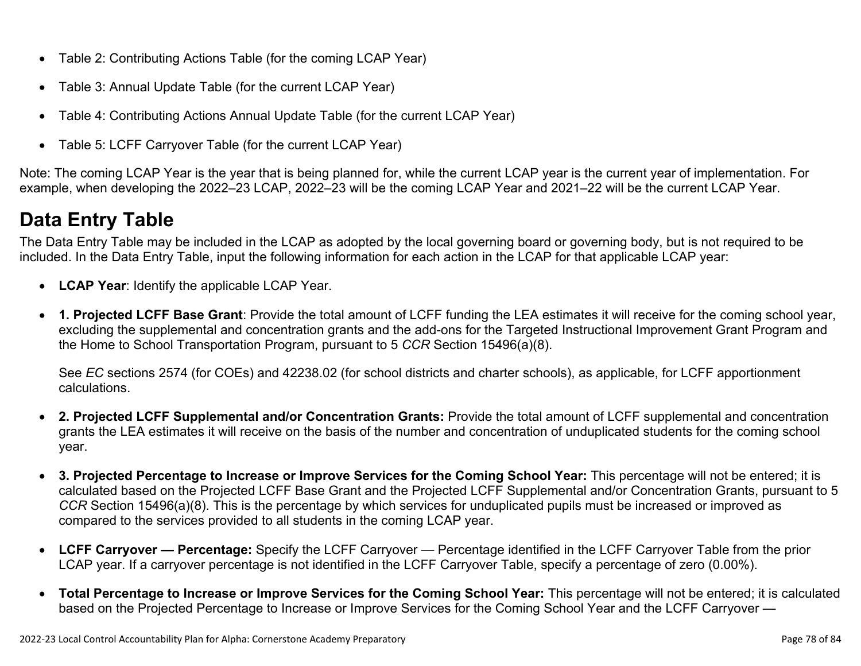- Table 2: Contributing Actions Table (for the coming LCAP Year)
- Table 3: Annual Update Table (for the current LCAP Year)
- Table 4: Contributing Actions Annual Update Table (for the current LCAP Year)
- Table 5: LCFF Carryover Table (for the current LCAP Year)

Note: The coming LCAP Year is the year that is being planned for, while the current LCAP year is the current year of implementation. For example, when developing the 2022–23 LCAP, 2022–23 will be the coming LCAP Year and 2021–22 will be the current LCAP Year.

### **Data Entry Table**

The Data Entry Table may be included in the LCAP as adopted by the local governing board or governing body, but is not required to be included. In the Data Entry Table, input the following information for each action in the LCAP for that applicable LCAP year:

- **LCAP Year**: Identify the applicable LCAP Year.
- **1. Projected LCFF Base Grant**: Provide the total amount of LCFF funding the LEA estimates it will receive for the coming school year, excluding the supplemental and concentration grants and the add-ons for the Targeted Instructional Improvement Grant Program and the Home to School Transportation Program, pursuant to 5 *CCR* Section 15496(a)(8).

See *EC* sections 2574 (for COEs) and 42238.02 (for school districts and charter schools), as applicable, for LCFF apportionment calculations.

- **2. Projected LCFF Supplemental and/or Concentration Grants:** Provide the total amount of LCFF supplemental and concentration grants the LEA estimates it will receive on the basis of the number and concentration of unduplicated students for the coming school year.
- **3. Projected Percentage to Increase or Improve Services for the Coming School Year:** This percentage will not be entered; it is calculated based on the Projected LCFF Base Grant and the Projected LCFF Supplemental and/or Concentration Grants, pursuant to 5 *CCR* Section 15496(a)(8). This is the percentage by which services for unduplicated pupils must be increased or improved as compared to the services provided to all students in the coming LCAP year.
- **LCFF Carryover Percentage:** Specify the LCFF Carryover Percentage identified in the LCFF Carryover Table from the prior LCAP year. If a carryover percentage is not identified in the LCFF Carryover Table, specify a percentage of zero (0.00%).
- **Total Percentage to Increase or Improve Services for the Coming School Year:** This percentage will not be entered; it is calculated based on the Projected Percentage to Increase or Improve Services for the Coming School Year and the LCFF Carryover —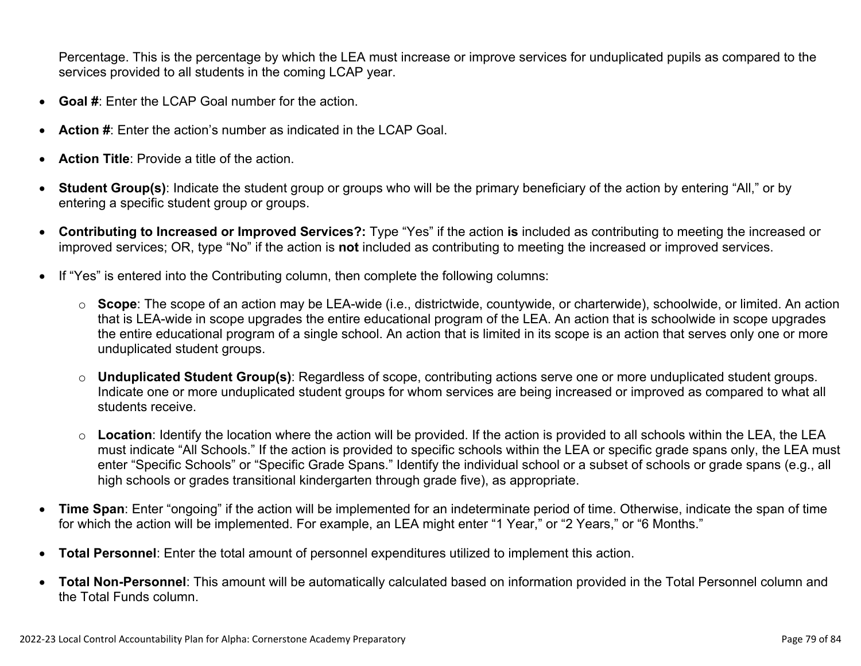Percentage. This is the percentage by which the LEA must increase or improve services for unduplicated pupils as compared to the services provided to all students in the coming LCAP year.

- **Goal #**: Enter the LCAP Goal number for the action.
- **Action #**: Enter the action's number as indicated in the LCAP Goal.
- **Action Title**: Provide a title of the action.
- **Student Group(s)**: Indicate the student group or groups who will be the primary beneficiary of the action by entering "All," or by entering a specific student group or groups.
- **Contributing to Increased or Improved Services?:** Type "Yes" if the action **is** included as contributing to meeting the increased or improved services; OR, type "No" if the action is **not** included as contributing to meeting the increased or improved services.
- If "Yes" is entered into the Contributing column, then complete the following columns:
	- o **Scope**: The scope of an action may be LEA-wide (i.e., districtwide, countywide, or charterwide), schoolwide, or limited. An action that is LEA-wide in scope upgrades the entire educational program of the LEA. An action that is schoolwide in scope upgrades the entire educational program of a single school. An action that is limited in its scope is an action that serves only one or more unduplicated student groups.
	- o **Unduplicated Student Group(s)**: Regardless of scope, contributing actions serve one or more unduplicated student groups. Indicate one or more unduplicated student groups for whom services are being increased or improved as compared to what all students receive.
	- o **Location**: Identify the location where the action will be provided. If the action is provided to all schools within the LEA, the LEA must indicate "All Schools." If the action is provided to specific schools within the LEA or specific grade spans only, the LEA must enter "Specific Schools" or "Specific Grade Spans." Identify the individual school or a subset of schools or grade spans (e.g., all high schools or grades transitional kindergarten through grade five), as appropriate.
- **Time Span**: Enter "ongoing" if the action will be implemented for an indeterminate period of time. Otherwise, indicate the span of time for which the action will be implemented. For example, an LEA might enter "1 Year," or "2 Years," or "6 Months."
- **Total Personnel**: Enter the total amount of personnel expenditures utilized to implement this action.
- **Total Non-Personnel**: This amount will be automatically calculated based on information provided in the Total Personnel column and the Total Funds column.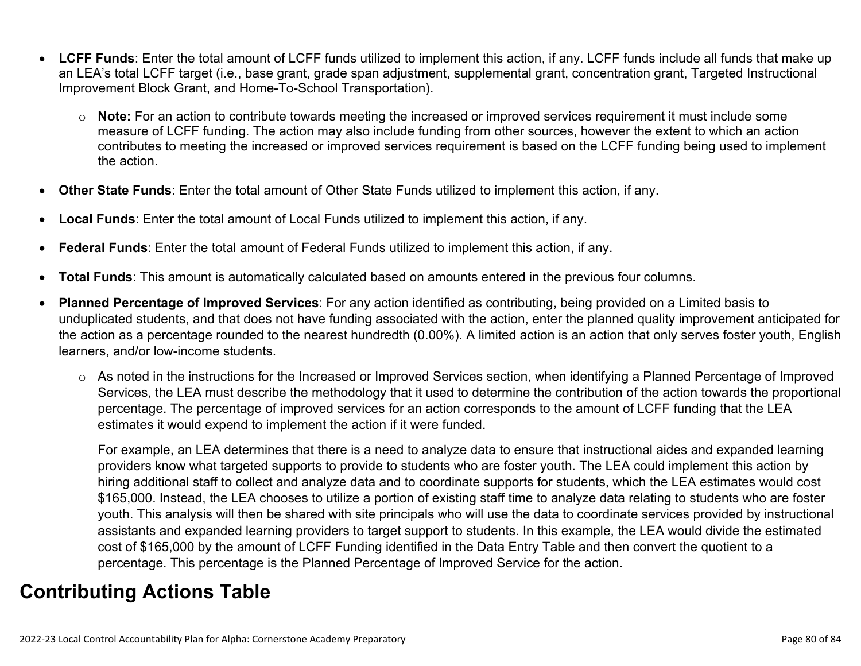- **LCFF Funds**: Enter the total amount of LCFF funds utilized to implement this action, if any. LCFF funds include all funds that make up an LEA's total LCFF target (i.e., base grant, grade span adjustment, supplemental grant, concentration grant, Targeted Instructional Improvement Block Grant, and Home-To-School Transportation).
	- o **Note:** For an action to contribute towards meeting the increased or improved services requirement it must include some measure of LCFF funding. The action may also include funding from other sources, however the extent to which an action contributes to meeting the increased or improved services requirement is based on the LCFF funding being used to implement the action.
- **Other State Funds**: Enter the total amount of Other State Funds utilized to implement this action, if any.
- **Local Funds**: Enter the total amount of Local Funds utilized to implement this action, if any.
- **Federal Funds**: Enter the total amount of Federal Funds utilized to implement this action, if any.
- **Total Funds**: This amount is automatically calculated based on amounts entered in the previous four columns.
- **Planned Percentage of Improved Services**: For any action identified as contributing, being provided on a Limited basis to unduplicated students, and that does not have funding associated with the action, enter the planned quality improvement anticipated for the action as a percentage rounded to the nearest hundredth (0.00%). A limited action is an action that only serves foster youth, English learners, and/or low-income students.
	- o As noted in the instructions for the Increased or Improved Services section, when identifying a Planned Percentage of Improved Services, the LEA must describe the methodology that it used to determine the contribution of the action towards the proportional percentage. The percentage of improved services for an action corresponds to the amount of LCFF funding that the LEA estimates it would expend to implement the action if it were funded.

For example, an LEA determines that there is a need to analyze data to ensure that instructional aides and expanded learning providers know what targeted supports to provide to students who are foster youth. The LEA could implement this action by hiring additional staff to collect and analyze data and to coordinate supports for students, which the LEA estimates would cost \$165,000. Instead, the LEA chooses to utilize a portion of existing staff time to analyze data relating to students who are foster youth. This analysis will then be shared with site principals who will use the data to coordinate services provided by instructional assistants and expanded learning providers to target support to students. In this example, the LEA would divide the estimated cost of \$165,000 by the amount of LCFF Funding identified in the Data Entry Table and then convert the quotient to a percentage. This percentage is the Planned Percentage of Improved Service for the action.

### **Contributing Actions Table**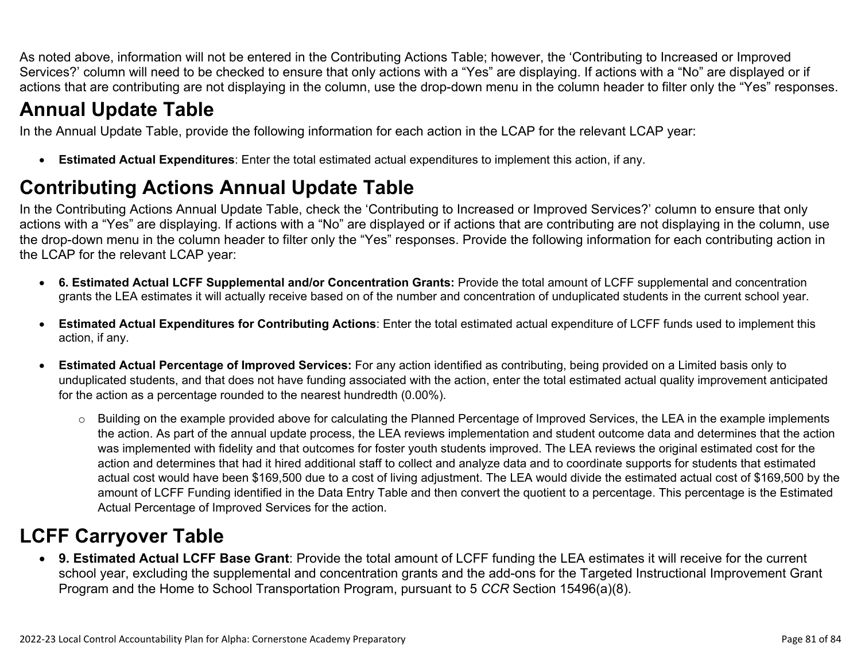As noted above, information will not be entered in the Contributing Actions Table; however, the 'Contributing to Increased or Improved Services?' column will need to be checked to ensure that only actions with a "Yes" are displaying. If actions with a "No" are displayed or if actions that are contributing are not displaying in the column, use the drop-down menu in the column header to filter only the "Yes" responses.

### **Annual Update Table**

In the Annual Update Table, provide the following information for each action in the LCAP for the relevant LCAP year:

• **Estimated Actual Expenditures**: Enter the total estimated actual expenditures to implement this action, if any.

### **Contributing Actions Annual Update Table**

In the Contributing Actions Annual Update Table, check the 'Contributing to Increased or Improved Services?' column to ensure that only actions with a "Yes" are displaying. If actions with a "No" are displayed or if actions that are contributing are not displaying in the column, use the drop-down menu in the column header to filter only the "Yes" responses. Provide the following information for each contributing action in the LCAP for the relevant LCAP year:

- **6. Estimated Actual LCFF Supplemental and/or Concentration Grants:** Provide the total amount of LCFF supplemental and concentration grants the LEA estimates it will actually receive based on of the number and concentration of unduplicated students in the current school year.
- **Estimated Actual Expenditures for Contributing Actions**: Enter the total estimated actual expenditure of LCFF funds used to implement this action, if any.
- **Estimated Actual Percentage of Improved Services:** For any action identified as contributing, being provided on a Limited basis only to unduplicated students, and that does not have funding associated with the action, enter the total estimated actual quality improvement anticipated for the action as a percentage rounded to the nearest hundredth (0.00%).
	- o Building on the example provided above for calculating the Planned Percentage of Improved Services, the LEA in the example implements the action. As part of the annual update process, the LEA reviews implementation and student outcome data and determines that the action was implemented with fidelity and that outcomes for foster youth students improved. The LEA reviews the original estimated cost for the action and determines that had it hired additional staff to collect and analyze data and to coordinate supports for students that estimated actual cost would have been \$169,500 due to a cost of living adjustment. The LEA would divide the estimated actual cost of \$169,500 by the amount of LCFF Funding identified in the Data Entry Table and then convert the quotient to a percentage. This percentage is the Estimated Actual Percentage of Improved Services for the action.

### **LCFF Carryover Table**

• **9. Estimated Actual LCFF Base Grant**: Provide the total amount of LCFF funding the LEA estimates it will receive for the current school year, excluding the supplemental and concentration grants and the add-ons for the Targeted Instructional Improvement Grant Program and the Home to School Transportation Program, pursuant to 5 *CCR* Section 15496(a)(8).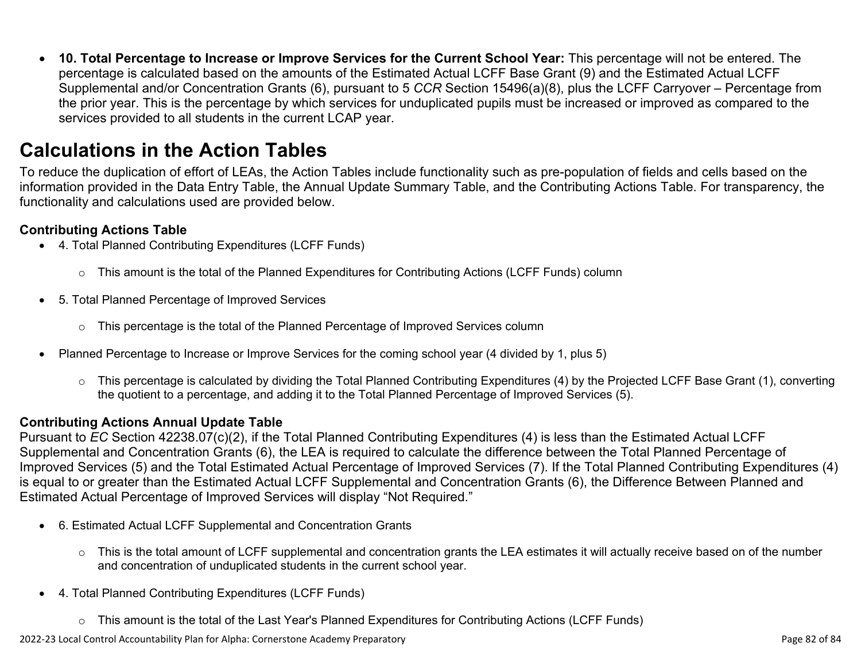• **10. Total Percentage to Increase or Improve Services for the Current School Year:** This percentage will not be entered. The percentage is calculated based on the amounts of the Estimated Actual LCFF Base Grant (9) and the Estimated Actual LCFF Supplemental and/or Concentration Grants (6), pursuant to 5 *CCR* Section 15496(a)(8), plus the LCFF Carryover – Percentage from the prior year. This is the percentage by which services for unduplicated pupils must be increased or improved as compared to the services provided to all students in the current LCAP year.

### **Calculations in the Action Tables**

To reduce the duplication of effort of LEAs, the Action Tables include functionality such as pre-population of fields and cells based on the information provided in the Data Entry Table, the Annual Update Summary Table, and the Contributing Actions Table. For transparency, the functionality and calculations used are provided below.

#### **Contributing Actions Table**

- 4. Total Planned Contributing Expenditures (LCFF Funds)
	- $\circ$  This amount is the total of the Planned Expenditures for Contributing Actions (LCFF Funds) column
- 5. Total Planned Percentage of Improved Services
	- $\circ$  This percentage is the total of the Planned Percentage of Improved Services column
- Planned Percentage to Increase or Improve Services for the coming school year (4 divided by 1, plus 5)
	- o This percentage is calculated by dividing the Total Planned Contributing Expenditures (4) by the Projected LCFF Base Grant (1), converting the quotient to a percentage, and adding it to the Total Planned Percentage of Improved Services (5).

#### **Contributing Actions Annual Update Table**

Pursuant to *EC* Section 42238.07(c)(2), if the Total Planned Contributing Expenditures (4) is less than the Estimated Actual LCFF Supplemental and Concentration Grants (6), the LEA is required to calculate the difference between the Total Planned Percentage of Improved Services (5) and the Total Estimated Actual Percentage of Improved Services (7). If the Total Planned Contributing Expenditures (4) is equal to or greater than the Estimated Actual LCFF Supplemental and Concentration Grants (6), the Difference Between Planned and Estimated Actual Percentage of Improved Services will display "Not Required."

- 6. Estimated Actual LCFF Supplemental and Concentration Grants
	- $\circ$  This is the total amount of LCFF supplemental and concentration grants the LEA estimates it will actually receive based on of the number and concentration of unduplicated students in the current school year.
- 4. Total Planned Contributing Expenditures (LCFF Funds)
	- $\circ$  This amount is the total of the Last Year's Planned Expenditures for Contributing Actions (LCFF Funds)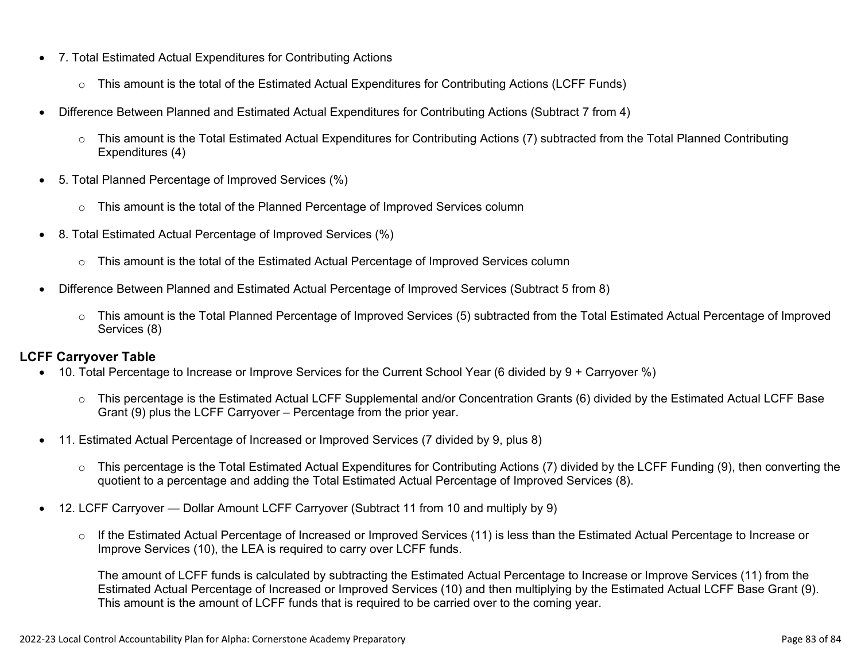- 7. Total Estimated Actual Expenditures for Contributing Actions
	- o This amount is the total of the Estimated Actual Expenditures for Contributing Actions (LCFF Funds)
- Difference Between Planned and Estimated Actual Expenditures for Contributing Actions (Subtract 7 from 4)
	- $\circ$  This amount is the Total Estimated Actual Expenditures for Contributing Actions (7) subtracted from the Total Planned Contributing Expenditures (4)
- 5. Total Planned Percentage of Improved Services (%)
	- $\circ$  This amount is the total of the Planned Percentage of Improved Services column
- 8. Total Estimated Actual Percentage of Improved Services (%)
	- o This amount is the total of the Estimated Actual Percentage of Improved Services column
- Difference Between Planned and Estimated Actual Percentage of Improved Services (Subtract 5 from 8)
	- o This amount is the Total Planned Percentage of Improved Services (5) subtracted from the Total Estimated Actual Percentage of Improved Services (8)

#### **LCFF Carryover Table**

- 10. Total Percentage to Increase or Improve Services for the Current School Year (6 divided by 9 + Carryover %)
	- $\circ$  This percentage is the Estimated Actual LCFF Supplemental and/or Concentration Grants (6) divided by the Estimated Actual LCFF Base Grant (9) plus the LCFF Carryover – Percentage from the prior year.
- 11. Estimated Actual Percentage of Increased or Improved Services (7 divided by 9, plus 8)
	- o This percentage is the Total Estimated Actual Expenditures for Contributing Actions (7) divided by the LCFF Funding (9), then converting the quotient to a percentage and adding the Total Estimated Actual Percentage of Improved Services (8).
- 12. LCFF Carryover Dollar Amount LCFF Carryover (Subtract 11 from 10 and multiply by 9)
	- $\circ$  If the Estimated Actual Percentage of Increased or Improved Services (11) is less than the Estimated Actual Percentage to Increase or Improve Services (10), the LEA is required to carry over LCFF funds.

The amount of LCFF funds is calculated by subtracting the Estimated Actual Percentage to Increase or Improve Services (11) from the Estimated Actual Percentage of Increased or Improved Services (10) and then multiplying by the Estimated Actual LCFF Base Grant (9). This amount is the amount of LCFF funds that is required to be carried over to the coming year.